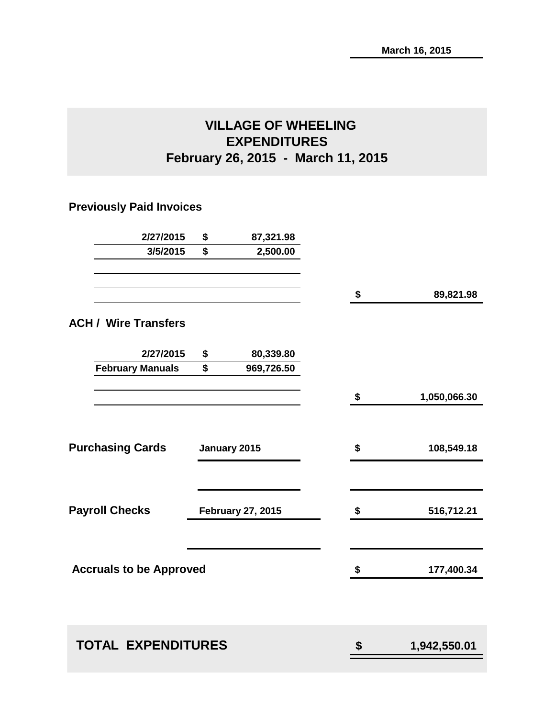# **VILLAGE OF WHEELING EXPENDITURES February 26, 2015 - March 11, 2015**

# **Previously Paid Invoices**

| 2/27/2015                      | \$                       | 87,321.98    |                    |
|--------------------------------|--------------------------|--------------|--------------------|
| 3/5/2015                       | \$                       | 2,500.00     |                    |
|                                |                          |              | \$<br>89,821.98    |
| <b>ACH / Wire Transfers</b>    |                          |              |                    |
| 2/27/2015                      | \$                       | 80,339.80    |                    |
| <b>February Manuals</b>        | \$                       | 969,726.50   |                    |
|                                |                          |              | \$<br>1,050,066.30 |
| <b>Purchasing Cards</b>        |                          | January 2015 | \$<br>108,549.18   |
| <b>Payroll Checks</b>          | <b>February 27, 2015</b> |              | \$<br>516,712.21   |
| <b>Accruals to be Approved</b> |                          |              | \$<br>177,400.34   |
| <b>TOTAL EXPENDITURES</b>      |                          |              | \$<br>1,942,550.01 |
|                                |                          |              |                    |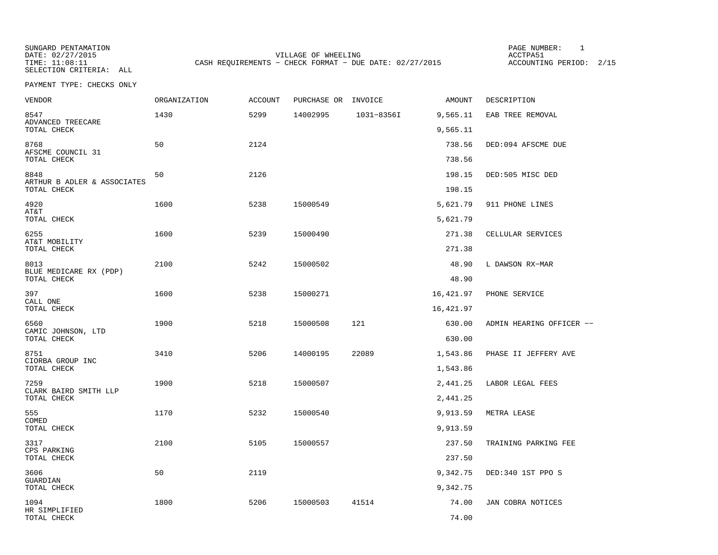SUNGARD PENTAMATION SUNGARD PENTAMATION SUNGARD PAGE NUMBER: 1 SELECTION CRITERIA: ALL

DATE: 02/27/2015 VILLAGE OF WHEELING ACCTPA51CASH REQUIREMENTS - CHECK FORMAT - DUE DATE: 02/27/2015

ACCOUNTING PERIOD: 2/15

| VENDOR                                             | <b>ORGANIZATION</b> | <b>ACCOUNT</b> | PURCHASE OR INVOICE |            | AMOUNT           | DESCRIPTION              |
|----------------------------------------------------|---------------------|----------------|---------------------|------------|------------------|--------------------------|
| 8547<br>ADVANCED TREECARE                          | 1430                | 5299           | 14002995            | 1031-8356I | 9,565.11         | EAB TREE REMOVAL         |
| TOTAL CHECK                                        |                     |                |                     |            | 9,565.11         |                          |
| 8768<br>AFSCME COUNCIL 31<br>TOTAL CHECK           | 50                  | 2124           |                     |            | 738.56<br>738.56 | DED:094 AFSCME DUE       |
|                                                    |                     |                |                     |            |                  |                          |
| 8848<br>ARTHUR B ADLER & ASSOCIATES<br>TOTAL CHECK | 50                  | 2126           |                     |            | 198.15<br>198.15 | DED:505 MISC DED         |
| 4920                                               | 1600                | 5238           | 15000549            |            | 5,621.79         | 911 PHONE LINES          |
| AT&T<br>TOTAL CHECK                                |                     |                |                     |            | 5,621.79         |                          |
| 6255                                               | 1600                | 5239           | 15000490            |            | 271.38           | CELLULAR SERVICES        |
| AT&T MOBILITY<br>TOTAL CHECK                       |                     |                |                     |            | 271.38           |                          |
| 8013                                               | 2100                | 5242           | 15000502            |            | 48.90            | L DAWSON RX-MAR          |
| BLUE MEDICARE RX (PDP)<br>TOTAL CHECK              |                     |                |                     |            | 48.90            |                          |
| 397                                                | 1600                | 5238           | 15000271            |            | 16,421.97        | PHONE SERVICE            |
| CALL ONE<br>TOTAL CHECK                            |                     |                |                     |            | 16,421.97        |                          |
| 6560                                               | 1900                | 5218           | 15000508            | 121        | 630.00           | ADMIN HEARING OFFICER -- |
| CAMIC JOHNSON, LTD<br>TOTAL CHECK                  |                     |                |                     |            | 630.00           |                          |
| 8751                                               | 3410                | 5206           | 14000195            | 22089      | 1,543.86         | PHASE II JEFFERY AVE     |
| CIORBA GROUP INC<br>TOTAL CHECK                    |                     |                |                     |            | 1,543.86         |                          |
| 7259                                               | 1900                | 5218           | 15000507            |            | 2,441.25         | LABOR LEGAL FEES         |
| CLARK BAIRD SMITH LLP<br>TOTAL CHECK               |                     |                |                     |            | 2,441.25         |                          |
| 555                                                | 1170                | 5232           | 15000540            |            | 9,913.59         | METRA LEASE              |
| COMED<br>TOTAL CHECK                               |                     |                |                     |            | 9,913.59         |                          |
| 3317                                               | 2100                | 5105           | 15000557            |            | 237.50           | TRAINING PARKING FEE     |
| CPS PARKING<br>TOTAL CHECK                         |                     |                |                     |            | 237.50           |                          |
| 3606                                               | 50                  | 2119           |                     |            | 9,342.75         | DED:340 1ST PPO S        |
| GUARDIAN<br>TOTAL CHECK                            |                     |                |                     |            | 9,342.75         |                          |
| 1094<br>HR SIMPLIFIED                              | 1800                | 5206           | 15000503            | 41514      | 74.00            | JAN COBRA NOTICES        |
| TOTAL CHECK                                        |                     |                |                     |            | 74.00            |                          |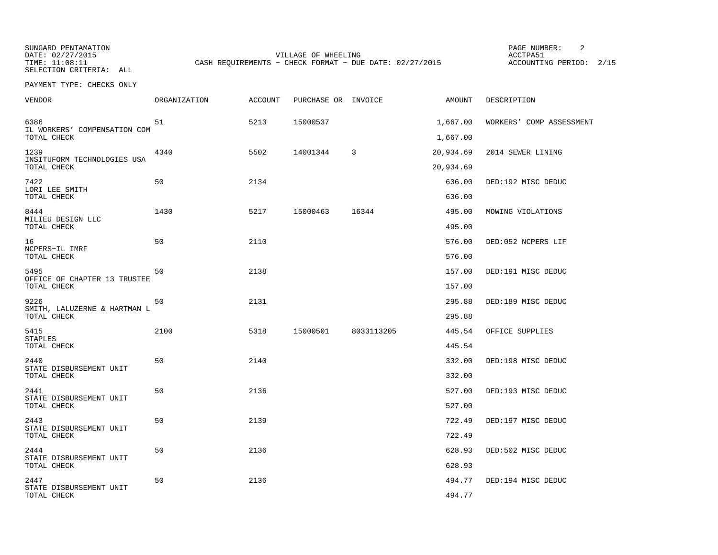SUNGARD PENTAMATION PAGE NUMBER: 2TIME: 11:08:11 CASH REQUIREMENTS - CHECK FORMAT - DUE DATE: 02/27/2015

DATE: 02/27/2015 VILLAGE OF WHEELING ACCTPA51

ACCOUNTING PERIOD: 2/15

SELECTION CRITERIA: ALLPAYMENT TYPE: CHECKS ONLY

| VENDOR                                              | <b>ORGANIZATION</b> | <b>ACCOUNT</b> | PURCHASE OR INVOICE |            | AMOUNT               | DESCRIPTION              |
|-----------------------------------------------------|---------------------|----------------|---------------------|------------|----------------------|--------------------------|
| 6386<br>IL WORKERS' COMPENSATION COM<br>TOTAL CHECK | 51                  | 5213           | 15000537            |            | 1,667.00<br>1,667.00 | WORKERS' COMP ASSESSMENT |
| 1239<br>INSITUFORM TECHNOLOGIES USA                 | 4340                | 5502           | 14001344            | 3          | 20,934.69            | 2014 SEWER LINING        |
| TOTAL CHECK                                         |                     |                |                     |            | 20,934.69            |                          |
| 7422<br>LORI LEE SMITH<br>TOTAL CHECK               | 50                  | 2134           |                     |            | 636.00<br>636.00     | DED:192 MISC DEDUC       |
| 8444                                                | 1430                | 5217           | 15000463            | 16344      | 495.00               | MOWING VIOLATIONS        |
| MILIEU DESIGN LLC<br>TOTAL CHECK                    |                     |                |                     |            | 495.00               |                          |
| 16                                                  | 50                  | 2110           |                     |            | 576.00               | DED:052 NCPERS LIF       |
| NCPERS-IL IMRF<br>TOTAL CHECK                       |                     |                |                     |            | 576.00               |                          |
| 5495                                                | 50                  | 2138           |                     |            | 157.00               | DED:191 MISC DEDUC       |
| OFFICE OF CHAPTER 13 TRUSTEE<br>TOTAL CHECK         |                     |                |                     |            | 157.00               |                          |
| 9226                                                | 50                  | 2131           |                     |            | 295.88               | DED:189 MISC DEDUC       |
| SMITH, LALUZERNE & HARTMAN L<br>TOTAL CHECK         |                     |                |                     |            | 295.88               |                          |
| 5415<br><b>STAPLES</b>                              | 2100                | 5318           | 15000501            | 8033113205 | 445.54               | OFFICE SUPPLIES          |
| TOTAL CHECK                                         |                     |                |                     |            | 445.54               |                          |
| 2440                                                | 50                  | 2140           |                     |            | 332.00               | DED:198 MISC DEDUC       |
| STATE DISBURSEMENT UNIT<br>TOTAL CHECK              |                     |                |                     |            | 332.00               |                          |
| 2441                                                | 50                  | 2136           |                     |            | 527.00               | DED:193 MISC DEDUC       |
| STATE DISBURSEMENT UNIT<br>TOTAL CHECK              |                     |                |                     |            | 527.00               |                          |
| 2443<br>STATE DISBURSEMENT UNIT                     | 50                  | 2139           |                     |            | 722.49               | DED:197 MISC DEDUC       |
| TOTAL CHECK                                         |                     |                |                     |            | 722.49               |                          |
| 2444<br>STATE DISBURSEMENT UNIT                     | 50                  | 2136           |                     |            | 628.93               | DED:502 MISC DEDUC       |
| TOTAL CHECK                                         |                     |                |                     |            | 628.93               |                          |
| 2447<br>STATE DISBURSEMENT UNIT                     | 50                  | 2136           |                     |            | 494.77               | DED:194 MISC DEDUC       |
| TOTAL CHECK                                         |                     |                |                     |            | 494.77               |                          |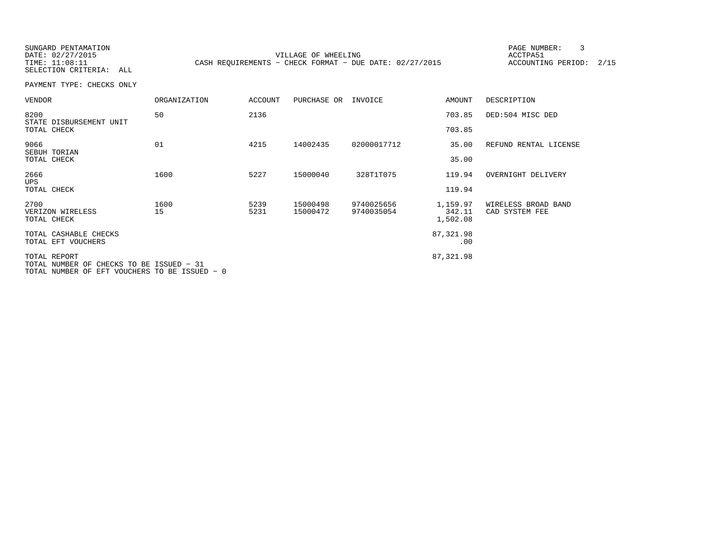SUNGARD PENTAMATION PAGE NUMBER: 3

DATE: 02/27/2015 VILLAGE OF WHEELING ACCTPA51TIME: 11:08:11 CASH REQUIREMENTS - CHECK FORMAT - DUE DATE: 02/27/2015

ACCOUNTING PERIOD: 2/15

SELECTION CRITERIA: ALLPAYMENT TYPE: CHECKS ONLY

| <b>VENDOR</b>                                            | ORGANIZATION | <b>ACCOUNT</b> | PURCHASE OR          | INVOICE                  | AMOUNT             | DESCRIPTION                           |
|----------------------------------------------------------|--------------|----------------|----------------------|--------------------------|--------------------|---------------------------------------|
| 8200<br>STATE DISBURSEMENT UNIT                          | 50           | 2136           |                      |                          | 703.85             | DED:504 MISC DED                      |
| TOTAL CHECK                                              |              |                |                      |                          | 703.85             |                                       |
| 9066<br>SEBUH TORIAN                                     | 01           | 4215           | 14002435             | 02000017712              | 35.00              | REFUND RENTAL LICENSE                 |
| TOTAL CHECK                                              |              |                |                      |                          | 35.00              |                                       |
| 2666<br><b>UPS</b>                                       | 1600         | 5227           | 15000040             | 328T1T075                | 119.94             | OVERNIGHT DELIVERY                    |
| TOTAL CHECK                                              |              |                |                      |                          | 119.94             |                                       |
| 2700<br>VERIZON WIRELESS                                 | 1600<br>15   | 5239<br>5231   | 15000498<br>15000472 | 9740025656<br>9740035054 | 1,159.97<br>342.11 | WIRELESS BROAD BAND<br>CAD SYSTEM FEE |
| TOTAL CHECK                                              |              |                |                      |                          | 1,502.08           |                                       |
| TOTAL CASHABLE CHECKS                                    |              |                |                      |                          | 87,321.98          |                                       |
| TOTAL EFT VOUCHERS                                       |              |                |                      |                          | .00                |                                       |
| TOTAL REPORT<br>TOTAL NUMBER OF CHECKS TO BE ISSUED - 31 |              |                |                      |                          | 87,321.98          |                                       |

TOTAL NUMBER OF EFT VOUCHERS TO BE ISSUED − 0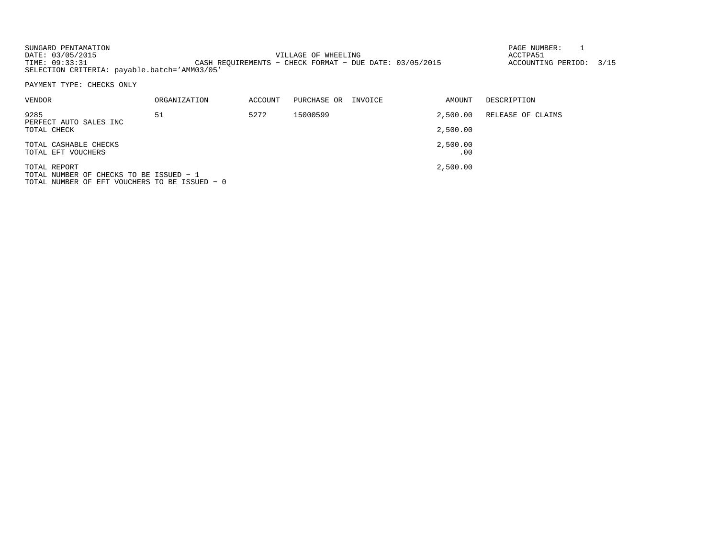| SUNGARD PENTAMATION                          |                                                         | PAGE NUMBER:            |  |
|----------------------------------------------|---------------------------------------------------------|-------------------------|--|
| DATE: 03/05/2015                             | VILLAGE OF WHEELING                                     | ACCTPA51                |  |
| TIME: 09:33:31                               | CASH REOUIREMENTS - CHECK FORMAT - DUE DATE: 03/05/2015 | ACCOUNTING PERIOD: 3/15 |  |
| SELECTION CRITERIA: payable.batch='AMM03/05' |                                                         |                         |  |

PAYMENT TYPE: CHECKS ONLY

| VENDOR                                      | ORGANIZATION | ACCOUNT | PURCHASE OR | INVOICE | AMOUNT          | DESCRIPTION       |
|---------------------------------------------|--------------|---------|-------------|---------|-----------------|-------------------|
| 9285<br>PERFECT AUTO SALES INC              | 51           | 5272    | 15000599    |         | 2,500.00        | RELEASE OF CLAIMS |
| TOTAL CHECK                                 |              |         |             |         | 2,500.00        |                   |
| TOTAL CASHABLE CHECKS<br>TOTAL EFT VOUCHERS |              |         |             |         | 2,500.00<br>.00 |                   |
|                                             |              |         |             |         |                 |                   |
| TOTAL REPORT                                |              |         |             |         | 2,500.00        |                   |

TOTAL NUMBER OF CHECKS TO BE ISSUED − 1 TOTAL NUMBER OF EFT VOUCHERS TO BE ISSUED − 0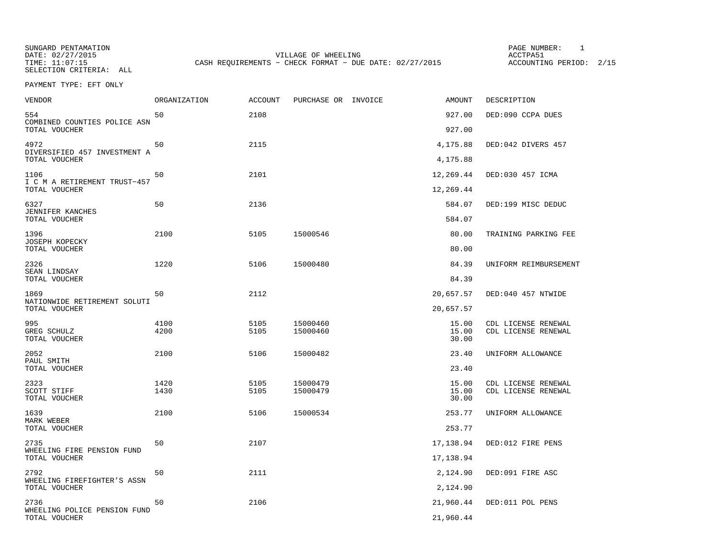SUNGARD PENTAMATION PAGE NUMBER: 1SELECTION CRITERIA: ALL

DATE: 02/27/2015 VILLAGE OF WHEELING ACCTPA51TIME: 11:07:15 CASH REQUIREMENTS - CHECK FORMAT - DUE DATE: 02/27/2015

ACCOUNTING PERIOD: 2/15

PAYMENT TYPE: EFT ONLY

| <b>VENDOR</b>                                         | ORGANIZATION | <b>ACCOUNT</b> | PURCHASE OR INVOICE | AMOUNT                 | DESCRIPTION           |
|-------------------------------------------------------|--------------|----------------|---------------------|------------------------|-----------------------|
| 554<br>COMBINED COUNTIES POLICE ASN                   | 50           | 2108           |                     | 927.00                 | DED:090 CCPA DUES     |
| TOTAL VOUCHER                                         |              |                |                     | 927.00                 |                       |
| 4972<br>DIVERSIFIED 457 INVESTMENT A<br>TOTAL VOUCHER | 50           | 2115           |                     | 4,175.88               | DED:042 DIVERS 457    |
|                                                       |              |                |                     | 4,175.88               |                       |
| 1106<br>I C M A RETIREMENT TRUST-457<br>TOTAL VOUCHER | 50           | 2101           |                     | 12,269.44<br>12,269.44 | DED:030 457 ICMA      |
|                                                       |              |                |                     |                        |                       |
| 6327<br>JENNIFER KANCHES<br>TOTAL VOUCHER             | 50           | 2136           |                     | 584.07<br>584.07       | DED:199 MISC DEDUC    |
| 1396                                                  | 2100         | 5105           | 15000546            | 80.00                  | TRAINING PARKING FEE  |
| <b>JOSEPH KOPECKY</b><br>TOTAL VOUCHER                |              |                |                     | 80.00                  |                       |
| 2326                                                  | 1220         | 5106           | 15000480            | 84.39                  | UNIFORM REIMBURSEMENT |
| SEAN LINDSAY<br>TOTAL VOUCHER                         |              |                |                     | 84.39                  |                       |
| 1869                                                  | 50           | 2112           |                     | 20,657.57              | DED:040 457 NTWIDE    |
| NATIONWIDE RETIREMENT SOLUTI<br>TOTAL VOUCHER         |              |                |                     | 20,657.57              |                       |
| 995                                                   | 4100         | 5105           | 15000460            | 15.00                  | CDL LICENSE RENEWAL   |
| GREG SCHULZ<br>TOTAL VOUCHER                          | 4200         | 5105           | 15000460            | 15.00<br>30.00         | CDL LICENSE RENEWAL   |
| 2052                                                  | 2100         | 5106           | 15000482            | 23.40                  | UNIFORM ALLOWANCE     |
| PAUL SMITH<br>TOTAL VOUCHER                           |              |                |                     | 23.40                  |                       |
| 2323                                                  | 1420         | 5105           | 15000479            | 15.00                  | CDL LICENSE RENEWAL   |
| SCOTT STIFF<br>TOTAL VOUCHER                          | 1430         | 5105           | 15000479            | 15.00<br>30.00         | CDL LICENSE RENEWAL   |
| 1639                                                  | 2100         | 5106           | 15000534            | 253.77                 | UNIFORM ALLOWANCE     |
| MARK WEBER<br>TOTAL VOUCHER                           |              |                |                     | 253.77                 |                       |
| 2735                                                  | 50           | 2107           |                     | 17,138.94              | DED:012 FIRE PENS     |
| WHEELING FIRE PENSION FUND<br>TOTAL VOUCHER           |              |                |                     | 17,138.94              |                       |
| 2792                                                  | 50           | 2111           |                     | 2,124.90               | DED:091 FIRE ASC      |
| WHEELING FIREFIGHTER'S ASSN<br>TOTAL VOUCHER          |              |                |                     | 2,124.90               |                       |
| 2736                                                  | 50           | 2106           |                     | 21,960.44              | DED:011 POL PENS      |
| WHEELING POLICE PENSION FUND<br>TOTAL VOUCHER         |              |                |                     | 21,960.44              |                       |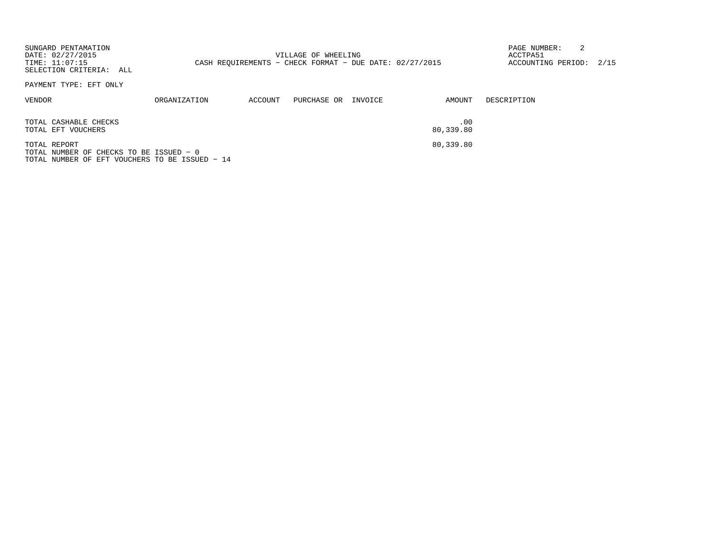| SUNGARD PENTAMATION<br>DATE: 02/27/2015<br>TIME: 11:07:15<br>SELECTION CRITERIA: ALL                      |                     |         | VILLAGE OF WHEELING<br>CASH REOUIREMENTS - CHECK FORMAT - DUE DATE: 02/27/2015 |         |                  | 2<br>PAGE NUMBER:<br>ACCTPA51<br>ACCOUNTING PERIOD: 2/15 |  |
|-----------------------------------------------------------------------------------------------------------|---------------------|---------|--------------------------------------------------------------------------------|---------|------------------|----------------------------------------------------------|--|
| PAYMENT TYPE: EFT ONLY                                                                                    |                     |         |                                                                                |         |                  |                                                          |  |
| VENDOR                                                                                                    | <b>ORGANIZATION</b> | ACCOUNT | PURCHASE OR                                                                    | INVOICE | AMOUNT           | DESCRIPTION                                              |  |
| TOTAL CASHABLE CHECKS<br>TOTAL EFT VOUCHERS                                                               |                     |         |                                                                                |         | .00<br>80,339.80 |                                                          |  |
| TOTAL REPORT<br>TOTAL NUMBER OF CHECKS TO BE ISSUED - 0<br>TOTAL NUMBER OF EFT VOUCHERS TO BE ISSUED - 14 |                     |         |                                                                                |         | 80,339.80        |                                                          |  |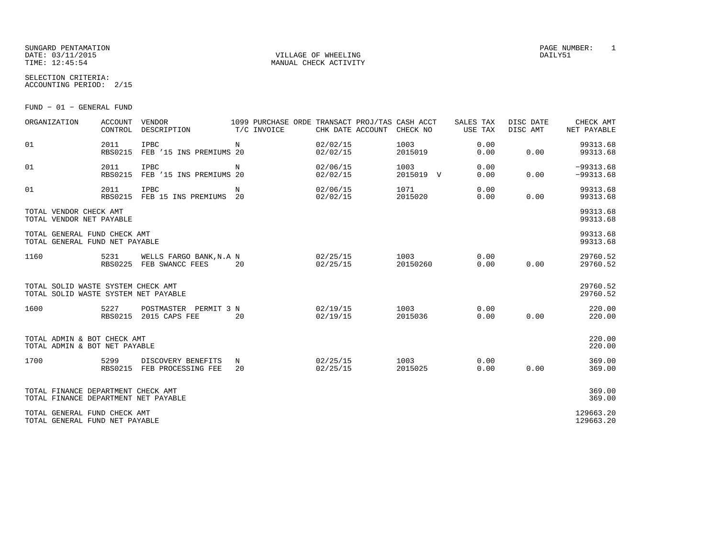#### SUNGARD PENTAMATION PAGE NUMBER: 1 DATE: 03/11/2015 VILLAGE OF WHEELING DAILY51

SELECTION CRITERIA:

MANUAL CHECK ACTIVITY

ACCOUNTING PERIOD: 2/15

FUND − 01 − GENERAL FUND

| ORGANIZATION                                                               | <b>ACCOUNT</b><br>CONTROL | <b>VENDOR</b><br>DESCRIPTION               | 1099 PURCHASE ORDE TRANSACT PROJ/TAS CASH ACCT<br>T/C INVOICE | CHK DATE ACCOUNT     | CHECK NO          | SALES TAX<br><b>USE TAX</b> | DISC DATE<br>DISC AMT | CHECK AMT<br>NET PAYABLE   |
|----------------------------------------------------------------------------|---------------------------|--------------------------------------------|---------------------------------------------------------------|----------------------|-------------------|-----------------------------|-----------------------|----------------------------|
| 01                                                                         | 2011<br><b>RBS0215</b>    | <b>IPBC</b><br>FEB '15 INS PREMIUMS 20     | N                                                             | 02/02/15<br>02/02/15 | 1003<br>2015019   | 0.00<br>0.00                | 0.00                  | 99313.68<br>99313.68       |
| 01                                                                         | 2011<br><b>RBS0215</b>    | IPBC<br>FEB '15 INS PREMIUMS 20            | N                                                             | 02/06/15<br>02/02/15 | 1003<br>2015019 V | 0.00<br>0.00                | 0.00                  | $-99313.68$<br>$-99313.68$ |
| 01                                                                         | 2011<br><b>RBS0215</b>    | IPBC<br>FEB 15 INS PREMIUMS                | N<br>20                                                       | 02/06/15<br>02/02/15 | 1071<br>2015020   | 0.00<br>0.00                | 0.00                  | 99313.68<br>99313.68       |
| TOTAL VENDOR CHECK AMT<br>TOTAL VENDOR NET PAYABLE                         |                           |                                            |                                                               |                      |                   |                             |                       | 99313.68<br>99313.68       |
| TOTAL GENERAL FUND CHECK AMT<br>TOTAL GENERAL FUND NET PAYABLE             |                           |                                            |                                                               |                      |                   |                             |                       | 99313.68<br>99313.68       |
| 1160                                                                       | 5231<br><b>RBS0225</b>    | WELLS FARGO BANK, N.A N<br>FEB SWANCC FEES | 20                                                            | 02/25/15<br>02/25/15 | 1003<br>20150260  | 0.00<br>0.00                | 0.00                  | 29760.52<br>29760.52       |
| TOTAL SOLID WASTE SYSTEM CHECK AMT<br>TOTAL SOLID WASTE SYSTEM NET PAYABLE |                           |                                            |                                                               |                      |                   |                             |                       | 29760.52<br>29760.52       |
| 1600                                                                       | 5227<br><b>RBS0215</b>    | POSTMASTER PERMIT 3 N<br>2015 CAPS FEE     | 20                                                            | 02/19/15<br>02/19/15 | 1003<br>2015036   | 0.00<br>0.00                | 0.00                  | 220.00<br>220.00           |
| TOTAL ADMIN & BOT CHECK AMT<br>TOTAL ADMIN & BOT NET PAYABLE               |                           |                                            |                                                               |                      |                   |                             |                       | 220.00<br>220.00           |
| 1700                                                                       | 5299<br>RBS0215           | DISCOVERY BENEFITS<br>FEB PROCESSING FEE   | N<br>20                                                       | 02/25/15<br>02/25/15 | 1003<br>2015025   | 0.00<br>0.00                | 0.00                  | 369.00<br>369.00           |
| TOTAL FINANCE DEPARTMENT CHECK AMT<br>TOTAL FINANCE DEPARTMENT NET PAYABLE |                           |                                            |                                                               |                      |                   |                             |                       | 369.00<br>369.00           |
| TOTAL GENERAL FUND CHECK AMT<br>TOTAL GENERAL FUND NET PAYABLE             |                           |                                            |                                                               |                      |                   |                             |                       | 129663.20<br>129663.20     |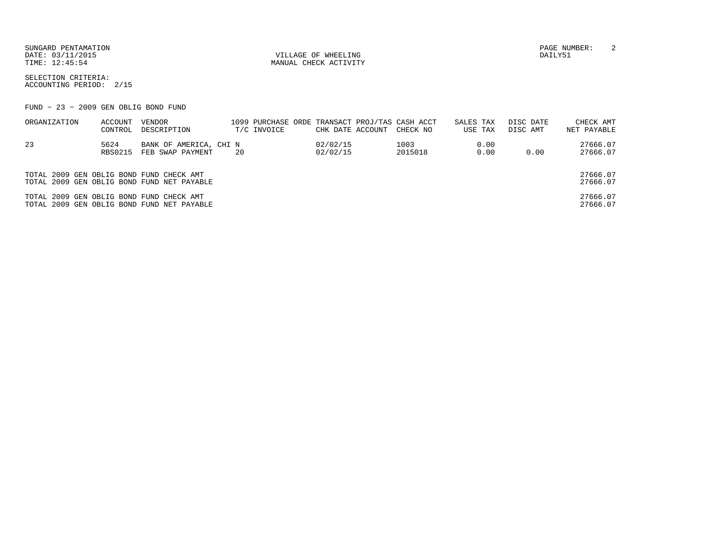SUNGARD PENTAMATION PAGE NUMBER: 2DATE: 03/11/2015 QUELLAGE OF WHEELING QUELLAGE OF WHEELING QUELLAGE OF WHEELING

TIME:  $12:45:54$  MANUAL CHECK ACTIVITY

SELECTION CRITERIA:ACCOUNTING PERIOD: 2/15

FUND − 23 − 2009 GEN OBLIG BOND FUND

| ORGANIZATION                             | ACCOUNT<br>CONTROL     | VENDOR<br>DESCRIPTION                      |    | T/C INVOICE | CHK DATE ACCOUNT     | 1099 PURCHASE ORDE TRANSACT PROJ/TAS CASH ACCT<br>CHECK NO | SALES TAX<br>USE TAX |              | DISC DATE<br>DISC AMT | CHECK AMT<br>NET PAYABLE |
|------------------------------------------|------------------------|--------------------------------------------|----|-------------|----------------------|------------------------------------------------------------|----------------------|--------------|-----------------------|--------------------------|
| -23                                      | 5624<br><b>RBS0215</b> | BANK OF AMERICA, CHI N<br>FEB SWAP PAYMENT | 20 |             | 02/02/15<br>02/02/15 | 1003<br>2015018                                            |                      | 0.00<br>0.00 | 0.00                  | 27666.07<br>27666.07     |
| TOTAL 2009 GEN OBLIG BOND FUND CHECK AMT |                        | TOTAL 2009 GEN OBLIG BOND FUND NET PAYABLE |    |             |                      |                                                            |                      |              |                       | 27666.07<br>27666.07     |
| TOTAL 2009 GEN OBLIG BOND FUND CHECK AMT |                        | TOTAL 2009 GEN OBLIG BOND FUND NET PAYABLE |    |             |                      |                                                            |                      |              |                       | 27666.07<br>27666.07     |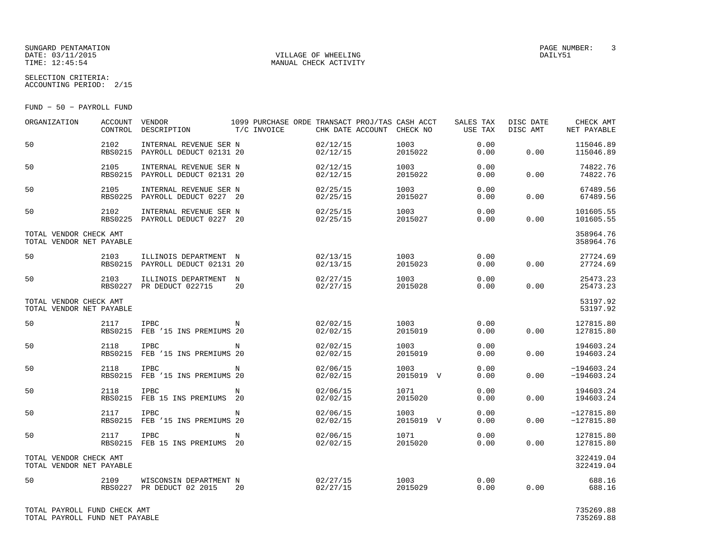#### SUNGARD PENTAMATION PAGE NUMBER: 3DATE: 03/11/2015 QUELLAGE OF WHEELING QUELLAGE OF WHEELING QUELLAGE OF WHEELING TIME:  $12:45:54$  MANUAL CHECK ACTIVITY

SELECTION CRITERIA:

ACCOUNTING PERIOD: 2/15

FUND − 50 − PAYROLL FUND

| ORGANIZATION                                       | ACCOUNT<br>CONTROL     | VENDOR<br>DESCRIPTION                             | T/C INVOICE      | 1099 PURCHASE ORDE TRANSACT PROJ/TAS CASH ACCT<br>CHK DATE ACCOUNT | CHECK NO          | SALES TAX<br>USE TAX | DISC DATE<br>DISC AMT | CHECK AMT<br>NET PAYABLE     |
|----------------------------------------------------|------------------------|---------------------------------------------------|------------------|--------------------------------------------------------------------|-------------------|----------------------|-----------------------|------------------------------|
| 50                                                 | 2102<br><b>RBS0215</b> | INTERNAL REVENUE SER N<br>PAYROLL DEDUCT 02131 20 |                  | 02/12/15<br>02/12/15                                               | 1003<br>2015022   | 0.00<br>0.00         | 0.00                  | 115046.89<br>115046.89       |
| 50                                                 | 2105<br><b>RBS0215</b> | INTERNAL REVENUE SER N<br>PAYROLL DEDUCT 02131 20 |                  | 02/12/15<br>02/12/15                                               | 1003<br>2015022   | 0.00<br>0.00         | 0.00                  | 74822.76<br>74822.76         |
| 50                                                 | 2105<br><b>RBS0225</b> | INTERNAL REVENUE SER N<br>PAYROLL DEDUCT 0227 20  |                  | 02/25/15<br>02/25/15                                               | 1003<br>2015027   | 0.00<br>0.00         | 0.00                  | 67489.56<br>67489.56         |
| 50                                                 | 2102<br><b>RBS0225</b> | INTERNAL REVENUE SER N<br>PAYROLL DEDUCT 0227 20  |                  | 02/25/15<br>02/25/15                                               | 1003<br>2015027   | 0.00<br>0.00         | 0.00                  | 101605.55<br>101605.55       |
| TOTAL VENDOR CHECK AMT<br>TOTAL VENDOR NET PAYABLE |                        |                                                   |                  |                                                                    |                   |                      |                       | 358964.76<br>358964.76       |
| 50                                                 | 2103<br><b>RBS0215</b> | ILLINOIS DEPARTMENT N<br>PAYROLL DEDUCT 02131 20  |                  | 02/13/15<br>02/13/15                                               | 1003<br>2015023   | 0.00<br>0.00         | 0.00                  | 27724.69<br>27724.69         |
| 50                                                 | 2103                   | ILLINOIS DEPARTMENT<br>RBS0227 PR DEDUCT 022715   | $_{\rm N}$<br>20 | 02/27/15<br>02/27/15                                               | 1003<br>2015028   | 0.00<br>0.00         | 0.00                  | 25473.23<br>25473.23         |
| TOTAL VENDOR CHECK AMT<br>TOTAL VENDOR NET PAYABLE |                        |                                                   |                  |                                                                    |                   |                      |                       | 53197.92<br>53197.92         |
| 50                                                 | 2117<br><b>RBS0215</b> | IPBC<br>FEB '15 INS PREMIUMS 20                   | N                | 02/02/15<br>02/02/15                                               | 1003<br>2015019   | 0.00<br>0.00         | 0.00                  | 127815.80<br>127815.80       |
| 50                                                 | 2118<br><b>RBS0215</b> | <b>IPBC</b><br>FEB '15 INS PREMIUMS 20            | N                | 02/02/15<br>02/02/15                                               | 1003<br>2015019   | 0.00<br>0.00         | 0.00                  | 194603.24<br>194603.24       |
| 50                                                 | 2118                   | IPBC<br>RBS0215 FEB '15 INS PREMIUMS 20           | N                | 02/06/15<br>02/02/15                                               | 1003<br>2015019 V | 0.00<br>0.00         | 0.00                  | $-194603.24$<br>$-194603.24$ |
| 50                                                 | 2118<br><b>RBS0215</b> | <b>IPBC</b><br>FEB 15 INS PREMIUMS 20             | N                | 02/06/15<br>02/02/15                                               | 1071<br>2015020   | 0.00<br>0.00         | 0.00                  | 194603.24<br>194603.24       |
| 50                                                 | 2117<br><b>RBS0215</b> | <b>IPBC</b><br>FEB '15 INS PREMIUMS 20            | N                | 02/06/15<br>02/02/15                                               | 1003<br>2015019 V | 0.00<br>0.00         | 0.00                  | $-127815.80$<br>$-127815.80$ |
| 50                                                 | 2117<br><b>RBS0215</b> | <b>IPBC</b><br>FEB 15 INS PREMIUMS 20             | N                | 02/06/15<br>02/02/15                                               | 1071<br>2015020   | 0.00<br>0.00         | 0.00                  | 127815.80<br>127815.80       |
| TOTAL VENDOR CHECK AMT<br>TOTAL VENDOR NET PAYABLE |                        |                                                   |                  |                                                                    |                   |                      |                       | 322419.04<br>322419.04       |
| 50                                                 | 2109<br><b>RBS0227</b> | WISCONSIN DEPARTMENT N<br>PR DEDUCT 02 2015       | 20               | 02/27/15<br>02/27/15                                               | 1003<br>2015029   | 0.00<br>0.00         | 0.00                  | 688.16<br>688.16             |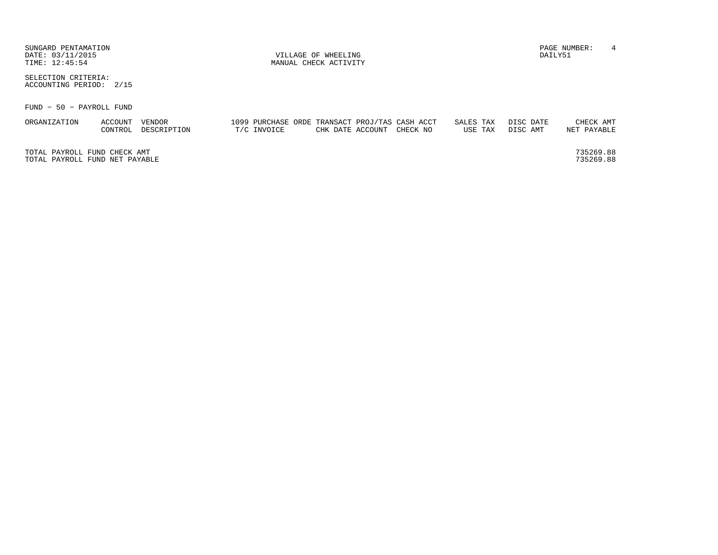| SUNGARD PENTAMATION<br>DATE: 03/11/2015<br>TIME: 12:45:54 | VILLAGE OF WHEELING<br>MANUAL CHECK ACTIVITY |                       |  |             |  |                  |  |                                                            |                      |  | $\overline{4}$<br>PAGE NUMBER:<br>DAILY51 |  |                          |  |
|-----------------------------------------------------------|----------------------------------------------|-----------------------|--|-------------|--|------------------|--|------------------------------------------------------------|----------------------|--|-------------------------------------------|--|--------------------------|--|
| SELECTION CRITERIA:<br>ACCOUNTING PERIOD: 2/15            |                                              |                       |  |             |  |                  |  |                                                            |                      |  |                                           |  |                          |  |
| FUND - 50 - PAYROLL FUND                                  |                                              |                       |  |             |  |                  |  |                                                            |                      |  |                                           |  |                          |  |
| ORGANIZATION                                              | ACCOUNT<br>CONTROL                           | VENDOR<br>DESCRIPTION |  | T/C INVOICE |  | CHK DATE ACCOUNT |  | 1099 PURCHASE ORDE TRANSACT PROJ/TAS CASH ACCT<br>CHECK NO | SALES TAX<br>USE TAX |  | DISC DATE<br>DISC AMT                     |  | CHECK AMT<br>NET PAYABLE |  |

TOTAL PAYROLL FUND CHECK AMT 735269.88TOTAL PAYROLL FUND NET PAYABLE

735269.88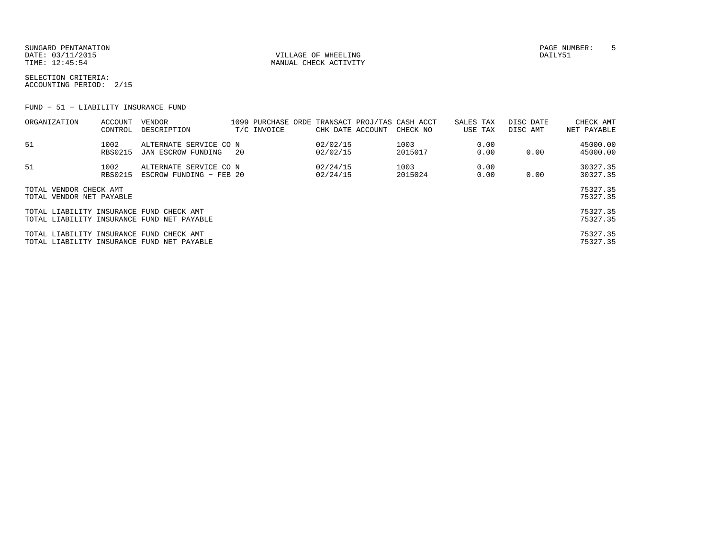SUNGARD PENTAMATION PAGE NUMBER: 5DATE: 03/11/2015 QUELLAGE OF WHEELING QUELLAGE OF WHEELING QUELLAGE OF WHEELING TIME:  $12:45:54$  MANUAL CHECK ACTIVITY

SELECTION CRITERIA:ACCOUNTING PERIOD: 2/15

FUND − 51 − LIABILITY INSURANCE FUND

| ORGANIZATION                                       | ACCOUNT<br>CONTROL     | VENDOR<br>DESCRIPTION                                   |     | T/C INVOICE | CHK DATE ACCOUNT     | 1099 PURCHASE ORDE TRANSACT PROJ/TAS CASH ACCT<br>CHECK NO | SALES TAX<br>USE TAX | DISC DATE<br>DISC AMT | CHECK AMT<br>NET PAYABLE |
|----------------------------------------------------|------------------------|---------------------------------------------------------|-----|-------------|----------------------|------------------------------------------------------------|----------------------|-----------------------|--------------------------|
| 51                                                 | 1002<br><b>RBS0215</b> | ALTERNATE SERVICE CO N<br>JAN ESCROW FUNDING            | -20 |             | 02/02/15<br>02/02/15 | 1003<br>2015017                                            | 0.00<br>0.00         | 0.00                  | 45000.00<br>45000.00     |
| 51                                                 | 1002<br>RBS0215        | ALTERNATE SERVICE CO N<br>ESCROW FUNDING - FEB 20       |     |             | 02/24/15<br>02/24/15 | 1003<br>2015024                                            | 0.00<br>0.00         | 0.00                  | 30327.35<br>30327.35     |
| TOTAL VENDOR CHECK AMT<br>TOTAL VENDOR NET PAYABLE |                        |                                                         |     |             |                      |                                                            |                      |                       | 75327.35<br>75327.35     |
| TOTAL LIABILITY INSURANCE FUND                     |                        | CHECK AMT<br>TOTAL LIABILITY INSURANCE FUND NET PAYABLE |     |             |                      |                                                            |                      |                       | 75327.35<br>75327.35     |
| TOTAL LIABILITY INSURANCE FUND                     |                        | CHECK AMT<br>TOTAL LIABILITY INSURANCE FUND NET PAYABLE |     |             |                      |                                                            |                      |                       | 75327.35<br>75327.35     |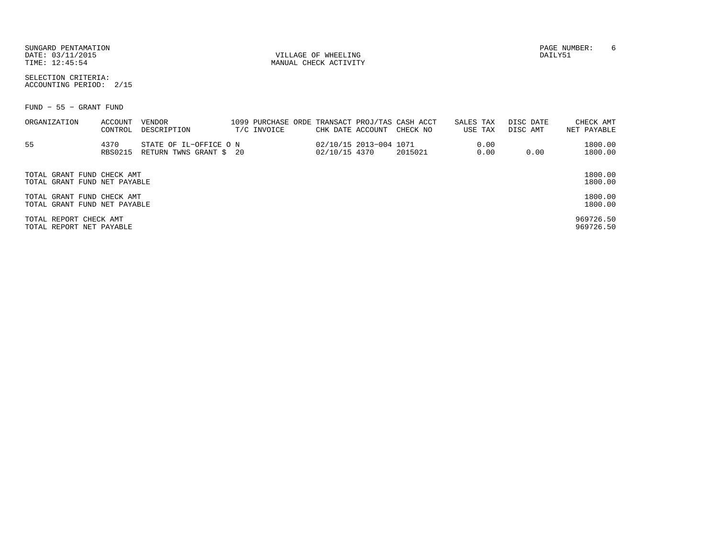SUNGARD PENTAMATION PAGE NUMBER: 6DATE: 03/11/2015 VILLAGE OF WHEELING DAILY51

MANUAL CHECK ACTIVITY

SELECTION CRITERIA:ACCOUNTING PERIOD: 2/15

FUND − 55 − GRANT FUND

| ORGANIZATION                                               | ACCOUNT<br>CONTROL     | VENDOR<br>DESCRIPTION                             | T/C INVOICE | CHK DATE ACCOUNT |                        | 1099 PURCHASE ORDE TRANSACT PROJ/TAS CASH ACCT<br>CHECK NO | SALES TAX<br>USE TAX | DISC DATE<br>DISC AMT | CHECK AMT<br>NET PAYABLE |
|------------------------------------------------------------|------------------------|---------------------------------------------------|-------------|------------------|------------------------|------------------------------------------------------------|----------------------|-----------------------|--------------------------|
| 55                                                         | 4370<br><b>RBS0215</b> | STATE OF IL-OFFICE O N<br>RETURN TWNS GRANT \$ 20 |             | 02/10/15 4370    | 02/10/15 2013-004 1071 | 2015021                                                    | 0.00<br>0.00         | 0.00                  | 1800.00<br>1800.00       |
| TOTAL GRANT FUND CHECK AMT<br>TOTAL GRANT FUND NET PAYABLE |                        |                                                   |             |                  |                        |                                                            |                      |                       | 1800.00<br>1800.00       |
| TOTAL GRANT FUND CHECK AMT<br>TOTAL GRANT FUND NET PAYABLE |                        |                                                   |             |                  |                        |                                                            |                      |                       | 1800.00<br>1800.00       |
| TOTAL REPORT CHECK AMT<br>TOTAL REPORT NET PAYABLE         |                        |                                                   |             |                  |                        |                                                            |                      |                       | 969726.50<br>969726.50   |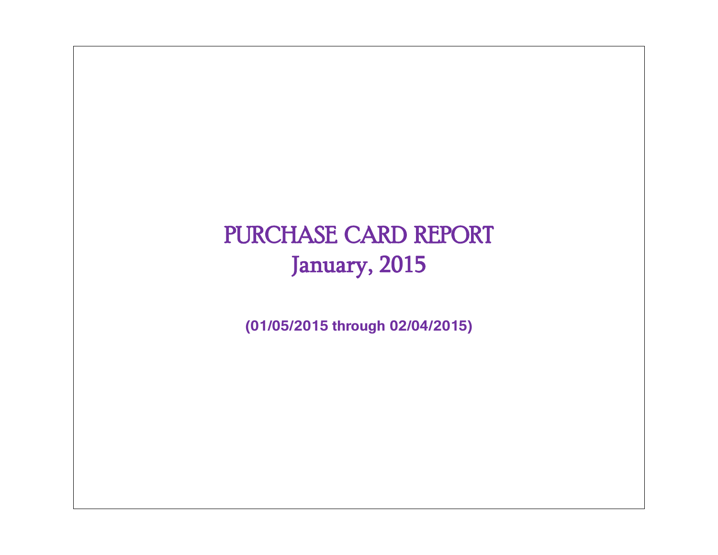# PURCHASE CARD REPORT January, 2015

**(01/05/2015 through 02/04/2015)**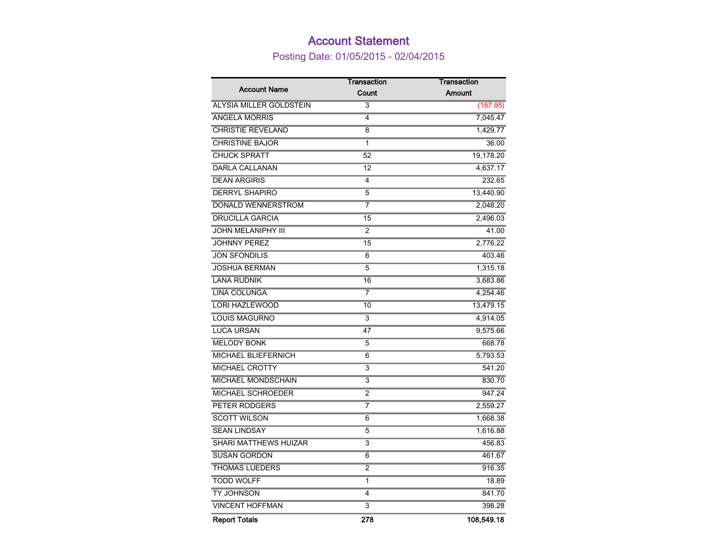## Account Statement

Posting Date: 01/05/2015 - 02/04/2015

|                                | Transaction             | Transaction |
|--------------------------------|-------------------------|-------------|
| <b>Account Name</b>            | Count                   | Amount      |
| <b>ALYSIA MILLER GOLDSTEIN</b> | 3                       | (157.95)    |
| <b>ANGELA MORRIS</b>           | 4                       | 7,045.47    |
| <b>CHRISTIE REVELAND</b>       | 8                       | 1,429.77    |
| <b>CHRISTINE BAJOR</b>         | 1                       | 36.00       |
| <b>CHUCK SPRATT</b>            | 52                      | 19,178.20   |
| <b>DARLA CALLANAN</b>          | 12                      | 4,637.17    |
| <b>DEAN ARGIRIS</b>            | 4                       | 232.65      |
| <b>DERRYL SHAPIRO</b>          | 5                       | 13,440.90   |
| DONALD WENNERSTROM             | 7                       | 2,048.20    |
| <b>DRUCILLA GARCIA</b>         | 15                      | 2,496.03    |
| <b>JOHN MELANIPHY III</b>      | $\overline{2}$          | 41.00       |
| <b>JOHNNY PEREZ</b>            | 15                      | 2,776.22    |
| <b>JON SFONDILIS</b>           | 6                       | 403.46      |
| <b>JOSHUA BERMAN</b>           | 5                       | 1,315.18    |
| <b>LANA RUDNIK</b>             | 16                      | 3,683.86    |
| <b>LINA COLUNGA</b>            | 7                       | 4,254.46    |
| <b>LORI HAZLEWOOD</b>          | 10                      | 13,479.15   |
| <b>LOUIS MAGURNO</b>           | 3                       | 4,914.05    |
| <b>LUCA URSAN</b>              | 47                      | 9,575.66    |
| <b>MELODY BONK</b>             | 5                       | 668.78      |
| <b>MICHAEL BLIEFERNICH</b>     | 6                       | 5,793.53    |
| <b>MICHAEL CROTTY</b>          | $\overline{3}$          | 541.20      |
| MICHAEL MONDSCHAIN             | 3                       | 830.70      |
| <b>MICHAEL SCHROEDER</b>       | $\overline{2}$          | 947.24      |
| PETER RODGERS                  | 7                       | 2,559.27    |
| <b>SCOTT WILSON</b>            | 6                       | 1,668.38    |
| <b>SEAN LINDSAY</b>            | 5                       | 1,616.88    |
| <b>SHARI MATTHEWS HUIZAR</b>   | 3                       | 456.83      |
| <b>SUSAN GORDON</b>            | 6                       | 461.67      |
| <b>THOMAS LUEDERS</b>          | $\overline{2}$          | 916.35      |
| <b>TODD WOLFF</b>              | 1                       | 18.89       |
| TY JOHNSON                     | 4                       | 841.70      |
| <b>VINCENT HOFFMAN</b>         | $\overline{\mathbf{3}}$ | 398.28      |
| <b>Report Totals</b>           | 278                     | 108,549.18  |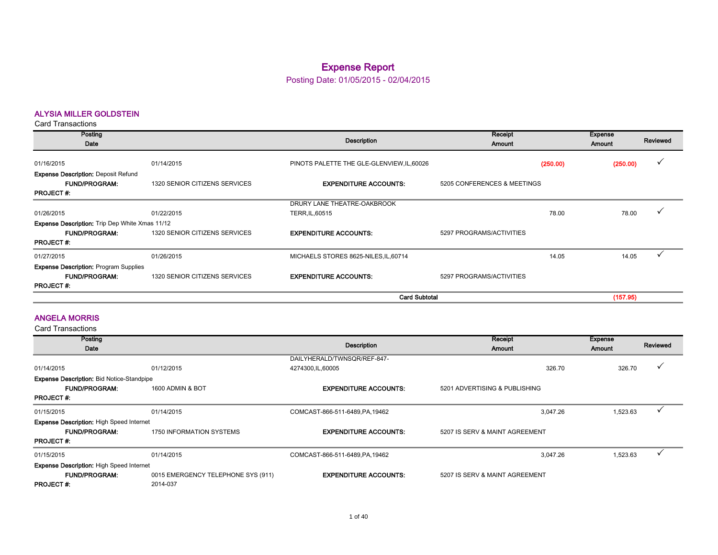### Expense Report

Posting Date: 01/05/2015 - 02/04/2015

#### ALYSIA MILLER GOLDSTEIN

Card Transactions

| Posting<br>Date                                                                        |                               | Description                                    | Receipt<br><b>Amount</b>    |          | <b>Expense</b><br>Amount | Reviewed |
|----------------------------------------------------------------------------------------|-------------------------------|------------------------------------------------|-----------------------------|----------|--------------------------|----------|
| 01/16/2015                                                                             | 01/14/2015                    | PINOTS PALETTE THE GLE-GLENVIEW, IL, 60026     |                             | (250.00) | (250.00)                 | v        |
| <b>Expense Description: Deposit Refund</b><br><b>FUND/PROGRAM:</b><br><b>PROJECT#:</b> | 1320 SENIOR CITIZENS SERVICES | <b>EXPENDITURE ACCOUNTS:</b>                   | 5205 CONFERENCES & MEETINGS |          |                          |          |
| 01/26/2015                                                                             | 01/22/2015                    | DRURY LANE THEATRE-OAKBROOK<br>TERR, IL, 60515 |                             | 78.00    | 78.00                    |          |
| <b>Expense Description:</b> Trip Dep White Xmas 11/12                                  |                               |                                                |                             |          |                          |          |
| <b>FUND/PROGRAM:</b><br><b>PROJECT#:</b>                                               | 1320 SENIOR CITIZENS SERVICES | <b>EXPENDITURE ACCOUNTS:</b>                   | 5297 PROGRAMS/ACTIVITIES    |          |                          |          |
| 01/27/2015                                                                             | 01/26/2015                    | MICHAELS STORES 8625-NILES, IL, 60714          |                             | 14.05    | 14.05                    |          |
| <b>Expense Description: Program Supplies</b>                                           |                               |                                                |                             |          |                          |          |
| <b>FUND/PROGRAM:</b><br><b>PROJECT#:</b>                                               | 1320 SENIOR CITIZENS SERVICES | <b>EXPENDITURE ACCOUNTS.</b>                   | 5297 PROGRAMS/ACTIVITIES    |          |                          |          |
|                                                                                        |                               | <b>Card Subtotal</b>                           |                             |          | (157.95)                 |          |

#### ANGELA MORRIS

| Posting                                          |                                    |                                 | Receipt                        | Expense  |              |
|--------------------------------------------------|------------------------------------|---------------------------------|--------------------------------|----------|--------------|
| Date                                             |                                    | Description                     | <b>Amount</b>                  | Amount   | Reviewed     |
|                                                  |                                    | DAILYHERALD/TWNSQR/REF-847-     |                                |          |              |
| 01/14/2015                                       | 01/12/2015                         | 4274300, IL, 60005              | 326.70                         | 326.70   | $\checkmark$ |
| <b>Expense Description: Bid Notice-Standpipe</b> |                                    |                                 |                                |          |              |
| <b>FUND/PROGRAM:</b>                             | 1600 ADMIN & BOT                   | <b>EXPENDITURE ACCOUNTS:</b>    | 5201 ADVERTISING & PUBLISHING  |          |              |
| <b>PROJECT#:</b>                                 |                                    |                                 |                                |          |              |
| 01/15/2015                                       | 01/14/2015                         | COMCAST-866-511-6489, PA, 19462 | 3.047.26                       | 1,523.63 |              |
| <b>Expense Description: High Speed Internet</b>  |                                    |                                 |                                |          |              |
| <b>FUND/PROGRAM:</b>                             | 1750 INFORMATION SYSTEMS           | <b>EXPENDITURE ACCOUNTS:</b>    | 5207 IS SERV & MAINT AGREEMENT |          |              |
| <b>PROJECT#:</b>                                 |                                    |                                 |                                |          |              |
| 01/15/2015                                       | 01/14/2015                         | COMCAST-866-511-6489, PA, 19462 | 3.047.26                       | 1,523.63 |              |
| <b>Expense Description: High Speed Internet</b>  |                                    |                                 |                                |          |              |
| <b>FUND/PROGRAM:</b>                             | 0015 EMERGENCY TELEPHONE SYS (911) | <b>EXPENDITURE ACCOUNTS:</b>    | 5207 IS SERV & MAINT AGREEMENT |          |              |
| <b>PROJECT#:</b>                                 | 2014-037                           |                                 |                                |          |              |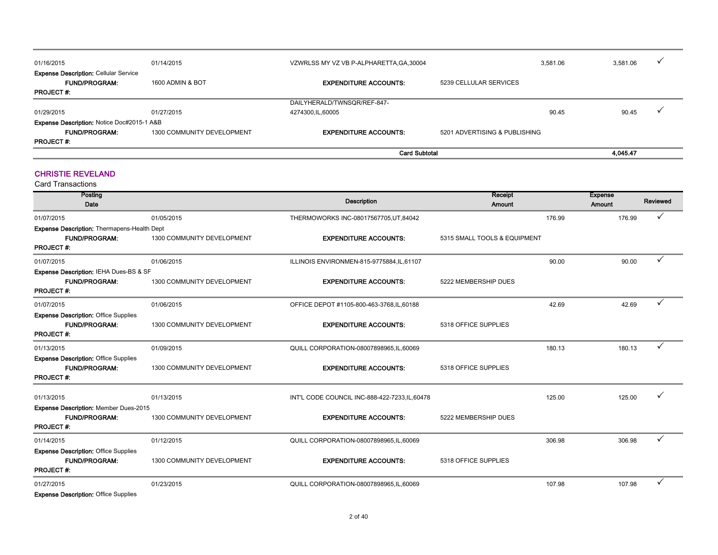| 01/16/2015                                            | 01/14/2015                 | VZWRLSS MY VZ VB P-ALPHARETTA, GA, 30004 |                               | 3.581.06 | 3.581.06 | $\overline{\phantom{a}}$ |
|-------------------------------------------------------|----------------------------|------------------------------------------|-------------------------------|----------|----------|--------------------------|
| <b>Expense Description: Cellular Service</b>          |                            |                                          |                               |          |          |                          |
| <b>FUND/PROGRAM:</b>                                  | 1600 ADMIN & BOT           | <b>EXPENDITURE ACCOUNTS:</b>             | 5239 CELLULAR SERVICES        |          |          |                          |
| <b>PROJECT#:</b>                                      |                            |                                          |                               |          |          |                          |
|                                                       |                            | DAILYHERALD/TWNSQR/REF-847-              |                               |          |          |                          |
| 01/29/2015                                            | 01/27/2015                 | 4274300, IL, 60005                       |                               | 90.45    | 90.45    |                          |
| <b>Expense Description: Notice Doc#2015-1 A&amp;B</b> |                            |                                          |                               |          |          |                          |
| <b>FUND/PROGRAM:</b>                                  | 1300 COMMUNITY DEVELOPMENT | <b>EXPENDITURE ACCOUNTS:</b>             | 5201 ADVERTISING & PUBLISHING |          |          |                          |
| <b>PROJECT#:</b>                                      |                            |                                          |                               |          |          |                          |
|                                                       |                            | <b>Card Subtotal</b>                     | 4.045.47                      |          |          |                          |

#### CHRISTIE REVELAND

| Posting<br>Date                                    |                            | <b>Description</b>                             | Receipt<br>Amount            |        | <b>Expense</b><br>Amount | Reviewed |
|----------------------------------------------------|----------------------------|------------------------------------------------|------------------------------|--------|--------------------------|----------|
| 01/07/2015                                         | 01/05/2015                 | THERMOWORKS INC-08017567705,UT,84042           |                              | 176.99 | 176.99                   | ✓        |
| <b>Expense Description: Thermapens-Health Dept</b> |                            |                                                |                              |        |                          |          |
| <b>FUND/PROGRAM:</b>                               | 1300 COMMUNITY DEVELOPMENT | <b>EXPENDITURE ACCOUNTS:</b>                   | 5315 SMALL TOOLS & EQUIPMENT |        |                          |          |
| <b>PROJECT#:</b>                                   |                            |                                                |                              |        |                          |          |
| 01/07/2015                                         | 01/06/2015                 | ILLINOIS ENVIRONMEN-815-9775884,IL,61107       |                              | 90.00  | 90.00                    |          |
| Expense Description: IEHA Dues-BS & SF             |                            |                                                |                              |        |                          |          |
| <b>FUND/PROGRAM:</b>                               | 1300 COMMUNITY DEVELOPMENT | <b>EXPENDITURE ACCOUNTS:</b>                   | 5222 MEMBERSHIP DUES         |        |                          |          |
| <b>PROJECT#:</b>                                   |                            |                                                |                              |        |                          |          |
| 01/07/2015                                         | 01/06/2015                 | OFFICE DEPOT #1105-800-463-3768, IL, 60188     |                              | 42.69  | 42.69                    |          |
| <b>Expense Description: Office Supplies</b>        |                            |                                                |                              |        |                          |          |
| <b>FUND/PROGRAM:</b>                               | 1300 COMMUNITY DEVELOPMENT | <b>EXPENDITURE ACCOUNTS:</b>                   | 5318 OFFICE SUPPLIES         |        |                          |          |
| <b>PROJECT#:</b>                                   |                            |                                                |                              |        |                          |          |
| 01/13/2015                                         | 01/09/2015                 | QUILL CORPORATION-08007898965, IL, 60069       |                              | 180.13 | 180.13                   | ✓        |
| <b>Expense Description: Office Supplies</b>        |                            |                                                |                              |        |                          |          |
| <b>FUND/PROGRAM:</b>                               | 1300 COMMUNITY DEVELOPMENT | <b>EXPENDITURE ACCOUNTS:</b>                   | 5318 OFFICE SUPPLIES         |        |                          |          |
| <b>PROJECT#:</b>                                   |                            |                                                |                              |        |                          |          |
| 01/13/2015                                         | 01/13/2015                 | INT'L CODE COUNCIL INC-888-422-7233, IL, 60478 |                              | 125.00 | 125.00                   |          |
| Expense Description: Member Dues-2015              |                            |                                                |                              |        |                          |          |
| <b>FUND/PROGRAM:</b>                               | 1300 COMMUNITY DEVELOPMENT | <b>EXPENDITURE ACCOUNTS:</b>                   | 5222 MEMBERSHIP DUES         |        |                          |          |
| <b>PROJECT#:</b>                                   |                            |                                                |                              |        |                          |          |
| 01/14/2015                                         | 01/12/2015                 | QUILL CORPORATION-08007898965,IL,60069         |                              | 306.98 | 306.98                   | ✓        |
| <b>Expense Description: Office Supplies</b>        |                            |                                                |                              |        |                          |          |
| <b>FUND/PROGRAM:</b>                               | 1300 COMMUNITY DEVELOPMENT | <b>EXPENDITURE ACCOUNTS:</b>                   | 5318 OFFICE SUPPLIES         |        |                          |          |
| <b>PROJECT#:</b>                                   |                            |                                                |                              |        |                          |          |
| 01/27/2015                                         | 01/23/2015                 | QUILL CORPORATION-08007898965,IL,60069         |                              | 107.98 | 107.98                   | ✓        |
| <b>Expense Description: Office Supplies</b>        |                            |                                                |                              |        |                          |          |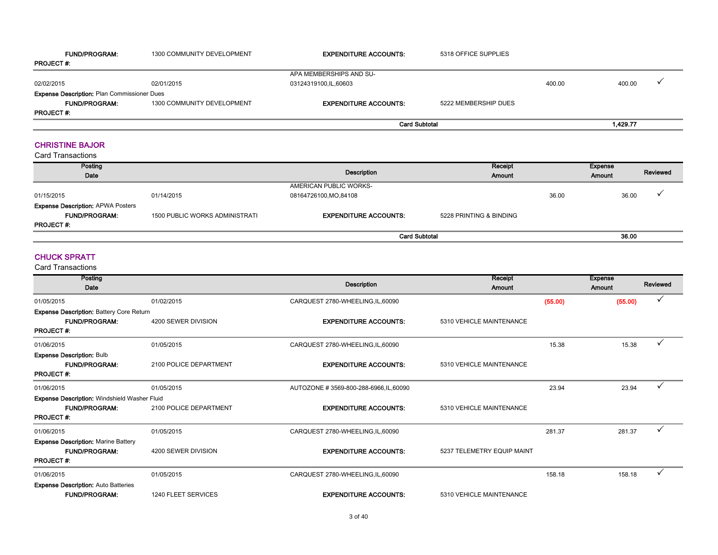| <b>FUND/PROGRAM:</b>                               | 1300 COMMUNITY DEVELOPMENT | <b>EXPENDITURE ACCOUNTS:</b> | 5318 OFFICE SUPPLIES |        |          |  |
|----------------------------------------------------|----------------------------|------------------------------|----------------------|--------|----------|--|
| <b>PROJECT #.</b>                                  |                            |                              |                      |        |          |  |
|                                                    |                            | APA MEMBERSHIPS AND SU-      |                      |        |          |  |
| 02/02/2015                                         | 02/01/2015                 | 03124319100,IL,60603         |                      | 400.00 | 400.00   |  |
| <b>Expense Description: Plan Commissioner Dues</b> |                            |                              |                      |        |          |  |
| <b>FUND/PROGRAM:</b>                               | 1300 COMMUNITY DEVELOPMENT | <b>EXPENDITURE ACCOUNTS:</b> | 5222 MEMBERSHIP DUES |        |          |  |
| <b>PROJECT #:</b>                                  |                            |                              |                      |        |          |  |
|                                                    |                            | <b>Card Subtotal</b>         |                      |        | 1.429.77 |  |

#### CHRISTINE BAJOR

Card Transactions

| Posting<br>Date                          |                                       | Description                  | Receipt<br>Amount       |       | Expense<br><b>Amount</b> | Reviewed |
|------------------------------------------|---------------------------------------|------------------------------|-------------------------|-------|--------------------------|----------|
|                                          |                                       | AMERICAN PUBLIC WORKS-       |                         |       |                          |          |
| 01/15/2015                               | 01/14/2015                            | 08164726100, MO, 84108       |                         | 36.00 | 36.00                    |          |
| <b>Expense Description: APWA Posters</b> |                                       |                              |                         |       |                          |          |
| <b>FUND/PROGRAM:</b>                     | <b>1500 PUBLIC WORKS ADMINISTRATI</b> | <b>EXPENDITURE ACCOUNTS:</b> | 5228 PRINTING & BINDING |       |                          |          |
| <b>PROJECT#:</b>                         |                                       |                              |                         |       |                          |          |
|                                          |                                       | <b>Card Subtotal</b>         |                         |       | 36.00                    |          |

#### CHUCK SPRATT

| Posting                                             |                        | <b>Description</b>                     | Receipt                    |         | <b>Expense</b> | Reviewed |
|-----------------------------------------------------|------------------------|----------------------------------------|----------------------------|---------|----------------|----------|
| Date                                                |                        |                                        | Amount                     |         | Amount         |          |
| 01/05/2015                                          | 01/02/2015             | CARQUEST 2780-WHEELING, IL, 60090      |                            | (55.00) | (55.00)        | ✓        |
| <b>Expense Description: Battery Core Return</b>     |                        |                                        |                            |         |                |          |
| <b>FUND/PROGRAM:</b>                                | 4200 SEWER DIVISION    | <b>EXPENDITURE ACCOUNTS:</b>           | 5310 VEHICLE MAINTENANCE   |         |                |          |
| <b>PROJECT#:</b>                                    |                        |                                        |                            |         |                |          |
| 01/06/2015                                          | 01/05/2015             | CARQUEST 2780-WHEELING, IL, 60090      |                            | 15.38   | 15.38          |          |
| <b>Expense Description: Bulb</b>                    |                        |                                        |                            |         |                |          |
| <b>FUND/PROGRAM:</b>                                | 2100 POLICE DEPARTMENT | <b>EXPENDITURE ACCOUNTS:</b>           | 5310 VEHICLE MAINTENANCE   |         |                |          |
| <b>PROJECT#:</b>                                    |                        |                                        |                            |         |                |          |
| 01/06/2015                                          | 01/05/2015             | AUTOZONE #3569-800-288-6966, IL, 60090 |                            | 23.94   | 23.94          |          |
| <b>Expense Description: Windshield Washer Fluid</b> |                        |                                        |                            |         |                |          |
| <b>FUND/PROGRAM:</b>                                | 2100 POLICE DEPARTMENT | <b>EXPENDITURE ACCOUNTS:</b>           | 5310 VEHICLE MAINTENANCE   |         |                |          |
| <b>PROJECT#:</b>                                    |                        |                                        |                            |         |                |          |
| 01/06/2015                                          | 01/05/2015             | CARQUEST 2780-WHEELING, IL, 60090      |                            | 281.37  | 281.37         | ✓        |
| <b>Expense Description: Marine Battery</b>          |                        |                                        |                            |         |                |          |
| <b>FUND/PROGRAM:</b>                                | 4200 SEWER DIVISION    | <b>EXPENDITURE ACCOUNTS:</b>           | 5237 TELEMETRY EQUIP MAINT |         |                |          |
| <b>PROJECT#:</b>                                    |                        |                                        |                            |         |                |          |
| 01/06/2015                                          | 01/05/2015             | CARQUEST 2780-WHEELING, IL, 60090      |                            | 158.18  | 158.18         | ✓        |
| <b>Expense Description: Auto Batteries</b>          |                        |                                        |                            |         |                |          |
| <b>FUND/PROGRAM:</b>                                | 1240 FLEET SERVICES    | <b>EXPENDITURE ACCOUNTS:</b>           | 5310 VEHICLE MAINTENANCE   |         |                |          |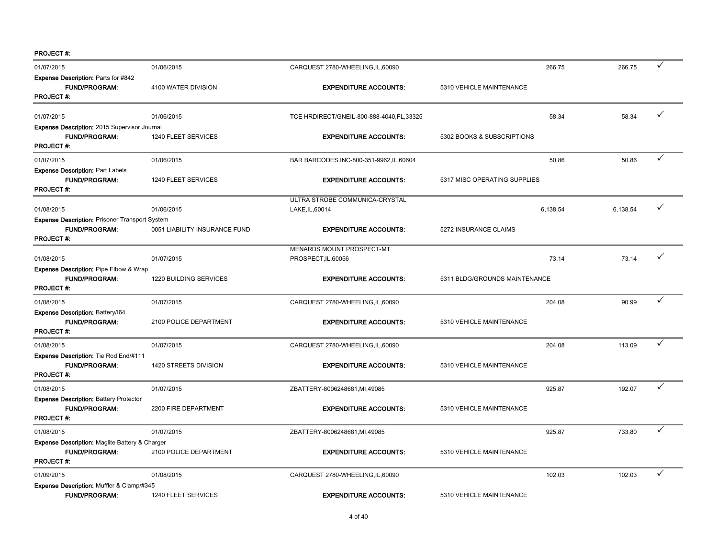| 01/07/2015                                                                                        | 01/06/2015                    | CARQUEST 2780-WHEELING, IL, 60090          | 266.75                        | 266.75   | ✓ |
|---------------------------------------------------------------------------------------------------|-------------------------------|--------------------------------------------|-------------------------------|----------|---|
| <b>Expense Description: Parts for #842</b><br><b>FUND/PROGRAM:</b><br><b>PROJECT#:</b>            | 4100 WATER DIVISION           | <b>EXPENDITURE ACCOUNTS:</b>               | 5310 VEHICLE MAINTENANCE      |          |   |
| 01/07/2015                                                                                        | 01/06/2015                    | TCE HRDIRECT/GNEIL-800-888-4040, FL, 33325 | 58.34                         | 58.34    | ✓ |
| Expense Description: 2015 Supervisor Journal                                                      |                               |                                            |                               |          |   |
| FUND/PROGRAM:<br><b>PROJECT#:</b>                                                                 | 1240 FLEET SERVICES           | <b>EXPENDITURE ACCOUNTS:</b>               | 5302 BOOKS & SUBSCRIPTIONS    |          |   |
| 01/07/2015                                                                                        | 01/06/2015                    | BAR BARCODES INC-800-351-9962, IL, 60604   | 50.86                         | 50.86    | ✓ |
| <b>Expense Description: Part Labels</b>                                                           |                               |                                            |                               |          |   |
| <b>FUND/PROGRAM:</b><br><b>PROJECT#:</b>                                                          | 1240 FLEET SERVICES           | <b>EXPENDITURE ACCOUNTS:</b>               | 5317 MISC OPERATING SUPPLIES  |          |   |
|                                                                                                   |                               | ULTRA STROBE COMMUNICA-CRYSTAL             |                               |          |   |
| 01/08/2015                                                                                        | 01/06/2015                    | LAKE, IL, 60014                            | 6,138.54                      | 6,138.54 | ✓ |
| <b>Expense Description: Prisoner Transport System</b><br><b>FUND/PROGRAM:</b><br><b>PROJECT#:</b> | 0051 LIABILITY INSURANCE FUND | <b>EXPENDITURE ACCOUNTS:</b>               | 5272 INSURANCE CLAIMS         |          |   |
|                                                                                                   |                               | MENARDS MOUNT PROSPECT-MT                  |                               |          |   |
| 01/08/2015                                                                                        | 01/07/2015                    | PROSPECT, IL, 60056                        | 73.14                         | 73.14    | ✓ |
| Expense Description: Pipe Elbow & Wrap                                                            |                               |                                            |                               |          |   |
| <b>FUND/PROGRAM:</b>                                                                              | 1220 BUILDING SERVICES        | <b>EXPENDITURE ACCOUNTS:</b>               | 5311 BLDG/GROUNDS MAINTENANCE |          |   |
| <b>PROJECT#:</b>                                                                                  |                               |                                            |                               |          |   |
| 01/08/2015                                                                                        | 01/07/2015                    | CARQUEST 2780-WHEELING, IL, 60090          | 204.08                        | 90.99    | ✓ |
| Expense Description: Battery/164                                                                  |                               |                                            |                               |          |   |
| <b>FUND/PROGRAM:</b><br><b>PROJECT#:</b>                                                          | 2100 POLICE DEPARTMENT        | <b>EXPENDITURE ACCOUNTS:</b>               | 5310 VEHICLE MAINTENANCE      |          |   |
| 01/08/2015                                                                                        | 01/07/2015                    | CARQUEST 2780-WHEELING, IL, 60090          | 204.08                        | 113.09   | ✓ |
| Expense Description: Tie Rod End/#111                                                             |                               |                                            |                               |          |   |
| <b>FUND/PROGRAM:</b><br><b>PROJECT#:</b>                                                          | 1420 STREETS DIVISION         | <b>EXPENDITURE ACCOUNTS:</b>               | 5310 VEHICLE MAINTENANCE      |          |   |
| 01/08/2015                                                                                        | 01/07/2015                    | ZBATTERY-8006248681, MI, 49085             | 925.87                        | 192.07   | ✓ |
| <b>Expense Description: Battery Protector</b><br><b>FUND/PROGRAM:</b><br><b>PROJECT#:</b>         | 2200 FIRE DEPARTMENT          | <b>EXPENDITURE ACCOUNTS:</b>               | 5310 VEHICLE MAINTENANCE      |          |   |
| 01/08/2015                                                                                        | 01/07/2015                    | ZBATTERY-8006248681, MI, 49085             | 925.87                        | 733.80   | ✓ |
| <b>Expense Description: Maglite Battery &amp; Charger</b>                                         |                               |                                            |                               |          |   |
| <b>FUND/PROGRAM:</b><br><b>PROJECT#:</b>                                                          | 2100 POLICE DEPARTMENT        | <b>EXPENDITURE ACCOUNTS:</b>               | 5310 VEHICLE MAINTENANCE      |          |   |
| 01/09/2015                                                                                        | 01/08/2015                    | CARQUEST 2780-WHEELING, IL, 60090          | 102.03                        | 102.03   | ✓ |
| Expense Description: Muffler & Clamp/#345                                                         |                               |                                            |                               |          |   |
| FUND/PROGRAM:                                                                                     | 1240 FLEET SERVICES           | <b>EXPENDITURE ACCOUNTS:</b>               | 5310 VEHICLE MAINTENANCE      |          |   |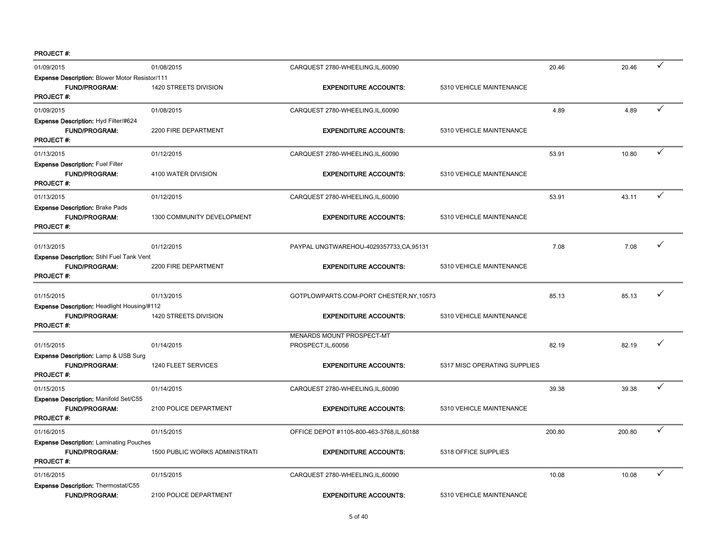| 01/09/2015                                                          | 01/08/2015                     | CARQUEST 2780-WHEELING, IL, 60090          |                              | 20.46  | 20.46  | ✓            |
|---------------------------------------------------------------------|--------------------------------|--------------------------------------------|------------------------------|--------|--------|--------------|
| <b>Expense Description: Blower Motor Resistor/111</b>               |                                |                                            |                              |        |        |              |
| FUND/PROGRAM:                                                       | 1420 STREETS DIVISION          | <b>EXPENDITURE ACCOUNTS:</b>               | 5310 VEHICLE MAINTENANCE     |        |        |              |
| <b>PROJECT#:</b>                                                    |                                |                                            |                              |        |        |              |
| 01/09/2015                                                          | 01/08/2015                     | CARQUEST 2780-WHEELING, IL, 60090          |                              | 4.89   | 4.89   | ✓            |
| Expense Description: Hyd Filter/#624                                |                                |                                            |                              |        |        |              |
| <b>FUND/PROGRAM:</b><br><b>PROJECT#:</b>                            | 2200 FIRE DEPARTMENT           | <b>EXPENDITURE ACCOUNTS:</b>               | 5310 VEHICLE MAINTENANCE     |        |        |              |
|                                                                     |                                |                                            |                              |        |        |              |
| 01/13/2015                                                          | 01/12/2015                     | CARQUEST 2780-WHEELING, IL, 60090          |                              | 53.91  | 10.80  | ✓            |
| <b>Expense Description: Fuel Filter</b>                             |                                |                                            |                              |        |        |              |
| <b>FUND/PROGRAM:</b>                                                | 4100 WATER DIVISION            | <b>EXPENDITURE ACCOUNTS:</b>               | 5310 VEHICLE MAINTENANCE     |        |        |              |
| <b>PROJECT#:</b>                                                    |                                |                                            |                              |        |        |              |
| 01/13/2015                                                          | 01/12/2015                     | CARQUEST 2780-WHEELING, IL, 60090          |                              | 53.91  | 43.11  | ✓            |
| <b>Expense Description: Brake Pads</b>                              |                                |                                            |                              |        |        |              |
| FUND/PROGRAM.                                                       | 1300 COMMUNITY DEVELOPMENT     | <b>EXPENDITURE ACCOUNTS:</b>               | 5310 VEHICLE MAINTENANCE     |        |        |              |
| <b>PROJECT#:</b>                                                    |                                |                                            |                              |        |        |              |
| 01/13/2015                                                          | 01/12/2015                     | PAYPAL UNGTWAREHOU-4029357733,CA,95131     |                              | 7.08   | 7.08   | ✓            |
| Expense Description: Stihl Fuel Tank Vent                           |                                |                                            |                              |        |        |              |
| <b>FUND/PROGRAM:</b>                                                | 2200 FIRE DEPARTMENT           | <b>EXPENDITURE ACCOUNTS:</b>               | 5310 VEHICLE MAINTENANCE     |        |        |              |
| <b>PROJECT#:</b>                                                    |                                |                                            |                              |        |        |              |
|                                                                     |                                |                                            |                              |        |        |              |
| 01/15/2015                                                          | 01/13/2015                     | GOTPLOWPARTS.COM-PORT CHESTER, NY, 10573   |                              | 85.13  | 85.13  |              |
| Expense Description: Headlight Housing/#112<br><b>FUND/PROGRAM:</b> | 1420 STREETS DIVISION          | <b>EXPENDITURE ACCOUNTS:</b>               | 5310 VEHICLE MAINTENANCE     |        |        |              |
| <b>PROJECT#:</b>                                                    |                                |                                            |                              |        |        |              |
|                                                                     |                                | MENARDS MOUNT PROSPECT-MT                  |                              |        |        |              |
| 01/15/2015                                                          | 01/14/2015                     | PROSPECT, IL, 60056                        |                              | 82.19  | 82.19  | ✓            |
| <b>Expense Description: Lamp &amp; USB Surg</b>                     |                                |                                            |                              |        |        |              |
| <b>FUND/PROGRAM:</b>                                                | 1240 FLEET SERVICES            | <b>EXPENDITURE ACCOUNTS:</b>               | 5317 MISC OPERATING SUPPLIES |        |        |              |
| <b>PROJECT#:</b>                                                    |                                |                                            |                              |        |        |              |
| 01/15/2015                                                          | 01/14/2015                     | CARQUEST 2780-WHEELING, IL, 60090          |                              | 39.38  | 39.38  | $\checkmark$ |
| Expense Description: Manifold Set/C55                               |                                |                                            |                              |        |        |              |
| <b>FUND/PROGRAM:</b>                                                | 2100 POLICE DEPARTMENT         | <b>EXPENDITURE ACCOUNTS:</b>               | 5310 VEHICLE MAINTENANCE     |        |        |              |
| <b>PROJECT#:</b>                                                    |                                |                                            |                              |        |        |              |
| 01/16/2015                                                          | 01/15/2015                     | OFFICE DEPOT #1105-800-463-3768, IL, 60188 |                              | 200.80 | 200.80 | ✓            |
| <b>Expense Description: Laminating Pouches</b>                      |                                |                                            |                              |        |        |              |
| <b>FUND/PROGRAM:</b>                                                | 1500 PUBLIC WORKS ADMINISTRATI | <b>EXPENDITURE ACCOUNTS:</b>               | 5318 OFFICE SUPPLIES         |        |        |              |
| <b>PROJECT#:</b>                                                    |                                |                                            |                              |        |        |              |
| 01/16/2015                                                          | 01/15/2015                     | CARQUEST 2780-WHEELING, IL, 60090          |                              | 10.08  | 10.08  | ✓            |
| <b>Expense Description: Thermostat/C55</b>                          |                                |                                            |                              |        |        |              |
| <b>FUND/PROGRAM:</b>                                                | 2100 POLICE DEPARTMENT         | <b>EXPENDITURE ACCOUNTS:</b>               | 5310 VEHICLE MAINTENANCE     |        |        |              |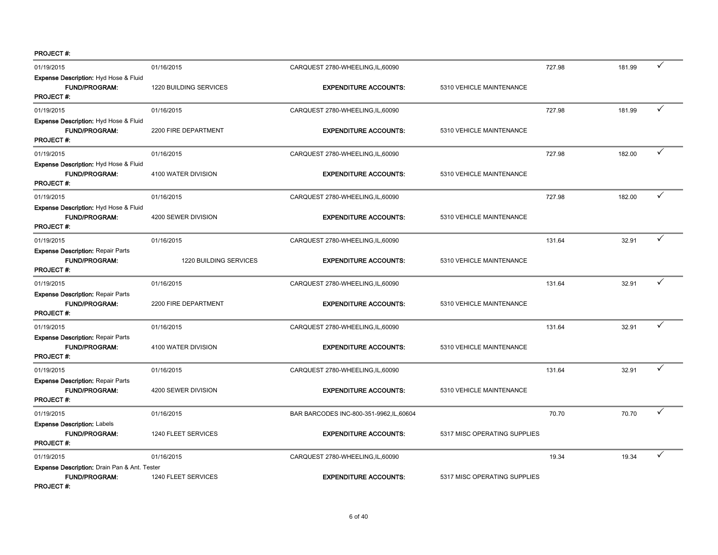| 01/19/2015                                                                               | 01/16/2015             | CARQUEST 2780-WHEELING, IL, 60090        |                              | 727.98 | 181.99 | ✓            |
|------------------------------------------------------------------------------------------|------------------------|------------------------------------------|------------------------------|--------|--------|--------------|
| Expense Description: Hyd Hose & Fluid<br>FUND/PROGRAM:<br><b>PROJECT#:</b>               | 1220 BUILDING SERVICES | <b>EXPENDITURE ACCOUNTS:</b>             | 5310 VEHICLE MAINTENANCE     |        |        |              |
| 01/19/2015                                                                               | 01/16/2015             | CARQUEST 2780-WHEELING, IL, 60090        |                              | 727.98 | 181.99 | $\checkmark$ |
| Expense Description: Hyd Hose & Fluid<br><b>FUND/PROGRAM:</b><br><b>PROJECT#:</b>        | 2200 FIRE DEPARTMENT   | <b>EXPENDITURE ACCOUNTS:</b>             | 5310 VEHICLE MAINTENANCE     |        |        |              |
| 01/19/2015                                                                               | 01/16/2015             | CARQUEST 2780-WHEELING, IL, 60090        |                              | 727.98 | 182.00 | ✓            |
| Expense Description: Hyd Hose & Fluid<br><b>FUND/PROGRAM:</b><br><b>PROJECT#:</b>        | 4100 WATER DIVISION    | <b>EXPENDITURE ACCOUNTS:</b>             | 5310 VEHICLE MAINTENANCE     |        |        |              |
| 01/19/2015                                                                               | 01/16/2015             | CARQUEST 2780-WHEELING, IL, 60090        |                              | 727.98 | 182.00 | ✓            |
| Expense Description: Hyd Hose & Fluid<br><b>FUND/PROGRAM:</b><br><b>PROJECT#:</b>        | 4200 SEWER DIVISION    | <b>EXPENDITURE ACCOUNTS:</b>             | 5310 VEHICLE MAINTENANCE     |        |        |              |
| 01/19/2015                                                                               | 01/16/2015             | CARQUEST 2780-WHEELING, IL, 60090        |                              | 131.64 | 32.91  | ✓            |
| <b>Expense Description: Repair Parts</b><br><b>FUND/PROGRAM:</b><br><b>PROJECT#:</b>     | 1220 BUILDING SERVICES | <b>EXPENDITURE ACCOUNTS:</b>             | 5310 VEHICLE MAINTENANCE     |        |        |              |
| 01/19/2015                                                                               | 01/16/2015             | CARQUEST 2780-WHEELING, IL, 60090        |                              | 131.64 | 32.91  | ✓            |
| <b>Expense Description: Repair Parts</b><br><b>FUND/PROGRAM:</b><br><b>PROJECT#:</b>     | 2200 FIRE DEPARTMENT   | <b>EXPENDITURE ACCOUNTS:</b>             | 5310 VEHICLE MAINTENANCE     |        |        |              |
| 01/19/2015                                                                               | 01/16/2015             | CARQUEST 2780-WHEELING, IL, 60090        |                              | 131.64 | 32.91  | ✓            |
| <b>Expense Description: Repair Parts</b><br>FUND/PROGRAM:<br>PROJECT#:                   | 4100 WATER DIVISION    | <b>EXPENDITURE ACCOUNTS:</b>             | 5310 VEHICLE MAINTENANCE     |        |        |              |
| 01/19/2015                                                                               | 01/16/2015             | CARQUEST 2780-WHEELING, IL, 60090        |                              | 131.64 | 32.91  | ✓            |
| <b>Expense Description: Repair Parts</b><br><b>FUND/PROGRAM:</b><br><b>PROJECT#:</b>     | 4200 SEWER DIVISION    | <b>EXPENDITURE ACCOUNTS:</b>             | 5310 VEHICLE MAINTENANCE     |        |        |              |
| 01/19/2015                                                                               | 01/16/2015             | BAR BARCODES INC-800-351-9962, IL, 60604 |                              | 70.70  | 70.70  | $\checkmark$ |
| <b>Expense Description: Labels</b><br><b>FUND/PROGRAM:</b><br><b>PROJECT#:</b>           | 1240 FLEET SERVICES    | <b>EXPENDITURE ACCOUNTS:</b>             | 5317 MISC OPERATING SUPPLIES |        |        |              |
| 01/19/2015                                                                               | 01/16/2015             | CARQUEST 2780-WHEELING, IL, 60090        |                              | 19.34  | 19.34  | $\checkmark$ |
| Expense Description: Drain Pan & Ant. Tester<br><b>FUND/PROGRAM:</b><br><b>PROJECT#:</b> | 1240 FLEET SERVICES    | <b>EXPENDITURE ACCOUNTS:</b>             | 5317 MISC OPERATING SUPPLIES |        |        |              |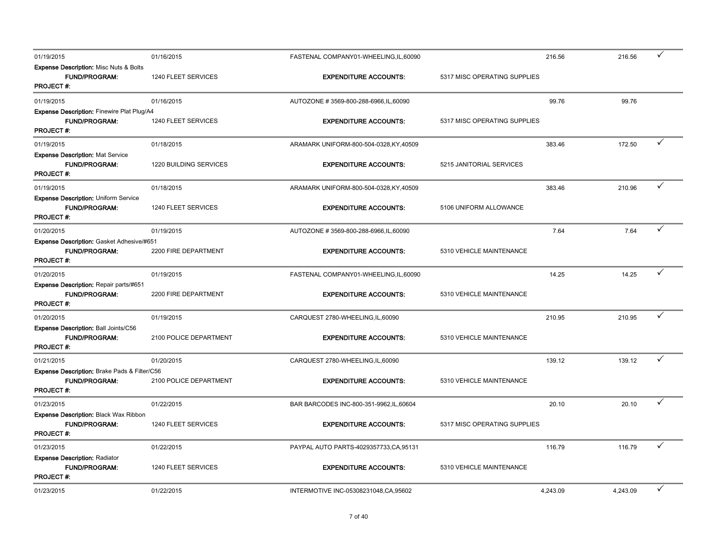| 01/19/2015                                                                                     | 01/16/2015             | FASTENAL COMPANY01-WHEELING,IL,60090     |                              | 216.56   | 216.56   | ✓ |
|------------------------------------------------------------------------------------------------|------------------------|------------------------------------------|------------------------------|----------|----------|---|
| <b>Expense Description: Misc Nuts &amp; Bolts</b><br><b>FUND/PROGRAM:</b><br><b>PROJECT #:</b> | 1240 FLEET SERVICES    | <b>EXPENDITURE ACCOUNTS:</b>             | 5317 MISC OPERATING SUPPLIES |          |          |   |
| 01/19/2015                                                                                     | 01/16/2015             | AUTOZONE #3569-800-288-6966, IL, 60090   |                              | 99.76    | 99.76    |   |
| Expense Description: Finewire Plat Plug/A4<br><b>FUND/PROGRAM:</b><br><b>PROJECT#:</b>         | 1240 FLEET SERVICES    | <b>EXPENDITURE ACCOUNTS:</b>             | 5317 MISC OPERATING SUPPLIES |          |          |   |
| 01/19/2015                                                                                     | 01/18/2015             | ARAMARK UNIFORM-800-504-0328, KY, 40509  |                              | 383.46   | 172.50   | ✓ |
| <b>Expense Description: Mat Service</b><br>FUND/PROGRAM:<br>PROJECT #.                         | 1220 BUILDING SERVICES | <b>EXPENDITURE ACCOUNTS:</b>             | 5215 JANITORIAL SERVICES     |          |          |   |
| 01/19/2015                                                                                     | 01/18/2015             | ARAMARK UNIFORM-800-504-0328, KY, 40509  |                              | 383.46   | 210.96   | ✓ |
| Expense Description: Uniform Service<br><b>FUND/PROGRAM:</b><br><b>PROJECT #:</b>              | 1240 FLEET SERVICES    | <b>EXPENDITURE ACCOUNTS:</b>             | 5106 UNIFORM ALLOWANCE       |          |          |   |
| 01/20/2015                                                                                     | 01/19/2015             | AUTOZONE #3569-800-288-6966, IL, 60090   |                              | 7.64     | 7.64     |   |
| Expense Description: Gasket Adhesive/#651<br><b>FUND/PROGRAM:</b><br><b>PROJECT#:</b>          | 2200 FIRE DEPARTMENT   | <b>EXPENDITURE ACCOUNTS:</b>             | 5310 VEHICLE MAINTENANCE     |          |          |   |
| 01/20/2015                                                                                     | 01/19/2015             | FASTENAL COMPANY01-WHEELING, IL, 60090   |                              | 14.25    | 14.25    | ✓ |
| Expense Description: Repair parts/#651<br><b>FUND/PROGRAM:</b><br><b>PROJECT#:</b>             | 2200 FIRE DEPARTMENT   | <b>EXPENDITURE ACCOUNTS:</b>             | 5310 VEHICLE MAINTENANCE     |          |          |   |
| 01/20/2015                                                                                     | 01/19/2015             | CARQUEST 2780-WHEELING, IL, 60090        |                              | 210.95   | 210.95   | ✓ |
| <b>Expense Description: Ball Joints/C56</b><br><b>FUND/PROGRAM:</b><br><b>PROJECT#:</b>        | 2100 POLICE DEPARTMENT | <b>EXPENDITURE ACCOUNTS:</b>             | 5310 VEHICLE MAINTENANCE     |          |          |   |
| 01/21/2015                                                                                     | 01/20/2015             | CARQUEST 2780-WHEELING, IL, 60090        |                              | 139.12   | 139.12   | ✓ |
| Expense Description: Brake Pads & Filter/C56<br><b>FUND/PROGRAM:</b><br>PROJECT #:             | 2100 POLICE DEPARTMENT | <b>EXPENDITURE ACCOUNTS:</b>             | 5310 VEHICLE MAINTENANCE     |          |          |   |
| 01/23/2015                                                                                     | 01/22/2015             | BAR BARCODES INC-800-351-9962, IL, 60604 |                              | 20.10    | 20.10    | ✓ |
| Expense Description: Black Wax Ribbon<br><b>FUND/PROGRAM:</b><br><b>PROJECT#:</b>              | 1240 FLEET SERVICES    | <b>EXPENDITURE ACCOUNTS:</b>             | 5317 MISC OPERATING SUPPLIES |          |          |   |
| 01/23/2015                                                                                     | 01/22/2015             | PAYPAL AUTO PARTS-4029357733, CA, 95131  |                              | 116.79   | 116.79   | ✓ |
| <b>Expense Description: Radiator</b><br><b>FUND/PROGRAM:</b><br><b>PROJECT#:</b>               | 1240 FLEET SERVICES    | <b>EXPENDITURE ACCOUNTS:</b>             | 5310 VEHICLE MAINTENANCE     |          |          |   |
| 01/23/2015                                                                                     | 01/22/2015             | INTERMOTIVE INC-05308231048,CA,95602     |                              | 4,243.09 | 4,243.09 | ✓ |
|                                                                                                |                        |                                          |                              |          |          |   |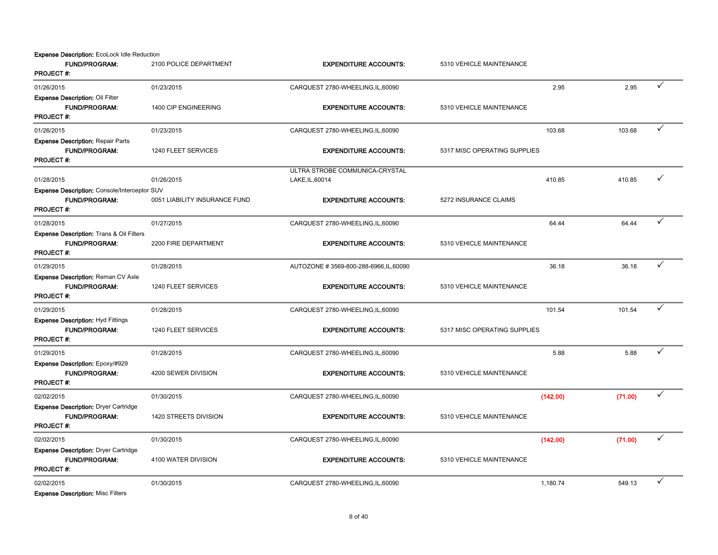Expense Description: EcoLock Idle Reduction

| <b>FUND/PROGRAM:</b><br><b>PROJECT#:</b>                                                        | 2100 POLICE DEPARTMENT        | <b>EXPENDITURE ACCOUNTS:</b>                      | 5310 VEHICLE MAINTENANCE     |          |         |   |
|-------------------------------------------------------------------------------------------------|-------------------------------|---------------------------------------------------|------------------------------|----------|---------|---|
| 01/26/2015                                                                                      | 01/23/2015                    | CARQUEST 2780-WHEELING, IL, 60090                 |                              | 2.95     | 2.95    | ✓ |
| <b>Expense Description: Oil Filter</b><br><b>FUND/PROGRAM:</b><br><b>PROJECT#:</b>              | 1400 CIP ENGINEERING          | <b>EXPENDITURE ACCOUNTS:</b>                      | 5310 VEHICLE MAINTENANCE     |          |         |   |
| 01/26/2015                                                                                      | 01/23/2015                    | CARQUEST 2780-WHEELING, IL, 60090                 |                              | 103.68   | 103.68  | ✓ |
| <b>Expense Description: Repair Parts</b><br><b>FUND/PROGRAM:</b><br>PROJECT#:                   | 1240 FLEET SERVICES           | <b>EXPENDITURE ACCOUNTS:</b>                      | 5317 MISC OPERATING SUPPLIES |          |         |   |
| 01/28/2015                                                                                      | 01/26/2015                    | ULTRA STROBE COMMUNICA-CRYSTAL<br>LAKE, IL, 60014 |                              | 410.85   | 410.85  | ✓ |
| Expense Description: Console/Interceptor SUV<br><b>FUND/PROGRAM:</b><br><b>PROJECT#:</b>        | 0051 LIABILITY INSURANCE FUND | <b>EXPENDITURE ACCOUNTS:</b>                      | 5272 INSURANCE CLAIMS        |          |         |   |
| 01/28/2015                                                                                      | 01/27/2015                    | CARQUEST 2780-WHEELING, IL, 60090                 |                              | 64.44    | 64.44   |   |
| <b>Expense Description: Trans &amp; Oil Filters</b><br><b>FUND/PROGRAM:</b><br><b>PROJECT#:</b> | 2200 FIRE DEPARTMENT          | <b>EXPENDITURE ACCOUNTS:</b>                      | 5310 VEHICLE MAINTENANCE     |          |         |   |
| 01/29/2015                                                                                      | 01/28/2015                    | AUTOZONE #3569-800-288-6966, IL, 60090            |                              | 36.18    | 36.18   | ✓ |
| Expense Description: Reman CV Axle<br><b>FUND/PROGRAM:</b><br><b>PROJECT#:</b>                  | 1240 FLEET SERVICES           | <b>EXPENDITURE ACCOUNTS:</b>                      | 5310 VEHICLE MAINTENANCE     |          |         |   |
| 01/29/2015                                                                                      | 01/28/2015                    | CARQUEST 2780-WHEELING, IL, 60090                 |                              | 101.54   | 101.54  | ✓ |
| <b>Expense Description: Hyd Fittings</b><br><b>FUND/PROGRAM:</b><br><b>PROJECT#:</b>            | 1240 FLEET SERVICES           | <b>EXPENDITURE ACCOUNTS:</b>                      | 5317 MISC OPERATING SUPPLIES |          |         |   |
| 01/29/2015                                                                                      | 01/28/2015                    | CARQUEST 2780-WHEELING, IL, 60090                 |                              | 5.88     | 5.88    |   |
| Expense Description: Epoxy/#929<br><b>FUND/PROGRAM:</b><br><b>PROJECT#:</b>                     | 4200 SEWER DIVISION           | <b>EXPENDITURE ACCOUNTS:</b>                      | 5310 VEHICLE MAINTENANCE     |          |         |   |
| 02/02/2015                                                                                      | 01/30/2015                    | CARQUEST 2780-WHEELING, IL, 60090                 |                              | (142.00) | (71.00) |   |
| <b>Expense Description: Dryer Cartridge</b><br><b>FUND/PROGRAM:</b><br><b>PROJECT#:</b>         | 1420 STREETS DIVISION         | <b>EXPENDITURE ACCOUNTS:</b>                      | 5310 VEHICLE MAINTENANCE     |          |         |   |
| 02/02/2015                                                                                      | 01/30/2015                    | CARQUEST 2780-WHEELING, IL, 60090                 |                              | (142.00) | (71.00) | ✓ |
| <b>Expense Description: Dryer Cartridge</b><br><b>FUND/PROGRAM:</b><br><b>PROJECT#:</b>         | 4100 WATER DIVISION           | <b>EXPENDITURE ACCOUNTS:</b>                      | 5310 VEHICLE MAINTENANCE     |          |         |   |
| 02/02/2015<br>Evannan Benediction: Mine Ellisse                                                 | 01/30/2015                    | CARQUEST 2780-WHEELING, IL, 60090                 |                              | 1,180.74 | 549.13  | ✓ |

Expense Description: Misc Filters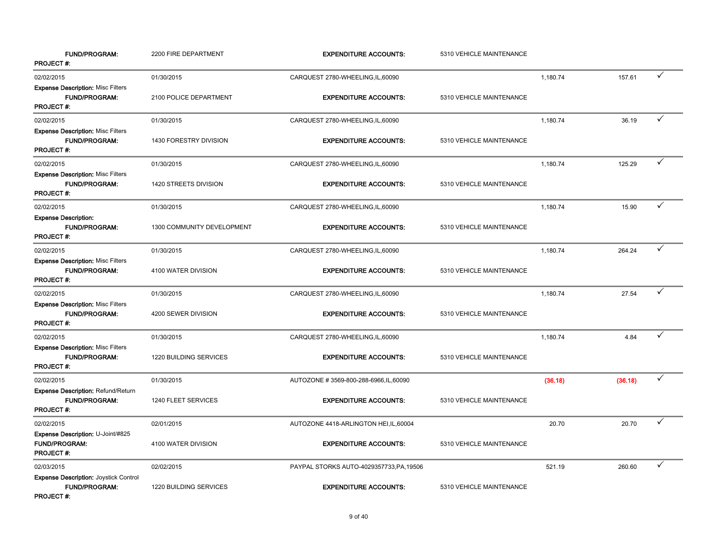| <b>FUND/PROGRAM:</b><br>PROJECT#:                                                        | 2200 FIRE DEPARTMENT       | <b>EXPENDITURE ACCOUNTS:</b>             | 5310 VEHICLE MAINTENANCE |          |         |              |
|------------------------------------------------------------------------------------------|----------------------------|------------------------------------------|--------------------------|----------|---------|--------------|
| 02/02/2015                                                                               | 01/30/2015                 | CARQUEST 2780-WHEELING, IL, 60090        |                          | 1,180.74 | 157.61  | $\checkmark$ |
| <b>Expense Description: Misc Filters</b><br><b>FUND/PROGRAM:</b><br><b>PROJECT#:</b>     | 2100 POLICE DEPARTMENT     | <b>EXPENDITURE ACCOUNTS:</b>             | 5310 VEHICLE MAINTENANCE |          |         |              |
| 02/02/2015                                                                               | 01/30/2015                 | CARQUEST 2780-WHEELING, IL, 60090        |                          | 1,180.74 | 36.19   | ✓            |
| <b>Expense Description: Misc Filters</b><br><b>FUND/PROGRAM:</b><br><b>PROJECT#:</b>     | 1430 FORESTRY DIVISION     | <b>EXPENDITURE ACCOUNTS:</b>             | 5310 VEHICLE MAINTENANCE |          |         |              |
| 02/02/2015                                                                               | 01/30/2015                 | CARQUEST 2780-WHEELING, IL, 60090        |                          | 1,180.74 | 125.29  | ✓            |
| <b>Expense Description: Misc Filters</b><br>FUND/PROGRAM:<br><b>PROJECT#:</b>            | 1420 STREETS DIVISION      | <b>EXPENDITURE ACCOUNTS:</b>             | 5310 VEHICLE MAINTENANCE |          |         |              |
| 02/02/2015                                                                               | 01/30/2015                 | CARQUEST 2780-WHEELING, IL, 60090        |                          | 1,180.74 | 15.90   | ✓            |
| <b>Expense Description:</b><br><b>FUND/PROGRAM:</b><br><b>PROJECT#:</b>                  | 1300 COMMUNITY DEVELOPMENT | <b>EXPENDITURE ACCOUNTS:</b>             | 5310 VEHICLE MAINTENANCE |          |         |              |
| 02/02/2015                                                                               | 01/30/2015                 | CARQUEST 2780-WHEELING, IL, 60090        |                          | 1,180.74 | 264.24  | ✓            |
| <b>Expense Description: Misc Filters</b><br><b>FUND/PROGRAM:</b><br><b>PROJECT#:</b>     | 4100 WATER DIVISION        | <b>EXPENDITURE ACCOUNTS:</b>             | 5310 VEHICLE MAINTENANCE |          |         |              |
| 02/02/2015                                                                               | 01/30/2015                 | CARQUEST 2780-WHEELING, IL, 60090        |                          | 1,180.74 | 27.54   | ✓            |
| <b>Expense Description: Misc Filters</b><br>FUND/PROGRAM:<br><b>PROJECT#:</b>            | 4200 SEWER DIVISION        | <b>EXPENDITURE ACCOUNTS:</b>             | 5310 VEHICLE MAINTENANCE |          |         |              |
| 02/02/2015                                                                               | 01/30/2015                 | CARQUEST 2780-WHEELING, IL, 60090        |                          | 1,180.74 | 4.84    | ✓            |
| <b>Expense Description: Misc Filters</b><br><b>FUND/PROGRAM:</b><br><b>PROJECT#:</b>     | 1220 BUILDING SERVICES     | <b>EXPENDITURE ACCOUNTS:</b>             | 5310 VEHICLE MAINTENANCE |          |         |              |
| 02/02/2015                                                                               | 01/30/2015                 | AUTOZONE #3569-800-288-6966, IL, 60090   |                          | (36.18)  | (36.18) | ✓            |
| Expense Description: Refund/Return<br><b>FUND/PROGRAM:</b><br>PROJECT#:                  | 1240 FLEET SERVICES        | <b>EXPENDITURE ACCOUNTS:</b>             | 5310 VEHICLE MAINTENANCE |          |         |              |
| 02/02/2015                                                                               | 02/01/2015                 | AUTOZONE 4418-ARLINGTON HEI, IL, 60004   |                          | 20.70    | 20.70   |              |
| Expense Description: U-Joint/#825<br><b>FUND/PROGRAM:</b><br><b>PROJECT#:</b>            | 4100 WATER DIVISION        | <b>EXPENDITURE ACCOUNTS:</b>             | 5310 VEHICLE MAINTENANCE |          |         |              |
| 02/03/2015                                                                               | 02/02/2015                 | PAYPAL STORKS AUTO-4029357733, PA, 19506 |                          | 521.19   | 260.60  | ✓            |
| <b>Expense Description: Joystick Control</b><br><b>FUND/PROGRAM:</b><br><b>PROJECT#:</b> | 1220 BUILDING SERVICES     | <b>EXPENDITURE ACCOUNTS:</b>             | 5310 VEHICLE MAINTENANCE |          |         |              |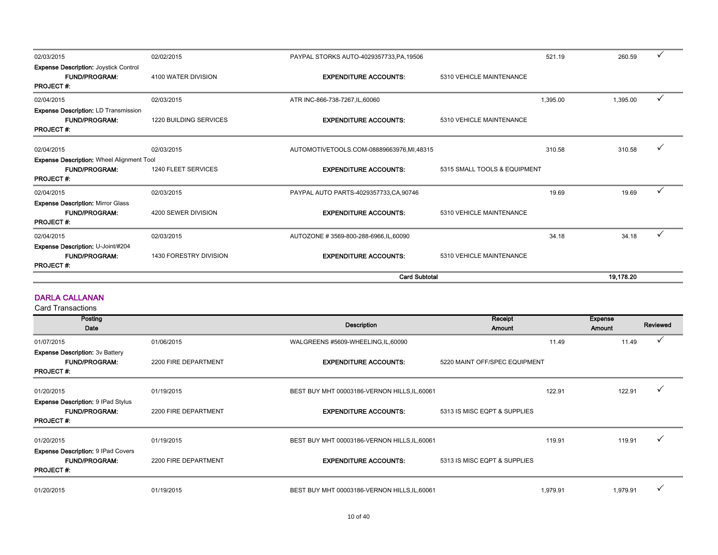|                                                                                          |                               | <b>Card Subtotal</b>                     |                              |          | 19.178.20 |              |
|------------------------------------------------------------------------------------------|-------------------------------|------------------------------------------|------------------------------|----------|-----------|--------------|
| Expense Description: U-Joint/#204<br><b>FUND/PROGRAM:</b><br><b>PROJECT#:</b>            | 1430 FORESTRY DIVISION        | <b>EXPENDITURE ACCOUNTS:</b>             | 5310 VEHICLE MAINTENANCE     |          |           |              |
| 02/04/2015                                                                               | 02/03/2015                    | AUTOZONE #3569-800-288-6966, IL, 60090   |                              | 34.18    | 34.18     | $\checkmark$ |
| <b>FUND/PROGRAM:</b><br><b>PROJECT#:</b>                                                 | 4200 SEWER DIVISION           | <b>EXPENDITURE ACCOUNTS:</b>             | 5310 VEHICLE MAINTENANCE     |          |           |              |
| 02/04/2015<br><b>Expense Description: Mirror Glass</b>                                   | 02/03/2015                    | PAYPAL AUTO PARTS-4029357733, CA, 90746  |                              | 19.69    | 19.69     | ✓            |
| Expense Description: Wheel Alignment Tool<br><b>FUND/PROGRAM:</b><br><b>PROJECT#:</b>    | 1240 FLEET SERVICES           | <b>EXPENDITURE ACCOUNTS:</b>             | 5315 SMALL TOOLS & EQUIPMENT |          |           |              |
| 02/04/2015                                                                               | 02/03/2015                    | AUTOMOTIVETOOLS.COM-08889663976,MI,48315 |                              | 310.58   | 310.58    |              |
| <b>Expense Description: LD Transmission</b><br><b>FUND/PROGRAM:</b><br><b>PROJECT#:</b>  | <b>1220 BUILDING SERVICES</b> | <b>EXPENDITURE ACCOUNTS:</b>             | 5310 VEHICLE MAINTENANCE     |          |           |              |
| 02/04/2015                                                                               | 02/03/2015                    | ATR INC-866-738-7267, IL, 60060          |                              | 1,395.00 | 1,395.00  | $\checkmark$ |
| <b>Expense Description: Joystick Control</b><br><b>FUND/PROGRAM:</b><br><b>PROJECT#:</b> | 4100 WATER DIVISION           | <b>EXPENDITURE ACCOUNTS:</b>             | 5310 VEHICLE MAINTENANCE     |          |           |              |
| 02/03/2015                                                                               | 02/02/2015                    | PAYPAL STORKS AUTO-4029357733, PA, 19506 |                              | 521.19   | 260.59    |              |

#### DARLA CALLANAN

| Posting<br>Date                                                                       |                      | Description                                   | Receipt<br>Amount             | <b>Expense</b><br><b>Amount</b> | Reviewed |
|---------------------------------------------------------------------------------------|----------------------|-----------------------------------------------|-------------------------------|---------------------------------|----------|
| 01/07/2015                                                                            | 01/06/2015           | WALGREENS #5609-WHEELING, IL, 60090           |                               | 11.49<br>11.49                  |          |
| <b>Expense Description: 3v Battery</b><br><b>FUND/PROGRAM:</b><br><b>PROJECT#:</b>    | 2200 FIRE DEPARTMENT | <b>EXPENDITURE ACCOUNTS:</b>                  | 5220 MAINT OFF/SPEC EQUIPMENT |                                 |          |
| 01/20/2015                                                                            | 01/19/2015           | BEST BUY MHT 00003186-VERNON HILLS, IL, 60061 | 122.91                        | 122.91                          |          |
| <b>Expense Description: 9 IPad Stylus</b><br><b>FUND/PROGRAM:</b><br><b>PROJECT#:</b> | 2200 FIRE DEPARTMENT | <b>EXPENDITURE ACCOUNTS:</b>                  | 5313 IS MISC EQPT & SUPPLIES  |                                 |          |
| 01/20/2015                                                                            | 01/19/2015           | BEST BUY MHT 00003186-VERNON HILLS, IL, 60061 | 119.91                        | 119.91                          |          |
| <b>Expense Description: 9 IPad Covers</b><br><b>FUND/PROGRAM:</b><br><b>PROJECT#:</b> | 2200 FIRE DEPARTMENT | <b>EXPENDITURE ACCOUNTS:</b>                  | 5313 IS MISC EQPT & SUPPLIES  |                                 |          |
| 01/20/2015                                                                            | 01/19/2015           | BEST BUY MHT 00003186-VERNON HILLS, IL, 60061 | 1,979.91                      | 1,979.91                        |          |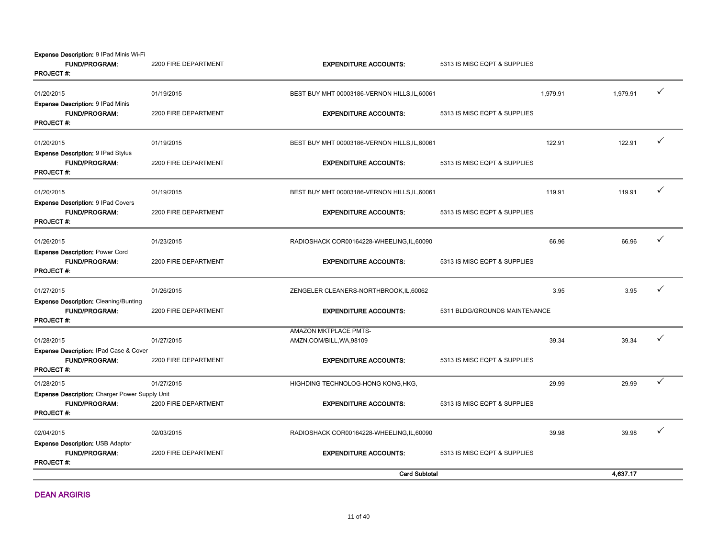Expense Description: 9 IPad Minis Wi-Fi

| <b>FUND/PROGRAM:</b><br><b>PROJECT#:</b>                                                      | 2200 FIRE DEPARTMENT | <b>EXPENDITURE ACCOUNTS:</b>                      | 5313 IS MISC EQPT & SUPPLIES  |          |          |              |
|-----------------------------------------------------------------------------------------------|----------------------|---------------------------------------------------|-------------------------------|----------|----------|--------------|
| 01/20/2015                                                                                    | 01/19/2015           | BEST BUY MHT 00003186-VERNON HILLS, IL, 60061     |                               | 1,979.91 | 1,979.91 | $\checkmark$ |
| <b>Expense Description: 9 IPad Minis</b><br><b>FUND/PROGRAM:</b><br><b>PROJECT#:</b>          | 2200 FIRE DEPARTMENT | <b>EXPENDITURE ACCOUNTS:</b>                      | 5313 IS MISC EQPT & SUPPLIES  |          |          |              |
| 01/20/2015                                                                                    | 01/19/2015           | BEST BUY MHT 00003186-VERNON HILLS, IL, 60061     |                               | 122.91   | 122.91   | ✓            |
| <b>Expense Description: 9 IPad Stylus</b><br><b>FUND/PROGRAM:</b><br><b>PROJECT#:</b>         | 2200 FIRE DEPARTMENT | <b>EXPENDITURE ACCOUNTS:</b>                      | 5313 IS MISC EQPT & SUPPLIES  |          |          |              |
| 01/20/2015                                                                                    | 01/19/2015           | BEST BUY MHT 00003186-VERNON HILLS, IL, 60061     |                               | 119.91   | 119.91   | ✓            |
| <b>Expense Description: 9 IPad Covers</b><br><b>FUND/PROGRAM:</b><br><b>PROJECT#:</b>         | 2200 FIRE DEPARTMENT | <b>EXPENDITURE ACCOUNTS:</b>                      | 5313 IS MISC EQPT & SUPPLIES  |          |          |              |
| 01/26/2015                                                                                    | 01/23/2015           | RADIOSHACK COR00164228-WHEELING, IL, 60090        |                               | 66.96    | 66.96    | ✓            |
| <b>Expense Description: Power Cord</b><br><b>FUND/PROGRAM:</b><br><b>PROJECT#:</b>            | 2200 FIRE DEPARTMENT | <b>EXPENDITURE ACCOUNTS:</b>                      | 5313 IS MISC EQPT & SUPPLIES  |          |          |              |
| 01/27/2015                                                                                    | 01/26/2015           | ZENGELER CLEANERS-NORTHBROOK, IL, 60062           |                               | 3.95     | 3.95     | ✓            |
| <b>Expense Description: Cleaning/Bunting</b><br>FUND/PROGRAM:<br><b>PROJECT#:</b>             | 2200 FIRE DEPARTMENT | <b>EXPENDITURE ACCOUNTS:</b>                      | 5311 BLDG/GROUNDS MAINTENANCE |          |          |              |
| 01/28/2015                                                                                    | 01/27/2015           | AMAZON MKTPLACE PMTS-<br>AMZN.COM/BILL, WA, 98109 |                               | 39.34    | 39.34    |              |
| <b>Expense Description: IPad Case &amp; Cover</b><br><b>FUND/PROGRAM:</b><br><b>PROJECT#:</b> | 2200 FIRE DEPARTMENT | <b>EXPENDITURE ACCOUNTS:</b>                      | 5313 IS MISC EQPT & SUPPLIES  |          |          |              |
| 01/28/2015                                                                                    | 01/27/2015           | HIGHDING TECHNOLOG-HONG KONG, HKG,                |                               | 29.99    | 29.99    | ✓            |
| Expense Description: Charger Power Supply Unit<br><b>FUND/PROGRAM:</b><br><b>PROJECT#:</b>    | 2200 FIRE DEPARTMENT | <b>EXPENDITURE ACCOUNTS:</b>                      | 5313 IS MISC EQPT & SUPPLIES  |          |          |              |
| 02/04/2015                                                                                    | 02/03/2015           | RADIOSHACK COR00164228-WHEELING, IL, 60090        |                               | 39.98    | 39.98    | ✓            |
| Expense Description: USB Adaptor<br><b>FUND/PROGRAM:</b><br><b>PROJECT#:</b>                  | 2200 FIRE DEPARTMENT | <b>EXPENDITURE ACCOUNTS:</b>                      | 5313 IS MISC EQPT & SUPPLIES  |          |          |              |
|                                                                                               |                      | <b>Card Subtotal</b>                              |                               |          | 4,637.17 |              |

DEAN ARGIRIS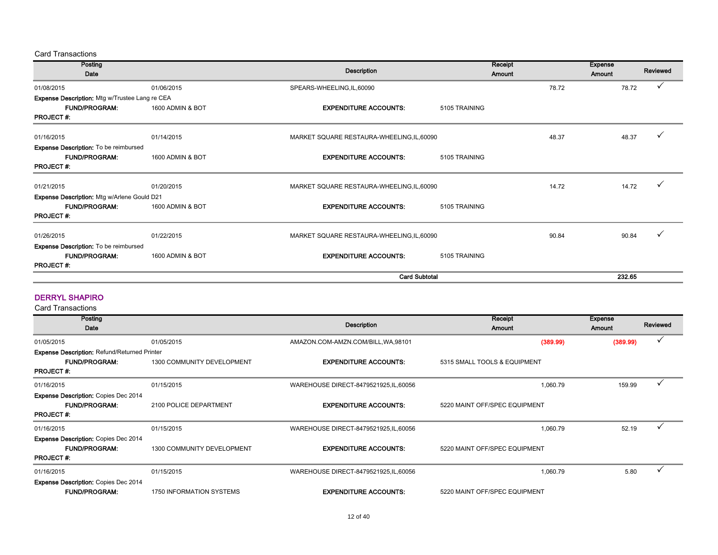Card Transactions

| Posting                                        |                  | <b>Description</b>                         | Receipt       | <b>Expense</b><br>Reviewed |
|------------------------------------------------|------------------|--------------------------------------------|---------------|----------------------------|
| Date                                           |                  |                                            | Amount        | Amount                     |
| 01/08/2015                                     | 01/06/2015       | SPEARS-WHEELING, IL, 60090                 | 78.72         | 78.72                      |
| Expense Description: Mtg w/Trustee Lang re CEA |                  |                                            |               |                            |
| <b>FUND/PROGRAM:</b>                           | 1600 ADMIN & BOT | <b>EXPENDITURE ACCOUNTS:</b>               | 5105 TRAINING |                            |
| <b>PROJECT#:</b>                               |                  |                                            |               |                            |
| 01/16/2015                                     | 01/14/2015       | MARKET SQUARE RESTAURA-WHEELING, IL, 60090 | 48.37         | 48.37                      |
| <b>Expense Description:</b> To be reimbursed   |                  |                                            |               |                            |
| <b>FUND/PROGRAM:</b>                           | 1600 ADMIN & BOT | <b>EXPENDITURE ACCOUNTS:</b>               | 5105 TRAINING |                            |
| <b>PROJECT#:</b>                               |                  |                                            |               |                            |
| 01/21/2015                                     | 01/20/2015       | MARKET SQUARE RESTAURA-WHEELING, IL, 60090 | 14.72         | 14.72                      |
| Expense Description: Mtg w/Arlene Gould D21    |                  |                                            |               |                            |
| <b>FUND/PROGRAM:</b>                           | 1600 ADMIN & BOT | <b>EXPENDITURE ACCOUNTS:</b>               | 5105 TRAINING |                            |
| <b>PROJECT#:</b>                               |                  |                                            |               |                            |
| 01/26/2015                                     | 01/22/2015       | MARKET SQUARE RESTAURA-WHEELING, IL, 60090 | 90.84         | 90.84                      |
| Expense Description: To be reimbursed          |                  |                                            |               |                            |
| <b>FUND/PROGRAM:</b>                           | 1600 ADMIN & BOT | <b>EXPENDITURE ACCOUNTS:</b>               | 5105 TRAINING |                            |
| <b>PROJECT#:</b>                               |                  |                                            |               |                            |
|                                                |                  | <b>Card Subtotal</b>                       |               | 232.65                     |

#### DERRYL SHAPIRO

| Posting                                             |                            | Description                            | Receipt                       | <b>Expense</b> | Reviewed     |
|-----------------------------------------------------|----------------------------|----------------------------------------|-------------------------------|----------------|--------------|
| Date                                                |                            |                                        | Amount                        | <b>Amount</b>  |              |
| 01/05/2015                                          | 01/05/2015                 | AMAZON.COM-AMZN.COM/BILL, WA, 98101    | (389.99)                      | (389.99)       | $\checkmark$ |
| <b>Expense Description: Refund/Returned Printer</b> |                            |                                        |                               |                |              |
| <b>FUND/PROGRAM:</b>                                | 1300 COMMUNITY DEVELOPMENT | <b>EXPENDITURE ACCOUNTS:</b>           | 5315 SMALL TOOLS & EQUIPMENT  |                |              |
| <b>PROJECT#:</b>                                    |                            |                                        |                               |                |              |
| 01/16/2015                                          | 01/15/2015                 | WAREHOUSE DIRECT-8479521925, IL, 60056 | 1,060.79                      | 159.99         | ✓            |
| <b>Expense Description: Copies Dec 2014</b>         |                            |                                        |                               |                |              |
| <b>FUND/PROGRAM:</b>                                | 2100 POLICE DEPARTMENT     | <b>EXPENDITURE ACCOUNTS:</b>           | 5220 MAINT OFF/SPEC EQUIPMENT |                |              |
| <b>PROJECT#:</b>                                    |                            |                                        |                               |                |              |
| 01/16/2015                                          | 01/15/2015                 | WAREHOUSE DIRECT-8479521925, IL, 60056 | 1.060.79                      | 52.19          | $\checkmark$ |
| <b>Expense Description: Copies Dec 2014</b>         |                            |                                        |                               |                |              |
| <b>FUND/PROGRAM:</b>                                | 1300 COMMUNITY DEVELOPMENT | <b>EXPENDITURE ACCOUNTS:</b>           | 5220 MAINT OFF/SPEC EQUIPMENT |                |              |
| <b>PROJECT#:</b>                                    |                            |                                        |                               |                |              |
| 01/16/2015                                          | 01/15/2015                 | WAREHOUSE DIRECT-8479521925, IL, 60056 | 1,060.79                      | 5.80           |              |
| <b>Expense Description: Copies Dec 2014</b>         |                            |                                        |                               |                |              |
| <b>FUND/PROGRAM:</b>                                | 1750 INFORMATION SYSTEMS   | <b>EXPENDITURE ACCOUNTS:</b>           | 5220 MAINT OFF/SPEC EQUIPMENT |                |              |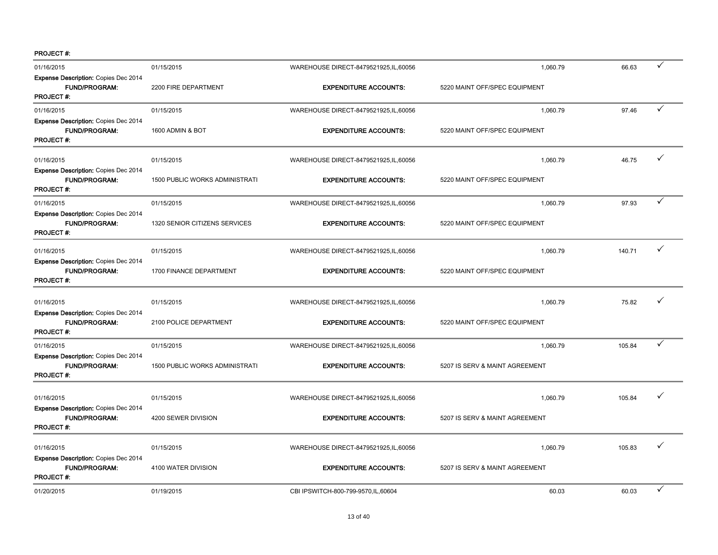| 01/16/2015                                                                              | 01/15/2015                            | WAREHOUSE DIRECT-8479521925, IL, 60056 | 1,060.79                       | 66.63  | ✓ |
|-----------------------------------------------------------------------------------------|---------------------------------------|----------------------------------------|--------------------------------|--------|---|
| <b>Expense Description: Copies Dec 2014</b><br>FUND/PROGRAM:<br><b>PROJECT#:</b>        | 2200 FIRE DEPARTMENT                  | <b>EXPENDITURE ACCOUNTS:</b>           | 5220 MAINT OFF/SPEC EQUIPMENT  |        |   |
| 01/16/2015                                                                              | 01/15/2015                            | WAREHOUSE DIRECT-8479521925, IL, 60056 | 1,060.79                       | 97.46  | ✓ |
| Expense Description: Copies Dec 2014<br><b>FUND/PROGRAM:</b><br><b>PROJECT#:</b>        | 1600 ADMIN & BOT                      | <b>EXPENDITURE ACCOUNTS:</b>           | 5220 MAINT OFF/SPEC EQUIPMENT  |        |   |
| 01/16/2015                                                                              | 01/15/2015                            | WAREHOUSE DIRECT-8479521925, IL, 60056 | 1,060.79                       | 46.75  | ✓ |
| Expense Description: Copies Dec 2014<br><b>FUND/PROGRAM:</b><br><b>PROJECT#:</b>        | <b>1500 PUBLIC WORKS ADMINISTRATI</b> | <b>EXPENDITURE ACCOUNTS:</b>           | 5220 MAINT OFF/SPEC EQUIPMENT  |        |   |
| 01/16/2015                                                                              | 01/15/2015                            | WAREHOUSE DIRECT-8479521925, IL, 60056 | 1.060.79                       | 97.93  | ✓ |
| Expense Description: Copies Dec 2014<br><b>FUND/PROGRAM:</b><br><b>PROJECT#:</b>        | 1320 SENIOR CITIZENS SERVICES         | <b>EXPENDITURE ACCOUNTS:</b>           | 5220 MAINT OFF/SPEC EQUIPMENT  |        |   |
| 01/16/2015                                                                              | 01/15/2015                            | WAREHOUSE DIRECT-8479521925, IL, 60056 | 1,060.79                       | 140.71 | ✓ |
| Expense Description: Copies Dec 2014<br><b>FUND/PROGRAM:</b><br>PROJECT#:               | 1700 FINANCE DEPARTMENT               | <b>EXPENDITURE ACCOUNTS:</b>           | 5220 MAINT OFF/SPEC EQUIPMENT  |        |   |
| 01/16/2015                                                                              | 01/15/2015                            | WAREHOUSE DIRECT-8479521925,IL,60056   | 1,060.79                       | 75.82  |   |
| Expense Description: Copies Dec 2014<br><b>FUND/PROGRAM:</b><br><b>PROJECT#:</b>        | 2100 POLICE DEPARTMENT                | <b>EXPENDITURE ACCOUNTS:</b>           | 5220 MAINT OFF/SPEC EQUIPMENT  |        |   |
| 01/16/2015                                                                              | 01/15/2015                            | WAREHOUSE DIRECT-8479521925, IL, 60056 | 1,060.79                       | 105.84 | ✓ |
| Expense Description: Copies Dec 2014<br>FUND/PROGRAM:<br>PROJECT#:                      | 1500 PUBLIC WORKS ADMINISTRATI        | <b>EXPENDITURE ACCOUNTS:</b>           | 5207 IS SERV & MAINT AGREEMENT |        |   |
| 01/16/2015                                                                              | 01/15/2015                            | WAREHOUSE DIRECT-8479521925, IL, 60056 | 1,060.79                       | 105.84 |   |
| <b>Expense Description: Copies Dec 2014</b><br><b>FUND/PROGRAM:</b><br><b>PROJECT#:</b> | 4200 SEWER DIVISION                   | <b>EXPENDITURE ACCOUNTS:</b>           | 5207 IS SERV & MAINT AGREEMENT |        |   |
| 01/16/2015                                                                              | 01/15/2015                            | WAREHOUSE DIRECT-8479521925, IL, 60056 | 1,060.79                       | 105.83 |   |
| Expense Description: Copies Dec 2014<br><b>FUND/PROGRAM:</b><br><b>PROJECT#:</b>        | 4100 WATER DIVISION                   | <b>EXPENDITURE ACCOUNTS:</b>           | 5207 IS SERV & MAINT AGREEMENT |        |   |
| 01/20/2015                                                                              | 01/19/2015                            | CBI IPSWITCH-800-799-9570, IL, 60604   | 60.03                          | 60.03  | ✓ |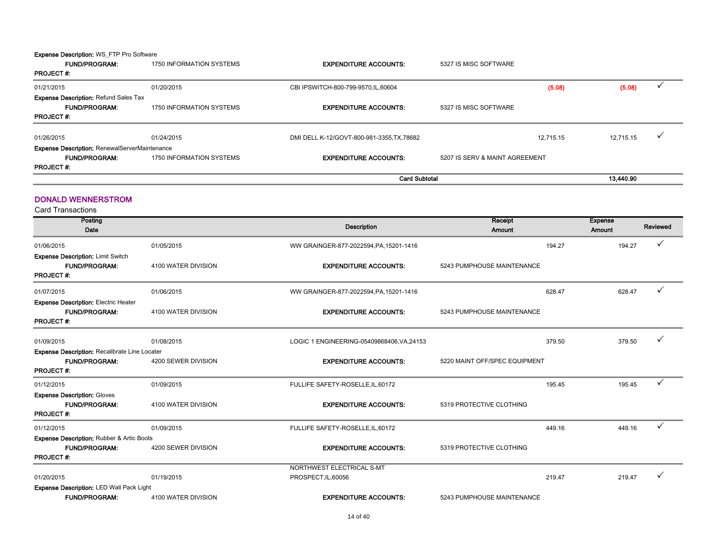Expense Description: WS\_FTP Pro Software

| <b>FUND/PROGRAM:</b><br><b>PROJECT#:</b>             | 1750 INFORMATION SYSTEMS | <b>EXPENDITURE ACCOUNTS:</b>             | 5327 IS MISC SOFTWARE          |           |           |  |
|------------------------------------------------------|--------------------------|------------------------------------------|--------------------------------|-----------|-----------|--|
| 01/21/2015                                           | 01/20/2015               | CBI IPSWITCH-800-799-9570, IL, 60604     |                                | (5.08)    | (5.08)    |  |
| <b>Expense Description: Refund Sales Tax</b>         |                          |                                          |                                |           |           |  |
| <b>FUND/PROGRAM:</b>                                 | 1750 INFORMATION SYSTEMS | <b>EXPENDITURE ACCOUNTS:</b>             | 5327 IS MISC SOFTWARE          |           |           |  |
| <b>PROJECT#:</b>                                     |                          |                                          |                                |           |           |  |
| 01/26/2015                                           | 01/24/2015               | DMI DELL K-12/GOVT-800-981-3355.TX.78682 |                                | 12.715.15 | 12.715.15 |  |
| <b>Expense Description: RenewalServerMaintenance</b> |                          |                                          |                                |           |           |  |
| <b>FUND/PROGRAM:</b>                                 | 1750 INFORMATION SYSTEMS | <b>EXPENDITURE ACCOUNTS:</b>             | 5207 IS SERV & MAINT AGREEMENT |           |           |  |
| <b>PROJECT#:</b>                                     |                          |                                          |                                |           |           |  |
|                                                      |                          | <b>Card Subtotal</b>                     |                                |           | 13.440.90 |  |

#### DONALD WENNERSTROM

| Posting                                              |                     |                                            | Receipt                       | <b>Expense</b> |          |
|------------------------------------------------------|---------------------|--------------------------------------------|-------------------------------|----------------|----------|
| Date                                                 |                     | <b>Description</b>                         | <b>Amount</b>                 | Amount         | Reviewed |
| 01/06/2015                                           | 01/05/2015          | WW GRAINGER-877-2022594, PA, 15201-1416    | 194.27                        | 194.27         |          |
| <b>Expense Description: Limit Switch</b>             |                     |                                            |                               |                |          |
| <b>FUND/PROGRAM:</b>                                 | 4100 WATER DIVISION | <b>EXPENDITURE ACCOUNTS:</b>               | 5243 PUMPHOUSE MAINTENANCE    |                |          |
| <b>PROJECT#:</b>                                     |                     |                                            |                               |                |          |
| 01/07/2015                                           | 01/06/2015          | WW GRAINGER-877-2022594, PA, 15201-1416    | 628.47                        | 628.47         | ✓        |
| <b>Expense Description: Electric Heater</b>          |                     |                                            |                               |                |          |
| <b>FUND/PROGRAM:</b>                                 | 4100 WATER DIVISION | <b>EXPENDITURE ACCOUNTS:</b>               | 5243 PUMPHOUSE MAINTENANCE    |                |          |
| <b>PROJECT#:</b>                                     |                     |                                            |                               |                |          |
| 01/09/2015                                           | 01/08/2015          | LOGIC 1 ENGINEERING-05409868406, VA, 24153 | 379.50                        | 379.50         |          |
| <b>Expense Description: Recalibrate Line Locater</b> |                     |                                            |                               |                |          |
| <b>FUND/PROGRAM:</b>                                 | 4200 SEWER DIVISION | <b>EXPENDITURE ACCOUNTS:</b>               | 5220 MAINT OFF/SPEC EQUIPMENT |                |          |
| <b>PROJECT#:</b>                                     |                     |                                            |                               |                |          |
| 01/12/2015                                           | 01/09/2015          | FULLIFE SAFETY-ROSELLE, IL, 60172          | 195.45                        | 195.45         | ✓        |
| <b>Expense Description: Gloves</b>                   |                     |                                            |                               |                |          |
| <b>FUND/PROGRAM:</b>                                 | 4100 WATER DIVISION | <b>EXPENDITURE ACCOUNTS:</b>               | 5319 PROTECTIVE CLOTHING      |                |          |
| <b>PROJECT#:</b>                                     |                     |                                            |                               |                |          |
| 01/12/2015                                           | 01/09/2015          | FULLIFE SAFETY-ROSELLE, IL, 60172          | 449.16                        | 449.16         | ✓        |
| <b>Expense Description: Rubber &amp; Artic Boots</b> |                     |                                            |                               |                |          |
| <b>FUND/PROGRAM:</b>                                 | 4200 SEWER DIVISION | <b>EXPENDITURE ACCOUNTS:</b>               | 5319 PROTECTIVE CLOTHING      |                |          |
| <b>PROJECT#:</b>                                     |                     |                                            |                               |                |          |
|                                                      |                     | NORTHWEST ELECTRICAL S-MT                  |                               |                |          |
| 01/20/2015                                           | 01/19/2015          | PROSPECT, IL, 60056                        | 219.47                        | 219.47         |          |
| Expense Description: LED Wall Pack Light             |                     |                                            |                               |                |          |
| <b>FUND/PROGRAM:</b>                                 | 4100 WATER DIVISION | <b>EXPENDITURE ACCOUNTS:</b>               | 5243 PUMPHOUSE MAINTENANCE    |                |          |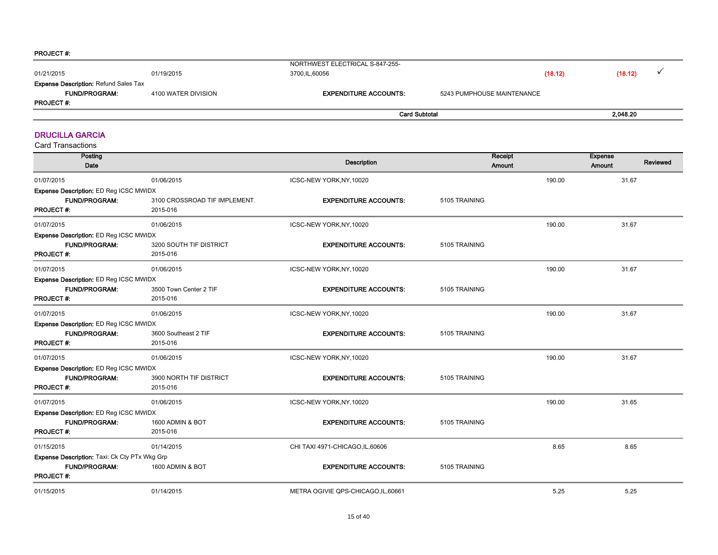| 01/21/2015                                                           | 01/19/2015          | NORTHWEST ELECTRICAL S-847-255-<br>3700,IL,60056 | (18.12)                    | (18.12)  |
|----------------------------------------------------------------------|---------------------|--------------------------------------------------|----------------------------|----------|
| <b>Expense Description: Refund Sales Tax</b><br><b>FUND/PROGRAM:</b> | 4100 WATER DIVISION | <b>EXPENDITURE ACCOUNTS:</b>                     | 5243 PUMPHOUSE MAINTENANCE |          |
| <b>PROJECT#:</b>                                                     |                     |                                                  |                            |          |
|                                                                      |                     | <b>Card Subtotal</b>                             |                            | 2.048.20 |

#### DRUCILLA GARCIA

| Posting<br>Date                                                                           |                                           | <b>Description</b>                  | Receipt<br>Amount |        | <b>Expense</b><br>Reviewed<br>Amount |
|-------------------------------------------------------------------------------------------|-------------------------------------------|-------------------------------------|-------------------|--------|--------------------------------------|
| 01/07/2015                                                                                | 01/06/2015                                | ICSC-NEW YORK, NY, 10020            |                   | 190.00 | 31.67                                |
| Expense Description: ED Reg ICSC MWIDX<br><b>FUND/PROGRAM:</b><br><b>PROJECT#:</b>        | 3100 CROSSROAD TIF IMPLEMENT.<br>2015-016 | <b>EXPENDITURE ACCOUNTS:</b>        | 5105 TRAINING     |        |                                      |
| 01/07/2015                                                                                | 01/06/2015                                | ICSC-NEW YORK, NY, 10020            |                   | 190.00 | 31.67                                |
| Expense Description: ED Reg ICSC MWIDX<br><b>FUND/PROGRAM:</b><br><b>PROJECT#:</b>        | 3200 SOUTH TIF DISTRICT<br>2015-016       | <b>EXPENDITURE ACCOUNTS:</b>        | 5105 TRAINING     |        |                                      |
| 01/07/2015                                                                                | 01/06/2015                                | ICSC-NEW YORK, NY, 10020            |                   | 190.00 | 31.67                                |
| <b>Expense Description: ED Reg ICSC MWIDX</b><br><b>FUND/PROGRAM:</b><br><b>PROJECT#:</b> | 3500 Town Center 2 TIF<br>2015-016        | <b>EXPENDITURE ACCOUNTS:</b>        | 5105 TRAINING     |        |                                      |
| 01/07/2015                                                                                | 01/06/2015                                | ICSC-NEW YORK, NY, 10020            |                   | 190.00 | 31.67                                |
| <b>Expense Description: ED Reg ICSC MWIDX</b><br><b>FUND/PROGRAM:</b><br><b>PROJECT#:</b> | 3600 Southeast 2 TIF<br>2015-016          | <b>EXPENDITURE ACCOUNTS:</b>        | 5105 TRAINING     |        |                                      |
| 01/07/2015                                                                                | 01/06/2015                                | ICSC-NEW YORK, NY, 10020            |                   | 190.00 | 31.67                                |
| Expense Description: ED Reg ICSC MWIDX<br>FUND/PROGRAM:<br><b>PROJECT#:</b>               | 3900 NORTH TIF DISTRICT<br>2015-016       | <b>EXPENDITURE ACCOUNTS:</b>        | 5105 TRAINING     |        |                                      |
| 01/07/2015                                                                                | 01/06/2015                                | ICSC-NEW YORK, NY, 10020            |                   | 190.00 | 31.65                                |
| Expense Description: ED Reg ICSC MWIDX<br><b>FUND/PROGRAM:</b><br><b>PROJECT#:</b>        | 1600 ADMIN & BOT<br>2015-016              | <b>EXPENDITURE ACCOUNTS:</b>        | 5105 TRAINING     |        |                                      |
| 01/15/2015                                                                                | 01/14/2015                                | CHI TAXI 4971-CHICAGO, IL, 60606    |                   | 8.65   | 8.65                                 |
| Expense Description: Taxi: Ck Cty PTx Wkg Grp<br><b>FUND/PROGRAM:</b><br><b>PROJECT#:</b> | 1600 ADMIN & BOT                          | <b>EXPENDITURE ACCOUNTS:</b>        | 5105 TRAINING     |        |                                      |
| 01/15/2015                                                                                | 01/14/2015                                | METRA OGIVIE QPS-CHICAGO, IL, 60661 |                   | 5.25   | 5.25                                 |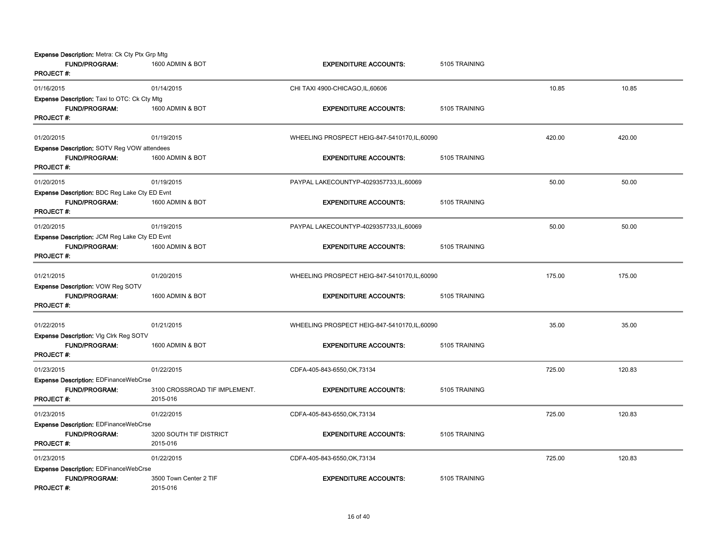| Expense Description: Metra: Ck Cty Ptx Grp Mtg<br><b>FUND/PROGRAM:</b><br><b>PROJECT#:</b>     | 1600 ADMIN & BOT                          | <b>EXPENDITURE ACCOUNTS:</b>                  | 5105 TRAINING |        |        |
|------------------------------------------------------------------------------------------------|-------------------------------------------|-----------------------------------------------|---------------|--------|--------|
| 01/16/2015                                                                                     | 01/14/2015                                | CHI TAXI 4900-CHICAGO, IL, 60606              |               | 10.85  | 10.85  |
| Expense Description: Taxi to OTC: Ck Cty Mtg<br><b>FUND/PROGRAM:</b><br><b>PROJECT#:</b>       | 1600 ADMIN & BOT                          | <b>EXPENDITURE ACCOUNTS:</b>                  | 5105 TRAINING |        |        |
| 01/20/2015                                                                                     | 01/19/2015                                | WHEELING PROSPECT HEIG-847-5410170,IL,60090   |               | 420.00 | 420.00 |
| <b>Expense Description: SOTV Reg VOW attendees</b><br><b>FUND/PROGRAM:</b><br><b>PROJECT#:</b> | 1600 ADMIN & BOT                          | <b>EXPENDITURE ACCOUNTS:</b>                  | 5105 TRAINING |        |        |
| 01/20/2015                                                                                     | 01/19/2015                                | PAYPAL LAKECOUNTYP-4029357733,IL,60069        |               | 50.00  | 50.00  |
| Expense Description: BDC Reg Lake Cty ED Evnt<br><b>FUND/PROGRAM:</b><br><b>PROJECT#:</b>      | 1600 ADMIN & BOT                          | <b>EXPENDITURE ACCOUNTS:</b>                  | 5105 TRAINING |        |        |
| 01/20/2015                                                                                     | 01/19/2015                                | PAYPAL LAKECOUNTYP-4029357733, IL, 60069      |               | 50.00  | 50.00  |
| Expense Description: JCM Reg Lake Cty ED Evnt<br><b>FUND/PROGRAM:</b><br><b>PROJECT#:</b>      | 1600 ADMIN & BOT                          | <b>EXPENDITURE ACCOUNTS:</b>                  | 5105 TRAINING |        |        |
| 01/21/2015                                                                                     | 01/20/2015                                | WHEELING PROSPECT HEIG-847-5410170, IL, 60090 |               | 175.00 | 175.00 |
| Expense Description: VOW Reg SOTV<br><b>FUND/PROGRAM:</b><br><b>PROJECT#:</b>                  | 1600 ADMIN & BOT                          | <b>EXPENDITURE ACCOUNTS:</b>                  | 5105 TRAINING |        |        |
| 01/22/2015                                                                                     | 01/21/2015                                | WHEELING PROSPECT HEIG-847-5410170, IL, 60090 |               | 35.00  | 35.00  |
| Expense Description: VIg Clrk Reg SOTV<br>FUND/PROGRAM:<br><b>PROJECT#:</b>                    | 1600 ADMIN & BOT                          | <b>EXPENDITURE ACCOUNTS:</b>                  | 5105 TRAINING |        |        |
| 01/23/2015                                                                                     | 01/22/2015                                | CDFA-405-843-6550, OK, 73134                  |               | 725.00 | 120.83 |
| <b>Expense Description: EDFinanceWebCrse</b><br><b>FUND/PROGRAM:</b><br><b>PROJECT#:</b>       | 3100 CROSSROAD TIF IMPLEMENT.<br>2015-016 | <b>EXPENDITURE ACCOUNTS:</b>                  | 5105 TRAINING |        |        |
| 01/23/2015                                                                                     | 01/22/2015                                | CDFA-405-843-6550, OK, 73134                  |               | 725.00 | 120.83 |
| Expense Description: EDFinanceWebCrse<br><b>FUND/PROGRAM:</b><br><b>PROJECT#:</b>              | 3200 SOUTH TIF DISTRICT<br>2015-016       | <b>EXPENDITURE ACCOUNTS:</b>                  | 5105 TRAINING |        |        |
| 01/23/2015                                                                                     | 01/22/2015                                | CDFA-405-843-6550, OK, 73134                  |               | 725.00 | 120.83 |
| <b>Expense Description: EDFinanceWebCrse</b><br><b>FUND/PROGRAM:</b><br><b>PROJECT#:</b>       | 3500 Town Center 2 TIF<br>2015-016        | <b>EXPENDITURE ACCOUNTS:</b>                  | 5105 TRAINING |        |        |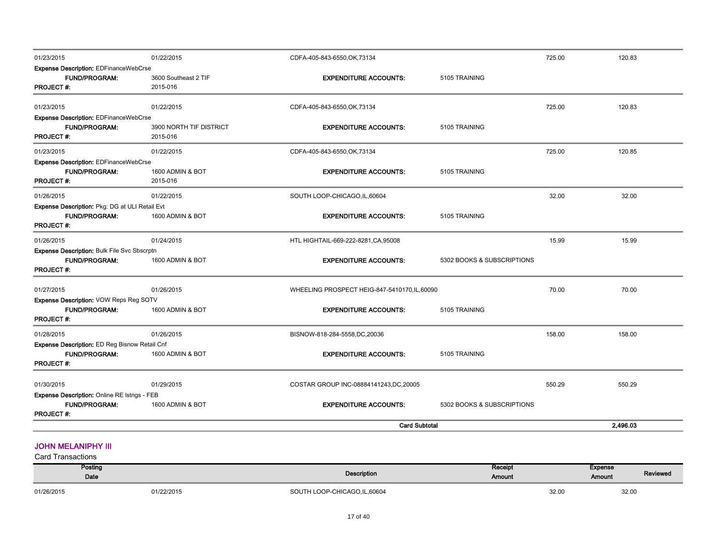| 01/28/2015                                                                                 | 01/26/2015                          | BISNOW-818-284-5558,DC,20036                  |                            | 158.00 | 158.00 |  |
|--------------------------------------------------------------------------------------------|-------------------------------------|-----------------------------------------------|----------------------------|--------|--------|--|
| Expense Description: ED Reg Bisnow Retail Cnf<br>FUND/PROGRAM:                             | 1600 ADMIN & BOT                    | <b>EXPENDITURE ACCOUNTS:</b>                  | 5105 TRAINING              |        |        |  |
| Expense Description: VOW Reps Reg SOTV<br><b>FUND/PROGRAM:</b><br><b>PROJECT#:</b>         | 1600 ADMIN & BOT                    | <b>EXPENDITURE ACCOUNTS:</b>                  | 5105 TRAINING              |        |        |  |
| <b>PROJECT#:</b><br>01/27/2015                                                             | 01/26/2015                          | WHEELING PROSPECT HEIG-847-5410170, IL, 60090 |                            | 70.00  | 70.00  |  |
| <b>Expense Description: Bulk File Svc Sbscrptn</b><br>FUND/PROGRAM:                        | 1600 ADMIN & BOT                    | <b>EXPENDITURE ACCOUNTS:</b>                  | 5302 BOOKS & SUBSCRIPTIONS |        |        |  |
| 01/26/2015                                                                                 | 01/24/2015                          | HTL HIGHTAIL-669-222-8281, CA, 95008          |                            | 15.99  | 15.99  |  |
| Expense Description: Pkg: DG at ULI Retail Evt<br><b>FUND/PROGRAM:</b><br><b>PROJECT#:</b> | 1600 ADMIN & BOT                    | <b>EXPENDITURE ACCOUNTS:</b>                  | 5105 TRAINING              |        |        |  |
| 01/26/2015                                                                                 | 01/22/2015                          | SOUTH LOOP-CHICAGO, IL, 60604                 |                            | 32.00  | 32.00  |  |
| Expense Description: EDFinanceWebCrse<br><b>FUND/PROGRAM:</b><br><b>PROJECT#:</b>          | 1600 ADMIN & BOT<br>2015-016        | <b>EXPENDITURE ACCOUNTS:</b>                  | 5105 TRAINING              |        |        |  |
| 01/23/2015                                                                                 | 01/22/2015                          | CDFA-405-843-6550, OK, 73134                  |                            | 725.00 | 120.85 |  |
| <b>FUND/PROGRAM:</b><br><b>PROJECT#:</b>                                                   | 3900 NORTH TIF DISTRICT<br>2015-016 | <b>EXPENDITURE ACCOUNTS:</b>                  | 5105 TRAINING              |        |        |  |
| 01/23/2015<br>Expense Description: EDFinanceWebCrse                                        | 01/22/2015                          | CDFA-405-843-6550, OK, 73134                  |                            | 725.00 | 120.83 |  |
| <b>PROJECT#:</b>                                                                           | 2015-016                            |                                               |                            |        |        |  |
| <b>Expense Description: EDFinanceWebCrse</b><br><b>FUND/PROGRAM:</b>                       | 3600 Southeast 2 TIF                | <b>EXPENDITURE ACCOUNTS:</b>                  | 5105 TRAINING              |        |        |  |
| 01/23/2015                                                                                 | 01/22/2015                          | CDFA-405-843-6550, OK, 73134                  |                            | 725.00 | 120.83 |  |

#### **JOHN MELANIPHY III**

| Posting<br>Date |            | Description                   | Receipt<br><b>Amount</b> |       | <b>Expense</b><br><b>Amount</b> | Reviewed |
|-----------------|------------|-------------------------------|--------------------------|-------|---------------------------------|----------|
| 01/26/2015      | 01/22/2015 | SOUTH LOOP-CHICAGO, IL, 60604 |                          | 32.00 | 32.00                           |          |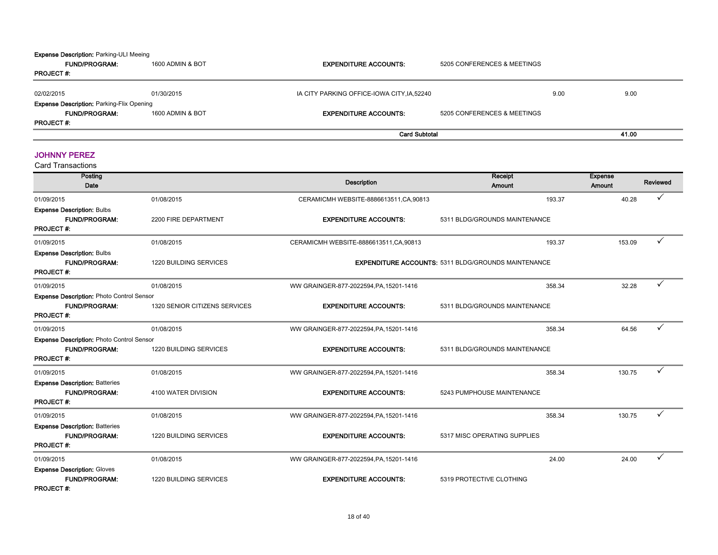#### Expense Description: Parking-ULI Meeing

| <b>FUND/PROGRAM:</b>                             | 1600 ADMIN & BOT | <b>EXPENDITURE ACCOUNTS:</b>                | 5205 CONFERENCES & MEETINGS |      |       |  |
|--------------------------------------------------|------------------|---------------------------------------------|-----------------------------|------|-------|--|
| <b>PROJECT#:</b>                                 |                  |                                             |                             |      |       |  |
| 02/02/2015                                       | 01/30/2015       | IA CITY PARKING OFFICE-IOWA CITY, IA, 52240 |                             | 9.00 | 9.00  |  |
| <b>Expense Description: Parking-Flix Opening</b> |                  |                                             |                             |      |       |  |
| <b>FUND/PROGRAM:</b>                             | 1600 ADMIN & BOT | <b>EXPENDITURE ACCOUNTS:</b>                | 5205 CONFERENCES & MEETINGS |      |       |  |
| <b>PROJECT#:</b>                                 |                  |                                             |                             |      |       |  |
|                                                  |                  | <b>Card Subtotal</b>                        |                             |      | 41.00 |  |

#### JOHNNY PEREZ

| Posting<br>Date                                                                              |                               | <b>Description</b>                      | Receipt<br>Amount                                          | <b>Expense</b><br>Amount | Reviewed     |
|----------------------------------------------------------------------------------------------|-------------------------------|-----------------------------------------|------------------------------------------------------------|--------------------------|--------------|
| 01/09/2015                                                                                   | 01/08/2015                    | CERAMICMH WEBSITE-8886613511, CA, 90813 | 193.37                                                     | 40.28                    | $\checkmark$ |
| <b>Expense Description: Bulbs</b><br><b>FUND/PROGRAM:</b><br><b>PROJECT#:</b>                | 2200 FIRE DEPARTMENT          | <b>EXPENDITURE ACCOUNTS:</b>            | 5311 BLDG/GROUNDS MAINTENANCE                              |                          |              |
| 01/09/2015                                                                                   | 01/08/2015                    | CERAMICMH WEBSITE-8886613511, CA, 90813 | 193.37                                                     | 153.09                   |              |
| <b>Expense Description: Bulbs</b><br><b>FUND/PROGRAM:</b><br><b>PROJECT#:</b>                | 1220 BUILDING SERVICES        |                                         | <b>EXPENDITURE ACCOUNTS: 5311 BLDG/GROUNDS MAINTENANCE</b> |                          |              |
| 01/09/2015                                                                                   | 01/08/2015                    | WW GRAINGER-877-2022594, PA, 15201-1416 | 358.34                                                     | 32.28                    |              |
| <b>Expense Description: Photo Control Sensor</b><br><b>FUND/PROGRAM:</b><br><b>PROJECT#:</b> | 1320 SENIOR CITIZENS SERVICES | <b>EXPENDITURE ACCOUNTS:</b>            | 5311 BLDG/GROUNDS MAINTENANCE                              |                          |              |
| 01/09/2015                                                                                   | 01/08/2015                    | WW GRAINGER-877-2022594, PA, 15201-1416 | 358.34                                                     | 64.56                    |              |
| <b>Expense Description: Photo Control Sensor</b><br><b>FUND/PROGRAM:</b><br><b>PROJECT#:</b> | 1220 BUILDING SERVICES        | <b>EXPENDITURE ACCOUNTS:</b>            | 5311 BLDG/GROUNDS MAINTENANCE                              |                          |              |
| 01/09/2015                                                                                   | 01/08/2015                    | WW GRAINGER-877-2022594, PA, 15201-1416 | 358.34                                                     | 130.75                   |              |
| <b>Expense Description: Batteries</b><br><b>FUND/PROGRAM:</b><br><b>PROJECT#:</b>            | 4100 WATER DIVISION           | <b>EXPENDITURE ACCOUNTS:</b>            | 5243 PUMPHOUSE MAINTENANCE                                 |                          |              |
| 01/09/2015                                                                                   | 01/08/2015                    | WW GRAINGER-877-2022594, PA, 15201-1416 | 358.34                                                     | 130.75                   |              |
| <b>Expense Description: Batteries</b><br><b>FUND/PROGRAM:</b><br><b>PROJECT#:</b>            | 1220 BUILDING SERVICES        | <b>EXPENDITURE ACCOUNTS:</b>            | 5317 MISC OPERATING SUPPLIES                               |                          |              |
| 01/09/2015                                                                                   | 01/08/2015                    | WW GRAINGER-877-2022594, PA, 15201-1416 | 24.00                                                      | 24.00                    |              |
| <b>Expense Description: Gloves</b><br><b>FUND/PROGRAM:</b><br><b>PROJECT#:</b>               | 1220 BUILDING SERVICES        | <b>EXPENDITURE ACCOUNTS:</b>            | 5319 PROTECTIVE CLOTHING                                   |                          |              |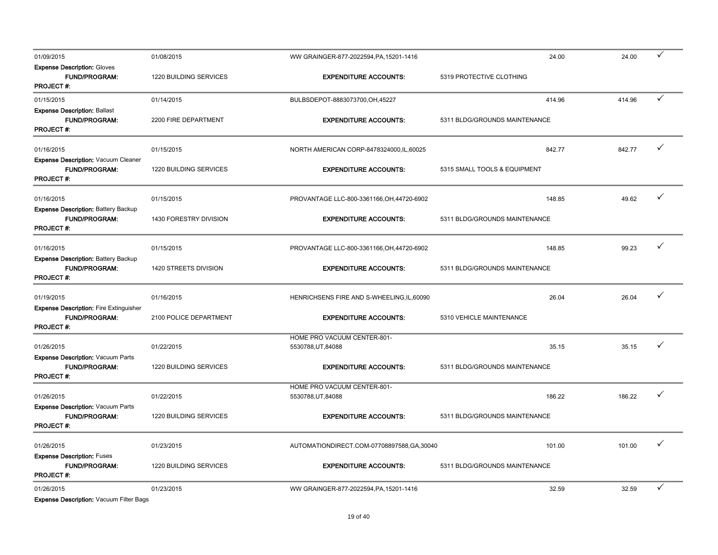| 01/09/2015                                                                                | 01/08/2015                           | WW GRAINGER-877-2022594, PA, 15201-1416            | 24.00                                   | 24.00  | ✓            |
|-------------------------------------------------------------------------------------------|--------------------------------------|----------------------------------------------------|-----------------------------------------|--------|--------------|
| <b>Expense Description: Gloves</b><br><b>FUND/PROGRAM:</b><br>PROJECT #:                  | 1220 BUILDING SERVICES               | <b>EXPENDITURE ACCOUNTS:</b>                       | 5319 PROTECTIVE CLOTHING                |        |              |
| 01/15/2015                                                                                | 01/14/2015                           | BULBSDEPOT-8883073700,OH,45227                     | 414.96                                  | 414.96 | $\checkmark$ |
| <b>Expense Description: Ballast</b><br>FUND/PROGRAM:<br><b>PROJECT#:</b>                  | 2200 FIRE DEPARTMENT                 | <b>EXPENDITURE ACCOUNTS:</b>                       | 5311 BLDG/GROUNDS MAINTENANCE           |        |              |
| 01/16/2015                                                                                | 01/15/2015                           | NORTH AMERICAN CORP-8478324000, IL, 60025          | 842.77                                  | 842.77 | ✓            |
| Expense Description: Vacuum Cleaner<br><b>FUND/PROGRAM:</b><br><b>PROJECT#:</b>           | 1220 BUILDING SERVICES               | <b>EXPENDITURE ACCOUNTS:</b>                       | 5315 SMALL TOOLS & EQUIPMENT            |        |              |
| 01/16/2015                                                                                | 01/15/2015                           | PROVANTAGE LLC-800-3361166, OH, 44720-6902         | 148.85                                  | 49.62  | ✓            |
| <b>Expense Description: Battery Backup</b><br><b>FUND/PROGRAM:</b><br><b>PROJECT#:</b>    | 1430 FORESTRY DIVISION               | <b>EXPENDITURE ACCOUNTS:</b>                       | 5311 BLDG/GROUNDS MAINTENANCE           |        |              |
| 01/16/2015                                                                                | 01/15/2015                           | PROVANTAGE LLC-800-3361166, OH, 44720-6902         | 148.85                                  | 99.23  | ✓            |
| <b>Expense Description: Battery Backup</b><br><b>FUND/PROGRAM:</b><br><b>PROJECT#:</b>    | 1420 STREETS DIVISION                | <b>EXPENDITURE ACCOUNTS:</b>                       | 5311 BLDG/GROUNDS MAINTENANCE           |        |              |
| 01/19/2015                                                                                | 01/16/2015                           | HENRICHSENS FIRE AND S-WHEELING, IL, 60090         | 26.04                                   | 26.04  |              |
| <b>Expense Description: Fire Extinguisher</b><br><b>FUND/PROGRAM:</b><br><b>PROJECT#:</b> | 2100 POLICE DEPARTMENT               | <b>EXPENDITURE ACCOUNTS:</b>                       | 5310 VEHICLE MAINTENANCE                |        |              |
| 01/26/2015                                                                                | 01/22/2015                           | HOME PRO VACUUM CENTER-801-<br>5530788, UT, 84088  | 35.15                                   | 35.15  |              |
| <b>Expense Description: Vacuum Parts</b><br><b>FUND/PROGRAM:</b><br><b>PROJECT#:</b>      | 1220 BUILDING SERVICES               | <b>EXPENDITURE ACCOUNTS:</b>                       | 5311 BLDG/GROUNDS MAINTENANCE           |        |              |
|                                                                                           |                                      | HOME PRO VACUUM CENTER-801-                        |                                         |        | ✓            |
| 01/26/2015<br>Expense Description: Vacuum Parts<br>FUND/PROGRAM:                          | 01/22/2015<br>1220 BUILDING SERVICES | 5530788, UT, 84088<br><b>EXPENDITURE ACCOUNTS:</b> | 186.22<br>5311 BLDG/GROUNDS MAINTENANCE | 186.22 |              |
| <b>PROJECT#:</b>                                                                          |                                      |                                                    |                                         |        |              |
| 01/26/2015                                                                                | 01/23/2015                           | AUTOMATIONDIRECT.COM-07708897588,GA,30040          | 101.00                                  | 101.00 |              |
| <b>Expense Description: Fuses</b><br><b>FUND/PROGRAM:</b><br><b>PROJECT#:</b>             | 1220 BUILDING SERVICES               | <b>EXPENDITURE ACCOUNTS:</b>                       | 5311 BLDG/GROUNDS MAINTENANCE           |        |              |
| 01/26/2015<br><b>Expense Description: Vacuum Filter Bags</b>                              | 01/23/2015                           | WW GRAINGER-877-2022594, PA, 15201-1416            | 32.59                                   | 32.59  | ✓            |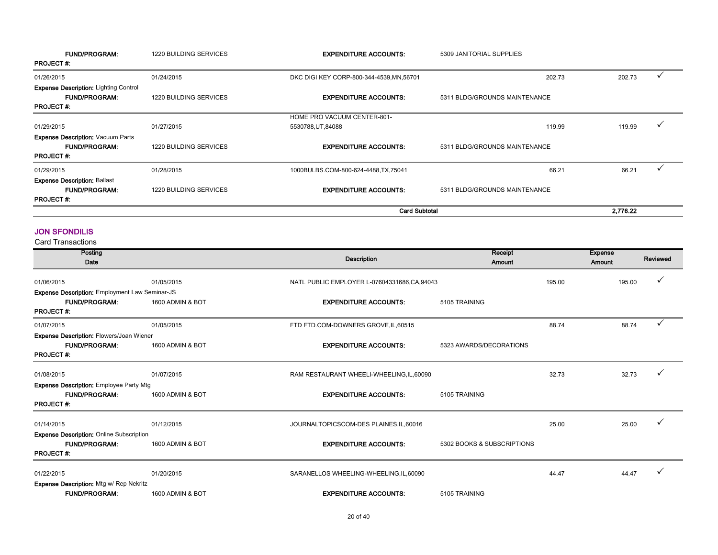| <b>FUND/PROGRAM:</b><br><b>PROJECT#:</b>     | <b>1220 BUILDING SERVICES</b> | <b>EXPENDITURE ACCOUNTS:</b>              | 5309 JANITORIAL SUPPLIES      |                        |
|----------------------------------------------|-------------------------------|-------------------------------------------|-------------------------------|------------------------|
| 01/26/2015                                   | 01/24/2015                    | DKC DIGI KEY CORP-800-344-4539, MN, 56701 | 202.73                        | 202.73                 |
| <b>Expense Description: Lighting Control</b> |                               |                                           |                               |                        |
| <b>FUND/PROGRAM:</b>                         | <b>1220 BUILDING SERVICES</b> | <b>EXPENDITURE ACCOUNTS:</b>              | 5311 BLDG/GROUNDS MAINTENANCE |                        |
| <b>PROJECT#:</b>                             |                               |                                           |                               |                        |
|                                              |                               | <b>HOME PRO VACUUM CENTER-801-</b>        |                               |                        |
| 01/29/2015                                   | 01/27/2015                    | 5530788, UT, 84088                        | 119.99                        | 119.99<br>$\checkmark$ |
| <b>Expense Description: Vacuum Parts</b>     |                               |                                           |                               |                        |
| <b>FUND/PROGRAM:</b>                         | <b>1220 BUILDING SERVICES</b> | <b>EXPENDITURE ACCOUNTS:</b>              | 5311 BLDG/GROUNDS MAINTENANCE |                        |
| <b>PROJECT#:</b>                             |                               |                                           |                               |                        |
| 01/29/2015                                   | 01/28/2015                    | 1000BULBS.COM-800-624-4488,TX,75041       | 66.21                         | 66.21                  |
| <b>Expense Description: Ballast</b>          |                               |                                           |                               |                        |
| <b>FUND/PROGRAM:</b>                         | <b>1220 BUILDING SERVICES</b> | <b>EXPENDITURE ACCOUNTS:</b>              | 5311 BLDG/GROUNDS MAINTENANCE |                        |
| <b>PROJECT#:</b>                             |                               |                                           |                               |                        |
|                                              |                               | <b>Card Subtotal</b>                      |                               | 2.776.22               |

#### JON SFONDILIS

| Posting<br>Date                                 |                  | <b>Description</b>                            | Receipt<br>Amount          |        | <b>Expense</b><br>Amount | Reviewed     |
|-------------------------------------------------|------------------|-----------------------------------------------|----------------------------|--------|--------------------------|--------------|
| 01/06/2015                                      | 01/05/2015       | NATL PUBLIC EMPLOYER L-07604331686, CA, 94043 |                            | 195.00 | 195.00                   |              |
| Expense Description: Employment Law Seminar-JS  |                  |                                               |                            |        |                          |              |
| <b>FUND/PROGRAM:</b><br><b>PROJECT#:</b>        | 1600 ADMIN & BOT | <b>EXPENDITURE ACCOUNTS:</b>                  | 5105 TRAINING              |        |                          |              |
| 01/07/2015                                      | 01/05/2015       | FTD FTD.COM-DOWNERS GROVE, IL, 60515          |                            | 88.74  | 88.74                    | $\checkmark$ |
| Expense Description: Flowers/Joan Wiener        |                  |                                               |                            |        |                          |              |
| <b>FUND/PROGRAM:</b><br><b>PROJECT#:</b>        | 1600 ADMIN & BOT | <b>EXPENDITURE ACCOUNTS:</b>                  | 5323 AWARDS/DECORATIONS    |        |                          |              |
| 01/08/2015                                      | 01/07/2015       | RAM RESTAURANT WHEELI-WHEELING, IL, 60090     |                            | 32.73  | 32.73                    |              |
| Expense Description: Employee Party Mtg         |                  |                                               |                            |        |                          |              |
| <b>FUND/PROGRAM:</b><br><b>PROJECT#:</b>        | 1600 ADMIN & BOT | <b>EXPENDITURE ACCOUNTS:</b>                  | 5105 TRAINING              |        |                          |              |
| 01/14/2015                                      | 01/12/2015       | JOURNALTOPICSCOM-DES PLAINES, IL, 60016       |                            | 25.00  | 25.00                    |              |
| <b>Expense Description: Online Subscription</b> |                  |                                               |                            |        |                          |              |
| <b>FUND/PROGRAM:</b><br><b>PROJECT#:</b>        | 1600 ADMIN & BOT | <b>EXPENDITURE ACCOUNTS:</b>                  | 5302 BOOKS & SUBSCRIPTIONS |        |                          |              |
| 01/22/2015                                      | 01/20/2015       | SARANELLOS WHEELING-WHEELING, IL, 60090       |                            | 44.47  | 44.47                    |              |
| <b>Expense Description: Mtg w/ Rep Nekritz</b>  |                  |                                               |                            |        |                          |              |
| <b>FUND/PROGRAM:</b>                            | 1600 ADMIN & BOT | <b>EXPENDITURE ACCOUNTS:</b>                  | 5105 TRAINING              |        |                          |              |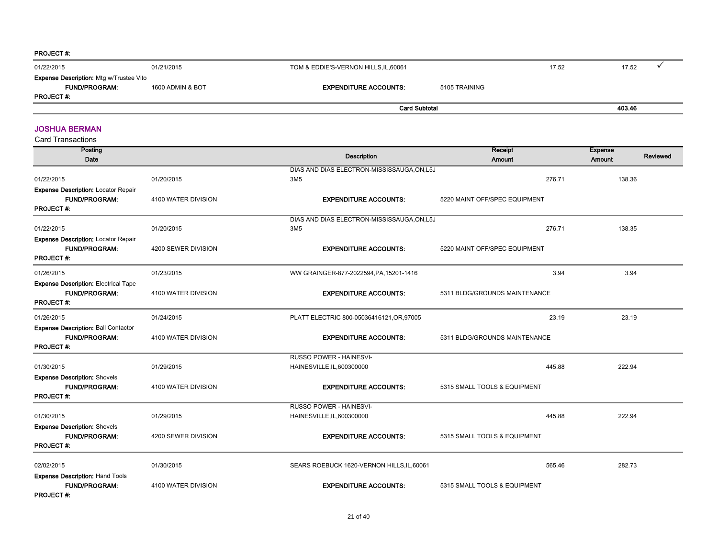| <b>FUND/PROGRAM:</b> | 1600 ADMIN & BOT | <b>EXPENDITURE ACCOUNTS:</b> | 5105 TRAINING |        |  |
|----------------------|------------------|------------------------------|---------------|--------|--|
| <b>PROJECT#:</b>     |                  | <b>Card Subtotal</b>         |               | 403.46 |  |

#### JOSHUA BERMAN

| Posting<br>Date                                                                    |                     | <b>Description</b>                          | Receipt<br>Amount             | <b>Expense</b><br>Reviewed<br>Amount |
|------------------------------------------------------------------------------------|---------------------|---------------------------------------------|-------------------------------|--------------------------------------|
|                                                                                    |                     | DIAS AND DIAS ELECTRON-MISSISSAUGA, ON, L5J |                               |                                      |
| 01/22/2015                                                                         | 01/20/2015          | 3M <sub>5</sub>                             | 276.71                        | 138.36                               |
| Expense Description: Locator Repair<br><b>FUND/PROGRAM:</b><br><b>PROJECT#:</b>    | 4100 WATER DIVISION | <b>EXPENDITURE ACCOUNTS:</b>                | 5220 MAINT OFF/SPEC EQUIPMENT |                                      |
|                                                                                    |                     | DIAS AND DIAS ELECTRON-MISSISSAUGA, ON, L5J |                               |                                      |
| 01/22/2015                                                                         | 01/20/2015          | 3M <sub>5</sub>                             | 276.71                        | 138.35                               |
| Expense Description: Locator Repair<br><b>FUND/PROGRAM:</b><br><b>PROJECT#:</b>    | 4200 SEWER DIVISION | <b>EXPENDITURE ACCOUNTS:</b>                | 5220 MAINT OFF/SPEC EQUIPMENT |                                      |
| 01/26/2015                                                                         | 01/23/2015          | WW GRAINGER-877-2022594, PA, 15201-1416     | 3.94                          | 3.94                                 |
| <b>Expense Description: Electrical Tape</b><br>FUND/PROGRAM:<br><b>PROJECT#:</b>   | 4100 WATER DIVISION | <b>EXPENDITURE ACCOUNTS:</b>                | 5311 BLDG/GROUNDS MAINTENANCE |                                      |
| 01/26/2015                                                                         | 01/24/2015          | PLATT ELECTRIC 800-05036416121, OR, 97005   | 23.19                         | 23.19                                |
| <b>Expense Description: Ball Contactor</b><br>FUND/PROGRAM:<br><b>PROJECT#:</b>    | 4100 WATER DIVISION | <b>EXPENDITURE ACCOUNTS:</b>                | 5311 BLDG/GROUNDS MAINTENANCE |                                      |
|                                                                                    |                     | RUSSO POWER - HAINESVI-                     |                               |                                      |
| 01/30/2015                                                                         | 01/29/2015          | HAINESVILLE, IL, 600300000                  | 445.88                        | 222.94                               |
| <b>Expense Description: Shovels</b><br><b>FUND/PROGRAM:</b><br><b>PROJECT#:</b>    | 4100 WATER DIVISION | <b>EXPENDITURE ACCOUNTS:</b>                | 5315 SMALL TOOLS & EQUIPMENT  |                                      |
|                                                                                    |                     | RUSSO POWER - HAINESVI-                     |                               |                                      |
| 01/30/2015                                                                         | 01/29/2015          | HAINESVILLE, IL, 600300000                  | 445.88                        | 222.94                               |
| <b>Expense Description: Shovels</b><br><b>FUND/PROGRAM:</b><br><b>PROJECT#:</b>    | 4200 SEWER DIVISION | <b>EXPENDITURE ACCOUNTS:</b>                | 5315 SMALL TOOLS & EQUIPMENT  |                                      |
| 02/02/2015                                                                         | 01/30/2015          | SEARS ROEBUCK 1620-VERNON HILLS, IL, 60061  | 565.46                        | 282.73                               |
| <b>Expense Description: Hand Tools</b><br><b>FUND/PROGRAM:</b><br><b>PROJECT#:</b> | 4100 WATER DIVISION | <b>EXPENDITURE ACCOUNTS:</b>                | 5315 SMALL TOOLS & EQUIPMENT  |                                      |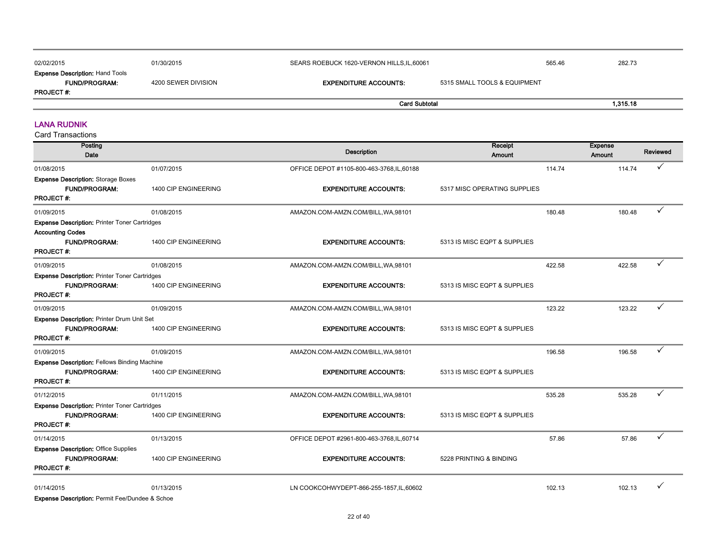| 02/02/2015                                                                          | 01/30/2015          | SEARS ROEBUCK 1620-VERNON HILLS, IL, 60061 |                              | 565.46 | 282.73   |
|-------------------------------------------------------------------------------------|---------------------|--------------------------------------------|------------------------------|--------|----------|
| <b>Expense Description: Hand Tools</b><br><b>FUND/PROGRAM:</b><br><b>PROJECT #:</b> | 4200 SEWER DIVISION | <b>EXPENDITURE ACCOUNTS:</b>               | 5315 SMALL TOOLS & EQUIPMENT |        |          |
|                                                                                     |                     | <b>Card Subtotal</b>                       |                              |        | 1.315.18 |

#### LANA RUDNIK

| Posting<br>Date                                                                                  |                      | <b>Description</b>                       | Receipt<br><b>Amount</b>     |        | <b>Expense</b><br><b>Amount</b> | Reviewed     |
|--------------------------------------------------------------------------------------------------|----------------------|------------------------------------------|------------------------------|--------|---------------------------------|--------------|
| 01/08/2015                                                                                       | 01/07/2015           | OFFICE DEPOT #1105-800-463-3768,IL,60188 |                              | 114.74 | 114.74                          | ✓            |
| <b>Expense Description: Storage Boxes</b><br><b>FUND/PROGRAM:</b><br><b>PROJECT#:</b>            | 1400 CIP ENGINEERING | <b>EXPENDITURE ACCOUNTS:</b>             | 5317 MISC OPERATING SUPPLIES |        |                                 |              |
| 01/09/2015                                                                                       | 01/08/2015           | AMAZON.COM-AMZN.COM/BILL, WA, 98101      |                              | 180.48 | 180.48                          | ✓            |
| <b>Expense Description: Printer Toner Cartridges</b>                                             |                      |                                          |                              |        |                                 |              |
| <b>Accounting Codes</b><br>FUND/PROGRAM:<br><b>PROJECT#:</b>                                     | 1400 CIP ENGINEERING | <b>EXPENDITURE ACCOUNTS:</b>             | 5313 IS MISC EQPT & SUPPLIES |        |                                 |              |
| 01/09/2015                                                                                       | 01/08/2015           | AMAZON.COM-AMZN.COM/BILL, WA, 98101      |                              | 422.58 | 422.58                          | ✓            |
| <b>Expense Description: Printer Toner Cartridges</b><br><b>FUND/PROGRAM:</b><br><b>PROJECT#:</b> | 1400 CIP ENGINEERING | <b>EXPENDITURE ACCOUNTS:</b>             | 5313 IS MISC EQPT & SUPPLIES |        |                                 |              |
| 01/09/2015                                                                                       | 01/09/2015           | AMAZON.COM-AMZN.COM/BILL, WA, 98101      |                              | 123.22 | 123.22                          | ✓            |
| Expense Description: Printer Drum Unit Set<br><b>FUND/PROGRAM:</b><br><b>PROJECT#:</b>           | 1400 CIP ENGINEERING | <b>EXPENDITURE ACCOUNTS:</b>             | 5313 IS MISC EQPT & SUPPLIES |        |                                 |              |
| 01/09/2015                                                                                       | 01/09/2015           | AMAZON.COM-AMZN.COM/BILL, WA, 98101      |                              | 196.58 | 196.58                          | ✓            |
| <b>Expense Description: Fellows Binding Machine</b><br><b>FUND/PROGRAM:</b><br><b>PROJECT#:</b>  | 1400 CIP ENGINEERING | <b>EXPENDITURE ACCOUNTS:</b>             | 5313 IS MISC EQPT & SUPPLIES |        |                                 |              |
| 01/12/2015                                                                                       | 01/11/2015           | AMAZON.COM-AMZN.COM/BILL, WA, 98101      |                              | 535.28 | 535.28                          | $\checkmark$ |
| <b>Expense Description: Printer Toner Cartridges</b><br><b>FUND/PROGRAM:</b><br>PROJECT#:        | 1400 CIP ENGINEERING | <b>EXPENDITURE ACCOUNTS:</b>             | 5313 IS MISC EQPT & SUPPLIES |        |                                 |              |
| 01/14/2015                                                                                       | 01/13/2015           | OFFICE DEPOT #2961-800-463-3768,IL,60714 |                              | 57.86  | 57.86                           |              |
| <b>Expense Description: Office Supplies</b><br><b>FUND/PROGRAM:</b><br><b>PROJECT#:</b>          | 1400 CIP ENGINEERING | <b>EXPENDITURE ACCOUNTS:</b>             | 5228 PRINTING & BINDING      |        |                                 |              |
| 01/14/2015<br><b>Expense Description: Permit Fee/Dundee &amp; Schoe</b>                          | 01/13/2015           | LN COOKCOHWYDEPT-866-255-1857, IL, 60602 |                              | 102.13 | 102.13                          | ✓            |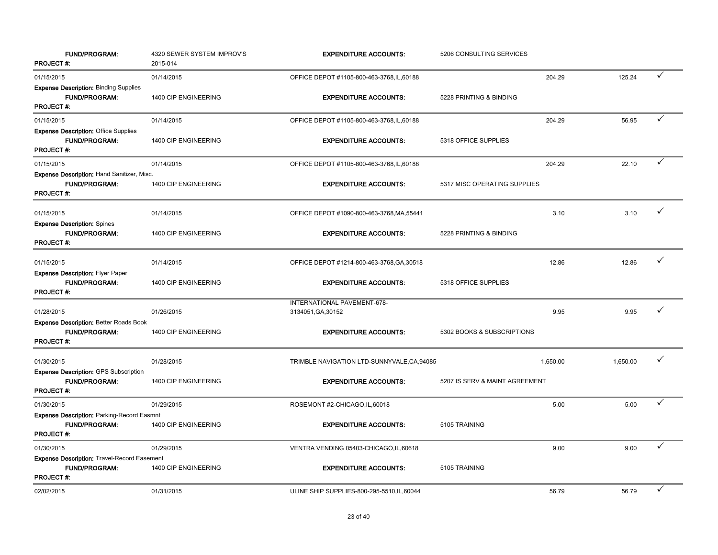| <b>FUND/PROGRAM:</b><br><b>PROJECT#:</b>                                                       | 4320 SEWER SYSTEM IMPROV'S<br>2015-014 | <b>EXPENDITURE ACCOUNTS:</b>                      | 5206 CONSULTING SERVICES       |          |          |              |
|------------------------------------------------------------------------------------------------|----------------------------------------|---------------------------------------------------|--------------------------------|----------|----------|--------------|
| 01/15/2015                                                                                     | 01/14/2015                             | OFFICE DEPOT #1105-800-463-3768, IL, 60188        |                                | 204.29   | 125.24   | ✓            |
| <b>Expense Description: Binding Supplies</b><br>FUND/PROGRAM:<br><b>PROJECT#:</b>              | 1400 CIP ENGINEERING                   | <b>EXPENDITURE ACCOUNTS:</b>                      | 5228 PRINTING & BINDING        |          |          |              |
| 01/15/2015                                                                                     | 01/14/2015                             | OFFICE DEPOT #1105-800-463-3768, IL, 60188        |                                | 204.29   | 56.95    | ✓            |
| <b>Expense Description: Office Supplies</b><br><b>FUND/PROGRAM:</b><br>PROJECT#:               | 1400 CIP ENGINEERING                   | <b>EXPENDITURE ACCOUNTS:</b>                      | 5318 OFFICE SUPPLIES           |          |          |              |
| 01/15/2015                                                                                     | 01/14/2015                             | OFFICE DEPOT #1105-800-463-3768, IL, 60188        |                                | 204.29   | 22.10    | ✓            |
| Expense Description: Hand Sanitizer, Misc.<br><b>FUND/PROGRAM:</b><br><b>PROJECT#:</b>         | 1400 CIP ENGINEERING                   | <b>EXPENDITURE ACCOUNTS:</b>                      | 5317 MISC OPERATING SUPPLIES   |          |          |              |
| 01/15/2015                                                                                     | 01/14/2015                             | OFFICE DEPOT #1090-800-463-3768, MA, 55441        |                                | 3.10     | 3.10     | ✓            |
| <b>Expense Description: Spines</b><br><b>FUND/PROGRAM:</b><br><b>PROJECT#:</b>                 | 1400 CIP ENGINEERING                   | <b>EXPENDITURE ACCOUNTS:</b>                      | 5228 PRINTING & BINDING        |          |          |              |
| 01/15/2015                                                                                     | 01/14/2015                             | OFFICE DEPOT #1214-800-463-3768, GA, 30518        |                                | 12.86    | 12.86    | $\checkmark$ |
| <b>Expense Description: Flyer Paper</b><br><b>FUND/PROGRAM:</b><br><b>PROJECT#:</b>            | 1400 CIP ENGINEERING                   | <b>EXPENDITURE ACCOUNTS:</b>                      | 5318 OFFICE SUPPLIES           |          |          |              |
| 01/28/2015                                                                                     | 01/26/2015                             | INTERNATIONAL PAVEMENT-678-<br>3134051, GA, 30152 |                                | 9.95     | 9.95     | ✓            |
| <b>Expense Description: Better Roads Book</b><br><b>FUND/PROGRAM:</b><br><b>PROJECT#:</b>      | 1400 CIP ENGINEERING                   | <b>EXPENDITURE ACCOUNTS:</b>                      | 5302 BOOKS & SUBSCRIPTIONS     |          |          |              |
| 01/30/2015                                                                                     | 01/28/2015                             | TRIMBLE NAVIGATION LTD-SUNNYVALE, CA, 94085       |                                | 1,650.00 | 1,650.00 | $\checkmark$ |
| <b>Expense Description: GPS Subscription</b><br><b>FUND/PROGRAM:</b><br><b>PROJECT#:</b>       | 1400 CIP ENGINEERING                   | <b>EXPENDITURE ACCOUNTS:</b>                      | 5207 IS SERV & MAINT AGREEMENT |          |          |              |
| 01/30/2015                                                                                     | 01/29/2015                             | ROSEMONT #2-CHICAGO,IL,60018                      |                                | 5.00     | 5.00     | ✓            |
| <b>Expense Description: Parking-Record Easmnt</b><br><b>FUND/PROGRAM:</b><br><b>PROJECT#:</b>  | 1400 CIP ENGINEERING                   | <b>EXPENDITURE ACCOUNTS:</b>                      | 5105 TRAINING                  |          |          |              |
| 01/30/2015                                                                                     | 01/29/2015                             | VENTRA VENDING 05403-CHICAGO,IL,60618             |                                | 9.00     | 9.00     |              |
| <b>Expense Description: Travel-Record Easement</b><br><b>FUND/PROGRAM:</b><br><b>PROJECT#:</b> | 1400 CIP ENGINEERING                   | <b>EXPENDITURE ACCOUNTS:</b>                      | 5105 TRAINING                  |          |          |              |
| 02/02/2015                                                                                     | 01/31/2015                             | ULINE SHIP SUPPLIES-800-295-5510, IL, 60044       |                                | 56.79    | 56.79    |              |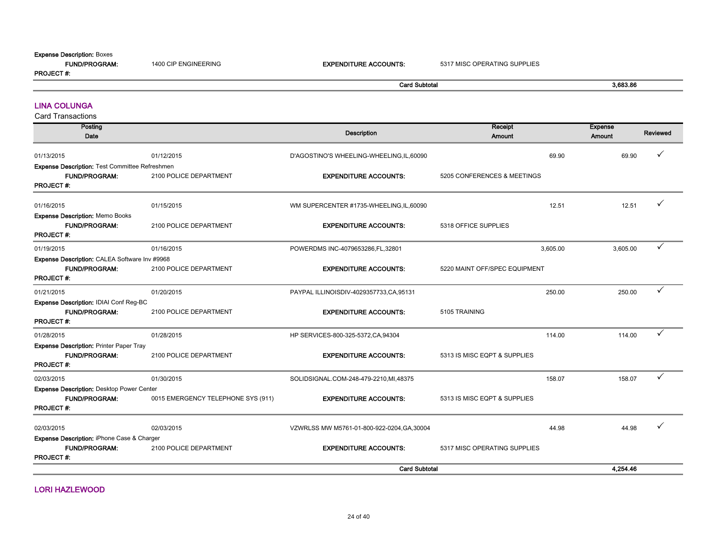#### Expense Description: Boxes

| <b>Expense Description: BOXES</b><br><b>FUND/PROGRAM:</b><br><b>PROJECT #:</b> | 1400 CIP ENGINEERING | <b>EXPENDITURE ACCOUNTS:</b> | 5317 MISC OPERATING SUPPLIES |                 |
|--------------------------------------------------------------------------------|----------------------|------------------------------|------------------------------|-----------------|
|                                                                                |                      | <b>Card Subtotal</b>         |                              | 3,683.86        |
| <b>LINA COLUNGA</b>                                                            |                      |                              |                              |                 |
| <b>Card Transactions</b><br>$B = B - B$                                        |                      |                              | <b>B</b> and the state of    | <b>Property</b> |

| Posting<br>Date                                                                            |                                    | <b>Description</b>                          | Receipt<br><b>Amount</b>      | <b>Expense</b><br><b>Amount</b> | Reviewed     |
|--------------------------------------------------------------------------------------------|------------------------------------|---------------------------------------------|-------------------------------|---------------------------------|--------------|
| 01/13/2015                                                                                 | 01/12/2015                         | D'AGOSTINO'S WHEELING-WHEELING, IL, 60090   | 69.90                         | 69.90                           | ✓            |
| <b>Expense Description: Test Committee Refreshmen</b>                                      |                                    |                                             |                               |                                 |              |
| FUND/PROGRAM.<br><b>PROJECT#:</b>                                                          | 2100 POLICE DEPARTMENT             | <b>EXPENDITURE ACCOUNTS:</b>                | 5205 CONFERENCES & MEETINGS   |                                 |              |
| 01/16/2015                                                                                 | 01/15/2015                         | WM SUPERCENTER #1735-WHEELING,IL,60090      | 12.51                         | 12.51                           |              |
| <b>Expense Description: Memo Books</b><br><b>FUND/PROGRAM:</b><br><b>PROJECT#:</b>         | 2100 POLICE DEPARTMENT             | <b>EXPENDITURE ACCOUNTS:</b>                | 5318 OFFICE SUPPLIES          |                                 |              |
| 01/19/2015                                                                                 | 01/16/2015                         | POWERDMS INC-4079653286,FL,32801            | 3,605.00                      | 3,605.00                        | ✓            |
| Expense Description: CALEA Software Inv #9968<br><b>FUND/PROGRAM:</b><br><b>PROJECT#:</b>  | 2100 POLICE DEPARTMENT             | <b>EXPENDITURE ACCOUNTS:</b>                | 5220 MAINT OFF/SPEC EQUIPMENT |                                 |              |
| 01/21/2015                                                                                 | 01/20/2015                         | PAYPAL ILLINOISDIV-4029357733,CA,95131      | 250.00                        | 250.00                          | $\checkmark$ |
| Expense Description: IDIAI Conf Reg-BC<br><b>FUND/PROGRAM:</b><br><b>PROJECT#:</b>         | 2100 POLICE DEPARTMENT             | <b>EXPENDITURE ACCOUNTS:</b>                | 5105 TRAINING                 |                                 |              |
| 01/28/2015                                                                                 | 01/28/2015                         | HP SERVICES-800-325-5372, CA, 94304         | 114.00                        | 114.00                          |              |
| <b>Expense Description: Printer Paper Tray</b><br><b>FUND/PROGRAM:</b><br><b>PROJECT#:</b> | 2100 POLICE DEPARTMENT             | <b>EXPENDITURE ACCOUNTS:</b>                | 5313 IS MISC EQPT & SUPPLIES  |                                 |              |
| 02/03/2015                                                                                 | 01/30/2015                         | SOLIDSIGNAL.COM-248-479-2210,MI,48375       | 158.07                        | 158.07                          | ✓            |
| Expense Description: Desktop Power Center<br><b>FUND/PROGRAM:</b><br><b>PROJECT#:</b>      | 0015 EMERGENCY TELEPHONE SYS (911) | <b>EXPENDITURE ACCOUNTS:</b>                | 5313 IS MISC EQPT & SUPPLIES  |                                 |              |
| 02/03/2015                                                                                 | 02/03/2015                         | VZWRLSS MW M5761-01-800-922-0204, GA, 30004 | 44.98                         | 44.98                           |              |
| Expense Description: iPhone Case & Charger<br><b>FUND/PROGRAM:</b><br>PROJECT#:            | 2100 POLICE DEPARTMENT             | <b>EXPENDITURE ACCOUNTS:</b>                | 5317 MISC OPERATING SUPPLIES  |                                 |              |
|                                                                                            |                                    | <b>Card Subtotal</b>                        |                               | 4,254.46                        |              |

LORI HAZLEWOOD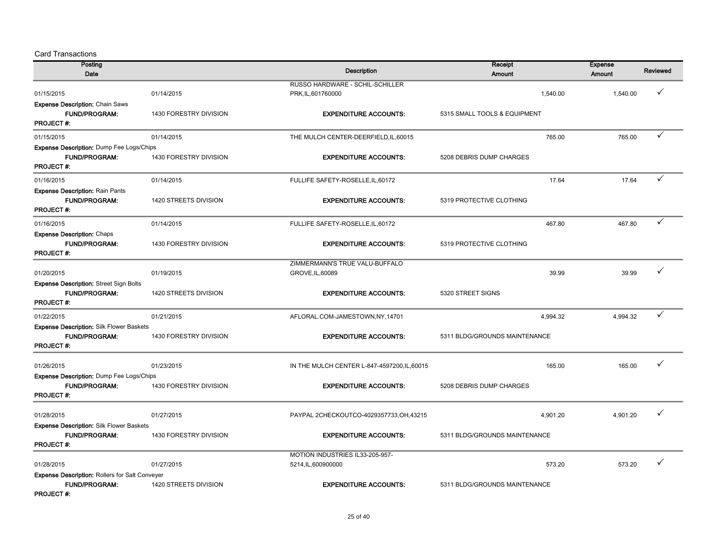| Posting                                               |                        |                                              | Receipt                       | <b>Expense</b> |                 |
|-------------------------------------------------------|------------------------|----------------------------------------------|-------------------------------|----------------|-----------------|
| Date                                                  |                        | <b>Description</b>                           | Amount                        | Amount         | <b>Reviewed</b> |
|                                                       |                        | RUSSO HARDWARE - SCHIL-SCHILLER              |                               |                |                 |
| 01/15/2015                                            | 01/14/2015             | PRK, IL, 601760000                           | 1.540.00                      | 1.540.00       | ✓               |
| <b>Expense Description: Chain Saws</b>                |                        |                                              |                               |                |                 |
| <b>FUND/PROGRAM:</b>                                  | 1430 FORESTRY DIVISION | <b>EXPENDITURE ACCOUNTS:</b>                 | 5315 SMALL TOOLS & EQUIPMENT  |                |                 |
| <b>PROJECT#:</b>                                      |                        |                                              |                               |                |                 |
| 01/15/2015                                            | 01/14/2015             | THE MULCH CENTER-DEERFIELD, IL, 60015        | 765.00                        | 765.00         | ✓               |
| <b>Expense Description:</b> Dump Fee Logs/Chips       |                        |                                              |                               |                |                 |
| <b>FUND/PROGRAM:</b>                                  | 1430 FORESTRY DIVISION | <b>EXPENDITURE ACCOUNTS:</b>                 | 5208 DEBRIS DUMP CHARGES      |                |                 |
| <b>PROJECT#:</b>                                      |                        |                                              |                               |                |                 |
| 01/16/2015                                            | 01/14/2015             | FULLIFE SAFETY-ROSELLE, IL, 60172            | 17.64                         | 17.64          | ✓               |
| <b>Expense Description: Rain Pants</b>                |                        |                                              |                               |                |                 |
| <b>FUND/PROGRAM:</b>                                  | 1420 STREETS DIVISION  | <b>EXPENDITURE ACCOUNTS:</b>                 | 5319 PROTECTIVE CLOTHING      |                |                 |
| <b>PROJECT#:</b>                                      |                        |                                              |                               |                |                 |
| 01/16/2015                                            | 01/14/2015             | FULLIFE SAFETY-ROSELLE, IL, 60172            | 467.80                        | 467.80         | $\checkmark$    |
| Expense Description: Chaps                            |                        |                                              |                               |                |                 |
| <b>FUND/PROGRAM:</b>                                  | 1430 FORESTRY DIVISION | <b>EXPENDITURE ACCOUNTS:</b>                 | 5319 PROTECTIVE CLOTHING      |                |                 |
| <b>PROJECT#:</b>                                      |                        |                                              |                               |                |                 |
|                                                       |                        | ZIMMERMANN'S TRUE VALU-BUFFALO               |                               |                |                 |
| 01/20/2015                                            | 01/19/2015             | GROVE, IL, 60089                             | 39.99                         | 39.99          | ✓               |
| <b>Expense Description: Street Sign Bolts</b>         |                        |                                              |                               |                |                 |
| <b>FUND/PROGRAM:</b>                                  | 1420 STREETS DIVISION  | <b>EXPENDITURE ACCOUNTS:</b>                 | 5320 STREET SIGNS             |                |                 |
| <b>PROJECT#:</b>                                      |                        |                                              |                               |                |                 |
| 01/22/2015                                            | 01/21/2015             | AFLORAL.COM-JAMESTOWN,NY,14701               | 4,994.32                      | 4,994.32       | ✓               |
| <b>Expense Description: Silk Flower Baskets</b>       |                        |                                              |                               |                |                 |
| <b>FUND/PROGRAM:</b>                                  | 1430 FORESTRY DIVISION | <b>EXPENDITURE ACCOUNTS:</b>                 | 5311 BLDG/GROUNDS MAINTENANCE |                |                 |
| <b>PROJECT#:</b>                                      |                        |                                              |                               |                |                 |
| 01/26/2015                                            | 01/23/2015             | IN THE MULCH CENTER L-847-4597200, IL, 60015 | 165.00                        | 165.00         |                 |
| Expense Description: Dump Fee Logs/Chips              |                        |                                              |                               |                |                 |
| <b>FUND/PROGRAM:</b>                                  | 1430 FORESTRY DIVISION | <b>EXPENDITURE ACCOUNTS:</b>                 | 5208 DEBRIS DUMP CHARGES      |                |                 |
| <b>PROJECT#:</b>                                      |                        |                                              |                               |                |                 |
|                                                       |                        |                                              |                               |                |                 |
| 01/28/2015                                            | 01/27/2015             | PAYPAL 2CHECKOUTCO-4029357733, OH, 43215     | 4,901.20                      | 4,901.20       | ✓               |
| <b>Expense Description: Silk Flower Baskets</b>       |                        |                                              |                               |                |                 |
| <b>FUND/PROGRAM:</b>                                  | 1430 FORESTRY DIVISION | <b>EXPENDITURE ACCOUNTS:</b>                 | 5311 BLDG/GROUNDS MAINTENANCE |                |                 |
| <b>PROJECT#:</b>                                      |                        |                                              |                               |                |                 |
|                                                       |                        | MOTION INDUSTRIES IL33-205-957-              |                               |                |                 |
| 01/28/2015                                            | 01/27/2015             | 5214, IL, 600900000                          | 573.20                        | 573.20         | ✓               |
| <b>Expense Description: Rollers for Salt Conveyer</b> |                        |                                              |                               |                |                 |
| <b>FUND/PROGRAM:</b>                                  | 1420 STREETS DIVISION  | <b>EXPENDITURE ACCOUNTS:</b>                 | 5311 BLDG/GROUNDS MAINTENANCE |                |                 |
| PROJECT#:                                             |                        |                                              |                               |                |                 |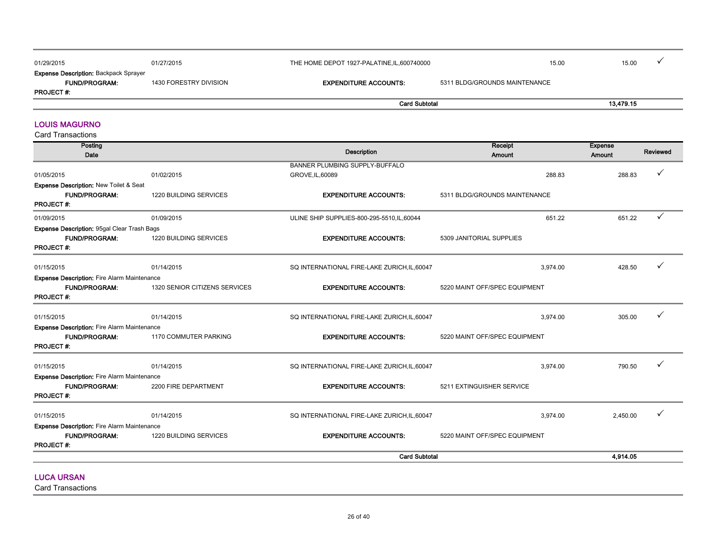| 01/29/2015                                                           | 01/27/2015             | THE HOME DEPOT 1927-PALATINE, IL, 600740000 |                               | 15.00 | 15.00     |  |
|----------------------------------------------------------------------|------------------------|---------------------------------------------|-------------------------------|-------|-----------|--|
| <b>Expense Description: Backpack Sprayer</b><br><b>FUND/PROGRAM:</b> | 1430 FORESTRY DIVISION | <b>EXPENDITURE ACCOUNTS:</b>                | 5311 BLDG/GROUNDS MAINTENANCE |       |           |  |
| <b>PROJECT#:</b>                                                     |                        |                                             |                               |       |           |  |
|                                                                      |                        | <b>Card Subtotal</b>                        |                               |       | 13,479.15 |  |

#### LOUIS MAGURNO

Card Transactions

| Posting<br>Date                                                |                               | <b>Description</b>                           | Receipt<br><b>Amount</b>      |          | <b>Expense</b><br>Amount | Reviewed |
|----------------------------------------------------------------|-------------------------------|----------------------------------------------|-------------------------------|----------|--------------------------|----------|
|                                                                |                               | <b>BANNER PLUMBING SUPPLY-BUFFALO</b>        |                               |          |                          | ✓        |
| 01/05/2015                                                     | 01/02/2015                    | GROVE, IL, 60089                             |                               | 288.83   | 288.83                   |          |
| Expense Description: New Toilet & Seat<br><b>FUND/PROGRAM:</b> | 1220 BUILDING SERVICES        | <b>EXPENDITURE ACCOUNTS:</b>                 | 5311 BLDG/GROUNDS MAINTENANCE |          |                          |          |
| <b>PROJECT#:</b>                                               |                               |                                              |                               |          |                          |          |
| 01/09/2015                                                     | 01/09/2015                    | ULINE SHIP SUPPLIES-800-295-5510, IL, 60044  |                               | 651.22   | 651.22                   | ✓        |
| <b>Expense Description: 95gal Clear Trash Bags</b>             |                               |                                              |                               |          |                          |          |
| <b>FUND/PROGRAM:</b><br><b>PROJECT#:</b>                       | 1220 BUILDING SERVICES        | <b>EXPENDITURE ACCOUNTS:</b>                 | 5309 JANITORIAL SUPPLIES      |          |                          |          |
|                                                                |                               |                                              |                               |          |                          |          |
| 01/15/2015                                                     | 01/14/2015                    | SQ INTERNATIONAL FIRE-LAKE ZURICH, IL, 60047 |                               | 3,974.00 | 428.50                   | ✓        |
| <b>Expense Description: Fire Alarm Maintenance</b>             |                               |                                              |                               |          |                          |          |
| FUND/PROGRAM:<br><b>PROJECT#:</b>                              | 1320 SENIOR CITIZENS SERVICES | <b>EXPENDITURE ACCOUNTS:</b>                 | 5220 MAINT OFF/SPEC EQUIPMENT |          |                          |          |
| 01/15/2015                                                     | 01/14/2015                    | SQ INTERNATIONAL FIRE-LAKE ZURICH, IL, 60047 |                               | 3,974.00 | 305.00                   |          |
| <b>Expense Description:</b> Fire Alarm Maintenance             |                               |                                              |                               |          |                          |          |
| <b>FUND/PROGRAM:</b>                                           | 1170 COMMUTER PARKING         | <b>EXPENDITURE ACCOUNTS:</b>                 | 5220 MAINT OFF/SPEC EQUIPMENT |          |                          |          |
| <b>PROJECT#:</b>                                               |                               |                                              |                               |          |                          |          |
| 01/15/2015                                                     | 01/14/2015                    | SQ INTERNATIONAL FIRE-LAKE ZURICH, IL, 60047 |                               | 3.974.00 | 790.50                   |          |
| Expense Description: Fire Alarm Maintenance                    |                               |                                              |                               |          |                          |          |
| <b>FUND/PROGRAM:</b><br><b>PROJECT#:</b>                       | 2200 FIRE DEPARTMENT          | <b>EXPENDITURE ACCOUNTS:</b>                 | 5211 EXTINGUISHER SERVICE     |          |                          |          |
|                                                                |                               |                                              |                               |          |                          |          |
| 01/15/2015                                                     | 01/14/2015                    | SQ INTERNATIONAL FIRE-LAKE ZURICH, IL, 60047 |                               | 3,974.00 | 2,450.00                 |          |
| <b>Expense Description: Fire Alarm Maintenance</b>             |                               |                                              |                               |          |                          |          |
| <b>FUND/PROGRAM:</b><br><b>PROJECT#:</b>                       | 1220 BUILDING SERVICES        | <b>EXPENDITURE ACCOUNTS:</b>                 | 5220 MAINT OFF/SPEC EQUIPMENT |          |                          |          |
|                                                                |                               | <b>Card Subtotal</b>                         |                               |          | 4,914.05                 |          |
| <b>ILLOS LIMOSE</b>                                            |                               |                                              |                               |          |                          |          |

LUCA URSAN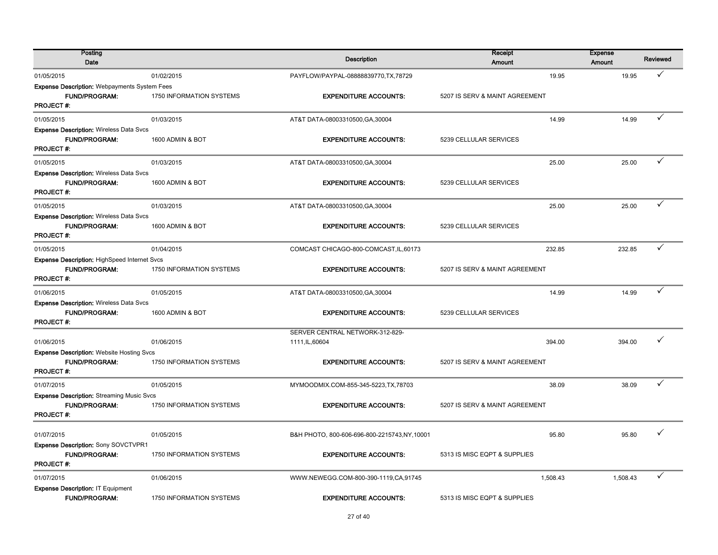| Posting<br>Date                                                                                 |                          | <b>Description</b>                                 | Receipt<br><b>Amount</b>       | <b>Expense</b><br><b>Amount</b> |          | <b>Reviewed</b> |
|-------------------------------------------------------------------------------------------------|--------------------------|----------------------------------------------------|--------------------------------|---------------------------------|----------|-----------------|
| 01/05/2015                                                                                      | 01/02/2015               | PAYFLOW/PAYPAL-08888839770, TX, 78729              |                                | 19.95                           | 19.95    |                 |
| <b>Expense Description: Webpayments System Fees</b><br><b>FUND/PROGRAM:</b><br><b>PROJECT#:</b> | 1750 INFORMATION SYSTEMS | <b>EXPENDITURE ACCOUNTS:</b>                       | 5207 IS SERV & MAINT AGREEMENT |                                 |          |                 |
| 01/05/2015                                                                                      | 01/03/2015               | AT&T DATA-08003310500, GA, 30004                   |                                | 14.99                           | 14.99    | ✓               |
| <b>Expense Description: Wireless Data Svcs</b><br>FUND/PROGRAM:<br><b>PROJECT#:</b>             | 1600 ADMIN & BOT         | <b>EXPENDITURE ACCOUNTS:</b>                       | 5239 CELLULAR SERVICES         |                                 |          |                 |
| 01/05/2015                                                                                      | 01/03/2015               | AT&T DATA-08003310500, GA, 30004                   |                                | 25.00                           | 25.00    |                 |
| <b>Expense Description: Wireless Data Svcs</b><br><b>FUND/PROGRAM:</b><br><b>PROJECT#:</b>      | 1600 ADMIN & BOT         | <b>EXPENDITURE ACCOUNTS:</b>                       | 5239 CELLULAR SERVICES         |                                 |          |                 |
| 01/05/2015                                                                                      | 01/03/2015               | AT&T DATA-08003310500, GA, 30004                   |                                | 25.00                           | 25.00    |                 |
| <b>Expense Description: Wireless Data Svcs</b><br>FUND/PROGRAM:<br><b>PROJECT#:</b>             | 1600 ADMIN & BOT         | <b>EXPENDITURE ACCOUNTS:</b>                       | 5239 CELLULAR SERVICES         |                                 |          |                 |
| 01/05/2015                                                                                      | 01/04/2015               | COMCAST CHICAGO-800-COMCAST, IL, 60173             |                                | 232.85                          | 232.85   |                 |
| <b>Expense Description: HighSpeed Internet Svcs</b><br><b>FUND/PROGRAM:</b><br><b>PROJECT#:</b> | 1750 INFORMATION SYSTEMS | <b>EXPENDITURE ACCOUNTS:</b>                       | 5207 IS SERV & MAINT AGREEMENT |                                 |          |                 |
| 01/06/2015                                                                                      | 01/05/2015               | AT&T DATA-08003310500, GA, 30004                   |                                | 14.99                           | 14.99    |                 |
| <b>Expense Description: Wireless Data Svcs</b><br><b>FUND/PROGRAM:</b><br><b>PROJECT#:</b>      | 1600 ADMIN & BOT         | <b>EXPENDITURE ACCOUNTS:</b>                       | 5239 CELLULAR SERVICES         |                                 |          |                 |
| 01/06/2015                                                                                      | 01/06/2015               | SERVER CENTRAL NETWORK-312-829-<br>1111, IL, 60604 |                                | 394.00                          | 394.00   |                 |
| <b>Expense Description: Website Hosting Svcs</b><br>FUND/PROGRAM:<br><b>PROJECT#:</b>           | 1750 INFORMATION SYSTEMS | <b>EXPENDITURE ACCOUNTS:</b>                       | 5207 IS SERV & MAINT AGREEMENT |                                 |          |                 |
| 01/07/2015                                                                                      | 01/05/2015               | MYMOODMIX.COM-855-345-5223, TX, 78703              |                                | 38.09                           | 38.09    |                 |
| <b>Expense Description: Streaming Music Svcs</b><br><b>FUND/PROGRAM:</b><br><b>PROJECT#:</b>    | 1750 INFORMATION SYSTEMS | <b>EXPENDITURE ACCOUNTS:</b>                       | 5207 IS SERV & MAINT AGREEMENT |                                 |          |                 |
| 01/07/2015                                                                                      | 01/05/2015               | B&H PHOTO, 800-606-696-800-2215743, NY, 10001      |                                | 95.80                           | 95.80    |                 |
| Expense Description: Sony SOVCTVPR1<br><b>FUND/PROGRAM:</b><br><b>PROJECT#:</b>                 | 1750 INFORMATION SYSTEMS | <b>EXPENDITURE ACCOUNTS:</b>                       | 5313 IS MISC EQPT & SUPPLIES   |                                 |          |                 |
| 01/07/2015                                                                                      | 01/06/2015               | WWW.NEWEGG.COM-800-390-1119,CA,91745               | 1,508.43                       |                                 | 1,508.43 |                 |
| Expense Description: IT Equipment<br>FUND/PROGRAM:                                              | 1750 INFORMATION SYSTEMS | <b>EXPENDITURE ACCOUNTS:</b>                       | 5313 IS MISC EQPT & SUPPLIES   |                                 |          |                 |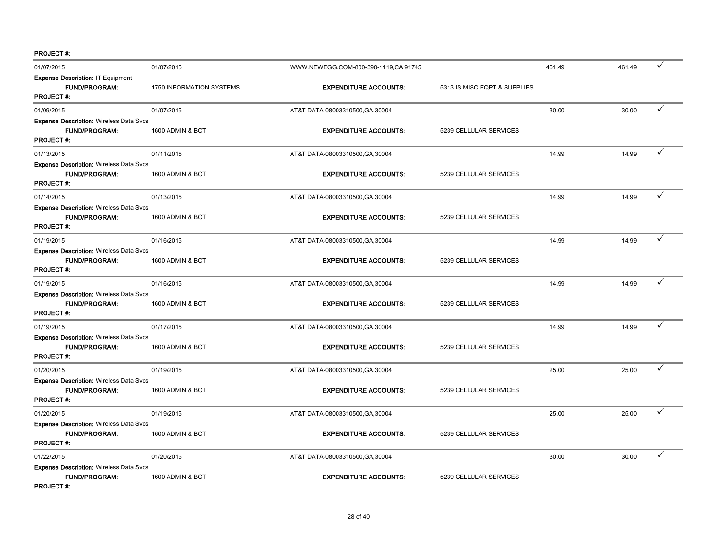| 01/07/2015                                                                                 | 01/07/2015               | WWW.NEWEGG.COM-800-390-1119,CA,91745 |                              | 461.49 | 461.49 | ✓            |
|--------------------------------------------------------------------------------------------|--------------------------|--------------------------------------|------------------------------|--------|--------|--------------|
| <b>Expense Description: IT Equipment</b><br>FUND/PROGRAM:<br><b>PROJECT#:</b>              | 1750 INFORMATION SYSTEMS | <b>EXPENDITURE ACCOUNTS:</b>         | 5313 IS MISC EQPT & SUPPLIES |        |        |              |
| 01/09/2015                                                                                 | 01/07/2015               | AT&T DATA-08003310500, GA, 30004     |                              | 30.00  | 30.00  | $\checkmark$ |
| <b>Expense Description: Wireless Data Svcs</b><br>FUND/PROGRAM:<br><b>PROJECT#:</b>        | 1600 ADMIN & BOT         | <b>EXPENDITURE ACCOUNTS:</b>         | 5239 CELLULAR SERVICES       |        |        |              |
| 01/13/2015                                                                                 | 01/11/2015               | AT&T DATA-08003310500, GA, 30004     |                              | 14.99  | 14.99  | ✓            |
| <b>Expense Description: Wireless Data Svcs</b><br><b>FUND/PROGRAM:</b><br><b>PROJECT#:</b> | 1600 ADMIN & BOT         | <b>EXPENDITURE ACCOUNTS:</b>         | 5239 CELLULAR SERVICES       |        |        |              |
| 01/14/2015                                                                                 | 01/13/2015               | AT&T DATA-08003310500, GA, 30004     |                              | 14.99  | 14.99  | $\checkmark$ |
| <b>Expense Description: Wireless Data Svcs</b><br>FUND/PROGRAM:<br><b>PROJECT#:</b>        | 1600 ADMIN & BOT         | <b>EXPENDITURE ACCOUNTS:</b>         | 5239 CELLULAR SERVICES       |        |        |              |
| 01/19/2015                                                                                 | 01/16/2015               | AT&T DATA-08003310500, GA, 30004     |                              | 14.99  | 14.99  | ✓            |
| <b>Expense Description: Wireless Data Svcs</b><br><b>FUND/PROGRAM:</b><br><b>PROJECT#:</b> | 1600 ADMIN & BOT         | <b>EXPENDITURE ACCOUNTS:</b>         | 5239 CELLULAR SERVICES       |        |        |              |
| 01/19/2015                                                                                 | 01/16/2015               | AT&T DATA-08003310500, GA, 30004     |                              | 14.99  | 14.99  | $\checkmark$ |
| <b>Expense Description: Wireless Data Svcs</b><br><b>FUND/PROGRAM:</b><br><b>PROJECT#:</b> | 1600 ADMIN & BOT         | <b>EXPENDITURE ACCOUNTS:</b>         | 5239 CELLULAR SERVICES       |        |        |              |
| 01/19/2015                                                                                 | 01/17/2015               | AT&T DATA-08003310500, GA, 30004     |                              | 14.99  | 14.99  | ✓            |
| <b>Expense Description: Wireless Data Svcs</b><br>FUND/PROGRAM:<br><b>PROJECT#:</b>        | 1600 ADMIN & BOT         | <b>EXPENDITURE ACCOUNTS:</b>         | 5239 CELLULAR SERVICES       |        |        |              |
| 01/20/2015                                                                                 | 01/19/2015               | AT&T DATA-08003310500, GA, 30004     |                              | 25.00  | 25.00  | $\checkmark$ |
| <b>Expense Description: Wireless Data Svcs</b><br><b>FUND/PROGRAM:</b><br><b>PROJECT#:</b> | 1600 ADMIN & BOT         | <b>EXPENDITURE ACCOUNTS:</b>         | 5239 CELLULAR SERVICES       |        |        |              |
| 01/20/2015                                                                                 | 01/19/2015               | AT&T DATA-08003310500, GA, 30004     |                              | 25.00  | 25.00  | ✓            |
| <b>Expense Description: Wireless Data Svcs</b><br>FUND/PROGRAM:<br>PROJECT#:               | 1600 ADMIN & BOT         | <b>EXPENDITURE ACCOUNTS:</b>         | 5239 CELLULAR SERVICES       |        |        |              |
| 01/22/2015                                                                                 | 01/20/2015               | AT&T DATA-08003310500, GA, 30004     |                              | 30.00  | 30.00  | ✓            |
| <b>Expense Description: Wireless Data Svcs</b><br><b>FUND/PROGRAM:</b><br><b>PROJECT#:</b> | 1600 ADMIN & BOT         | <b>EXPENDITURE ACCOUNTS:</b>         | 5239 CELLULAR SERVICES       |        |        |              |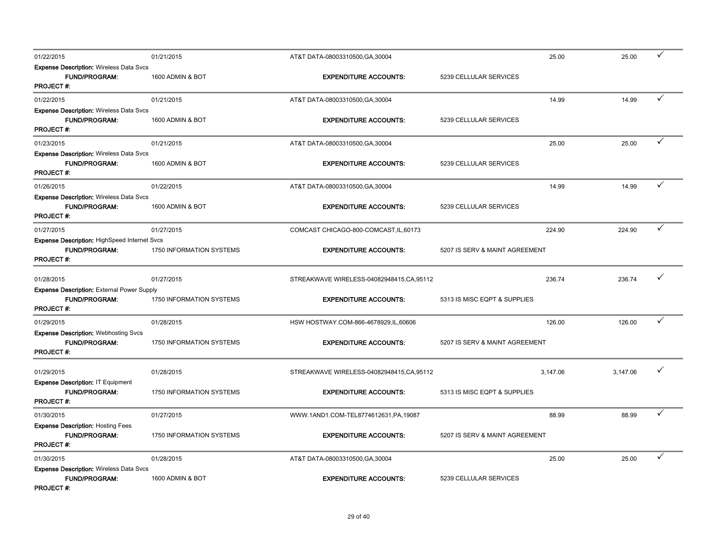| 01/22/2015                                                                                      | 01/21/2015               | AT&T DATA-08003310500, GA, 30004           | 25.00                          | 25.00    | ✓ |
|-------------------------------------------------------------------------------------------------|--------------------------|--------------------------------------------|--------------------------------|----------|---|
| <b>Expense Description: Wireless Data Svcs</b><br><b>FUND/PROGRAM:</b><br><b>PROJECT#:</b>      | 1600 ADMIN & BOT         | <b>EXPENDITURE ACCOUNTS:</b>               | 5239 CELLULAR SERVICES         |          |   |
| 01/22/2015                                                                                      | 01/21/2015               | AT&T DATA-08003310500, GA, 30004           | 14.99                          | 14.99    | ✓ |
| <b>Expense Description: Wireless Data Svcs</b><br>FUND/PROGRAM:<br><b>PROJECT#:</b>             | 1600 ADMIN & BOT         | <b>EXPENDITURE ACCOUNTS:</b>               | 5239 CELLULAR SERVICES         |          |   |
| 01/23/2015                                                                                      | 01/21/2015               | AT&T DATA-08003310500, GA, 30004           | 25.00                          | 25.00    |   |
| <b>Expense Description: Wireless Data Svcs</b><br><b>FUND/PROGRAM:</b><br><b>PROJECT#:</b>      | 1600 ADMIN & BOT         | <b>EXPENDITURE ACCOUNTS:</b>               | 5239 CELLULAR SERVICES         |          |   |
| 01/26/2015                                                                                      | 01/22/2015               | AT&T DATA-08003310500, GA, 30004           | 14.99                          | 14.99    |   |
| <b>Expense Description: Wireless Data Svcs</b><br><b>FUND/PROGRAM:</b><br>PROJECT#:             | 1600 ADMIN & BOT         | <b>EXPENDITURE ACCOUNTS:</b>               | 5239 CELLULAR SERVICES         |          |   |
| 01/27/2015                                                                                      | 01/27/2015               | COMCAST CHICAGO-800-COMCAST, IL, 60173     | 224.90                         | 224.90   | ✓ |
| <b>Expense Description: HighSpeed Internet Svcs</b><br><b>FUND/PROGRAM:</b><br><b>PROJECT#:</b> | 1750 INFORMATION SYSTEMS | <b>EXPENDITURE ACCOUNTS:</b>               | 5207 IS SERV & MAINT AGREEMENT |          |   |
| 01/28/2015                                                                                      | 01/27/2015               | STREAKWAVE WIRELESS-04082948415, CA, 95112 | 236.74                         | 236.74   |   |
| <b>Expense Description: External Power Supply</b><br><b>FUND/PROGRAM:</b><br><b>PROJECT#:</b>   | 1750 INFORMATION SYSTEMS | <b>EXPENDITURE ACCOUNTS:</b>               | 5313 IS MISC EQPT & SUPPLIES   |          |   |
| 01/29/2015                                                                                      | 01/28/2015               | HSW HOSTWAY.COM-866-4678929,IL,60606       | 126.00                         | 126.00   |   |
| <b>Expense Description: Webhosting Svcs</b><br>FUND/PROGRAM:<br><b>PROJECT#:</b>                | 1750 INFORMATION SYSTEMS | <b>EXPENDITURE ACCOUNTS:</b>               | 5207 IS SERV & MAINT AGREEMENT |          |   |
| 01/29/2015                                                                                      | 01/28/2015               | STREAKWAVE WIRELESS-04082948415, CA, 95112 | 3,147.06                       | 3,147.06 |   |
| Expense Description: IT Equipment<br><b>FUND/PROGRAM:</b><br><b>PROJECT#:</b>                   | 1750 INFORMATION SYSTEMS | <b>EXPENDITURE ACCOUNTS:</b>               | 5313 IS MISC EQPT & SUPPLIES   |          |   |
| 01/30/2015                                                                                      | 01/27/2015               | WWW.1AND1.COM-TEL8774612631,PA,19087       | 88.99                          | 88.99    | ✓ |
| <b>Expense Description: Hosting Fees</b><br><b>FUND/PROGRAM:</b><br><b>PROJECT#:</b>            | 1750 INFORMATION SYSTEMS | <b>EXPENDITURE ACCOUNTS:</b>               | 5207 IS SERV & MAINT AGREEMENT |          |   |
| 01/30/2015                                                                                      | 01/28/2015               | AT&T DATA-08003310500, GA, 30004           | 25.00                          | 25.00    | ✓ |
| <b>Expense Description: Wireless Data Svcs</b><br><b>FUND/PROGRAM:</b><br><b>PROJECT#:</b>      | 1600 ADMIN & BOT         | <b>EXPENDITURE ACCOUNTS:</b>               | 5239 CELLULAR SERVICES         |          |   |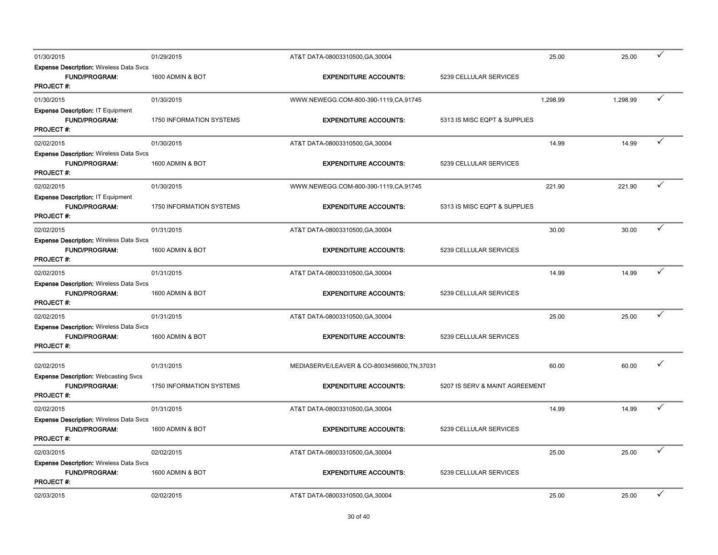| 01/30/2015                                                                                 | 01/29/2015               | AT&T DATA-08003310500, GA, 30004             |                                | 25.00    | 25.00    |   |
|--------------------------------------------------------------------------------------------|--------------------------|----------------------------------------------|--------------------------------|----------|----------|---|
| <b>Expense Description: Wireless Data Svcs</b><br><b>FUND/PROGRAM:</b><br>PROJECT#:        | 1600 ADMIN & BOT         | <b>EXPENDITURE ACCOUNTS:</b>                 | 5239 CELLULAR SERVICES         |          |          |   |
| 01/30/2015                                                                                 | 01/30/2015               | WWW.NEWEGG.COM-800-390-1119,CA,91745         |                                | 1,298.99 | 1,298.99 |   |
| Expense Description: IT Equipment<br><b>FUND/PROGRAM:</b><br><b>PROJECT#:</b>              | 1750 INFORMATION SYSTEMS | <b>EXPENDITURE ACCOUNTS:</b>                 | 5313 IS MISC EQPT & SUPPLIES   |          |          |   |
| 02/02/2015                                                                                 | 01/30/2015               | AT&T DATA-08003310500, GA, 30004             |                                | 14.99    | 14.99    | ✓ |
| <b>Expense Description: Wireless Data Svcs</b><br><b>FUND/PROGRAM:</b><br><b>PROJECT#:</b> | 1600 ADMIN & BOT         | <b>EXPENDITURE ACCOUNTS:</b>                 | 5239 CELLULAR SERVICES         |          |          |   |
| 02/02/2015                                                                                 | 01/30/2015               | WWW.NEWEGG.COM-800-390-1119,CA,91745         |                                | 221.90   | 221.90   | ✓ |
| Expense Description: IT Equipment<br><b>FUND/PROGRAM:</b><br><b>PROJECT#:</b>              | 1750 INFORMATION SYSTEMS | <b>EXPENDITURE ACCOUNTS:</b>                 | 5313 IS MISC EQPT & SUPPLIES   |          |          |   |
| 02/02/2015                                                                                 | 01/31/2015               | AT&T DATA-08003310500, GA, 30004             |                                | 30.00    | 30.00    | ✓ |
| <b>Expense Description: Wireless Data Svcs</b><br><b>FUND/PROGRAM:</b><br><b>PROJECT#:</b> | 1600 ADMIN & BOT         | <b>EXPENDITURE ACCOUNTS:</b>                 | 5239 CELLULAR SERVICES         |          |          |   |
| 02/02/2015                                                                                 | 01/31/2015               | AT&T DATA-08003310500, GA, 30004             |                                | 14.99    | 14.99    | ✓ |
| <b>Expense Description: Wireless Data Svcs</b><br><b>FUND/PROGRAM:</b><br>PROJECT#:        | 1600 ADMIN & BOT         | <b>EXPENDITURE ACCOUNTS:</b>                 | 5239 CELLULAR SERVICES         |          |          |   |
| 02/02/2015                                                                                 | 01/31/2015               | AT&T DATA-08003310500, GA, 30004             |                                | 25.00    | 25.00    | ✓ |
| <b>Expense Description: Wireless Data Svcs</b><br>FUND/PROGRAM:<br><b>PROJECT#:</b>        | 1600 ADMIN & BOT         | <b>EXPENDITURE ACCOUNTS:</b>                 | 5239 CELLULAR SERVICES         |          |          |   |
| 02/02/2015                                                                                 | 01/31/2015               | MEDIASERVE/LEAVER & CO-8003456600, TN, 37031 |                                | 60.00    | 60.00    |   |
| <b>Expense Description: Webcasting Svcs</b><br><b>FUND/PROGRAM:</b><br><b>PROJECT#:</b>    | 1750 INFORMATION SYSTEMS | <b>EXPENDITURE ACCOUNTS:</b>                 | 5207 IS SERV & MAINT AGREEMENT |          |          |   |
| 02/02/2015                                                                                 | 01/31/2015               | AT&T DATA-08003310500, GA, 30004             |                                | 14.99    | 14.99    |   |
| <b>Expense Description: Wireless Data Svcs</b><br><b>FUND/PROGRAM:</b><br><b>PROJECT#:</b> | 1600 ADMIN & BOT         | <b>EXPENDITURE ACCOUNTS:</b>                 | 5239 CELLULAR SERVICES         |          |          |   |
| 02/03/2015                                                                                 | 02/02/2015               | AT&T DATA-08003310500, GA, 30004             |                                | 25.00    | 25.00    | ✓ |
| <b>Expense Description: Wireless Data Svcs</b><br>FUND/PROGRAM:<br><b>PROJECT#:</b>        | 1600 ADMIN & BOT         | <b>EXPENDITURE ACCOUNTS:</b>                 | 5239 CELLULAR SERVICES         |          |          |   |
| 02/03/2015                                                                                 | 02/02/2015               | AT&T DATA-08003310500, GA, 30004             |                                | 25.00    | 25.00    |   |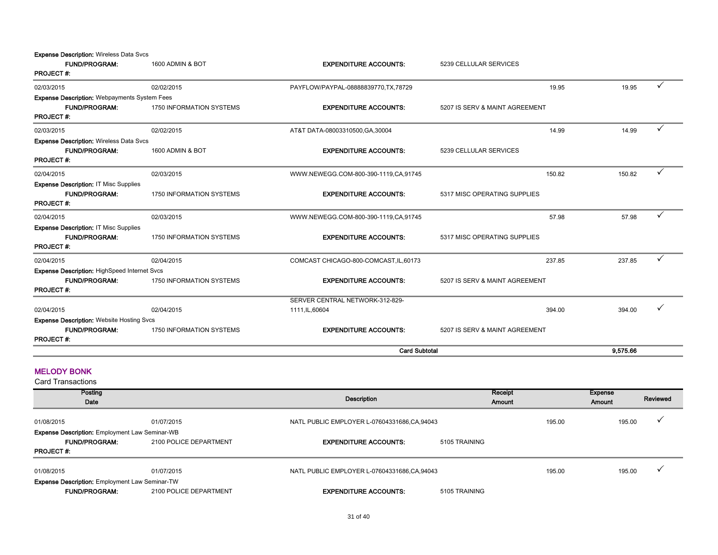**Expense Description: Wireless Data Svcs** 

| <b>FUND/PROGRAM:</b>                                | 1600 ADMIN & BOT                | <b>EXPENDITURE ACCOUNTS:</b>           | 5239 CELLULAR SERVICES         |          |              |
|-----------------------------------------------------|---------------------------------|----------------------------------------|--------------------------------|----------|--------------|
| <b>PROJECT#:</b>                                    |                                 |                                        |                                |          |              |
| 02/03/2015                                          | 02/02/2015                      | PAYFLOW/PAYPAL-08888839770, TX, 78729  | 19.95                          | 19.95    | $\checkmark$ |
| <b>Expense Description: Webpayments System Fees</b> |                                 |                                        |                                |          |              |
| <b>FUND/PROGRAM:</b>                                | 1750 INFORMATION SYSTEMS        | <b>EXPENDITURE ACCOUNTS:</b>           | 5207 IS SERV & MAINT AGREEMENT |          |              |
| <b>PROJECT#:</b>                                    |                                 |                                        |                                |          |              |
| 02/03/2015                                          | 02/02/2015                      | AT&T DATA-08003310500, GA, 30004       | 14.99                          | 14.99    | ✓            |
| <b>Expense Description: Wireless Data Svcs</b>      |                                 |                                        |                                |          |              |
| <b>FUND/PROGRAM:</b>                                | 1600 ADMIN & BOT                | <b>EXPENDITURE ACCOUNTS:</b>           | 5239 CELLULAR SERVICES         |          |              |
| PROJECT#:                                           |                                 |                                        |                                |          |              |
| 02/04/2015                                          | 02/03/2015                      | WWW.NEWEGG.COM-800-390-1119,CA,91745   | 150.82                         | 150.82   | ✓            |
| <b>Expense Description: IT Misc Supplies</b>        |                                 |                                        |                                |          |              |
| <b>FUND/PROGRAM:</b>                                | <b>1750 INFORMATION SYSTEMS</b> | <b>EXPENDITURE ACCOUNTS:</b>           | 5317 MISC OPERATING SUPPLIES   |          |              |
| <b>PROJECT#:</b>                                    |                                 |                                        |                                |          |              |
| 02/04/2015                                          | 02/03/2015                      | WWW.NEWEGG.COM-800-390-1119,CA,91745   | 57.98                          | 57.98    | ✓            |
| <b>Expense Description: IT Misc Supplies</b>        |                                 |                                        |                                |          |              |
| <b>FUND/PROGRAM:</b>                                | 1750 INFORMATION SYSTEMS        | <b>EXPENDITURE ACCOUNTS:</b>           | 5317 MISC OPERATING SUPPLIES   |          |              |
| <b>PROJECT#:</b>                                    |                                 |                                        |                                |          |              |
| 02/04/2015                                          | 02/04/2015                      | COMCAST CHICAGO-800-COMCAST, IL, 60173 | 237.85                         | 237.85   | ✓            |
| <b>Expense Description: HighSpeed Internet Svcs</b> |                                 |                                        |                                |          |              |
| <b>FUND/PROGRAM:</b>                                | 1750 INFORMATION SYSTEMS        | <b>EXPENDITURE ACCOUNTS:</b>           | 5207 IS SERV & MAINT AGREEMENT |          |              |
| <b>PROJECT#:</b>                                    |                                 |                                        |                                |          |              |
|                                                     |                                 | SERVER CENTRAL NETWORK-312-829-        |                                |          |              |
| 02/04/2015                                          | 02/04/2015                      | 1111, IL, 60604                        | 394.00                         | 394.00   |              |
| <b>Expense Description: Website Hosting Svcs</b>    |                                 |                                        |                                |          |              |
| <b>FUND/PROGRAM:</b>                                | 1750 INFORMATION SYSTEMS        | <b>EXPENDITURE ACCOUNTS:</b>           | 5207 IS SERV & MAINT AGREEMENT |          |              |
| <b>PROJECT#:</b>                                    |                                 |                                        |                                |          |              |
|                                                     |                                 | <b>Card Subtotal</b>                   |                                | 9,575.66 |              |
|                                                     |                                 |                                        |                                |          |              |

#### MELODY BONK

| <b>Card Transactions</b>                              |                        |                                             |                   |        |                   |          |
|-------------------------------------------------------|------------------------|---------------------------------------------|-------------------|--------|-------------------|----------|
| Posting<br>Date                                       |                        | Description                                 | Receipt<br>Amount |        | Expense<br>Amount | Reviewed |
| 01/08/2015                                            | 01/07/2015             | NATL PUBLIC EMPLOYER L-07604331686,CA,94043 |                   | 195.00 | 195.00            |          |
| <b>Expense Description: Employment Law Seminar-WB</b> |                        |                                             |                   |        |                   |          |
| <b>FUND/PROGRAM:</b>                                  | 2100 POLICE DEPARTMENT | <b>EXPENDITURE ACCOUNTS:</b>                | 5105 TRAINING     |        |                   |          |
| <b>PROJECT#:</b>                                      |                        |                                             |                   |        |                   |          |
| 01/08/2015                                            | 01/07/2015             | NATL PUBLIC EMPLOYER L-07604331686,CA,94043 |                   | 195.00 | 195.00            |          |
| <b>Expense Description: Employment Law Seminar-TW</b> |                        |                                             |                   |        |                   |          |
| <b>FUND/PROGRAM:</b>                                  | 2100 POLICE DEPARTMENT | <b>EXPENDITURE ACCOUNTS:</b>                | 5105 TRAINING     |        |                   |          |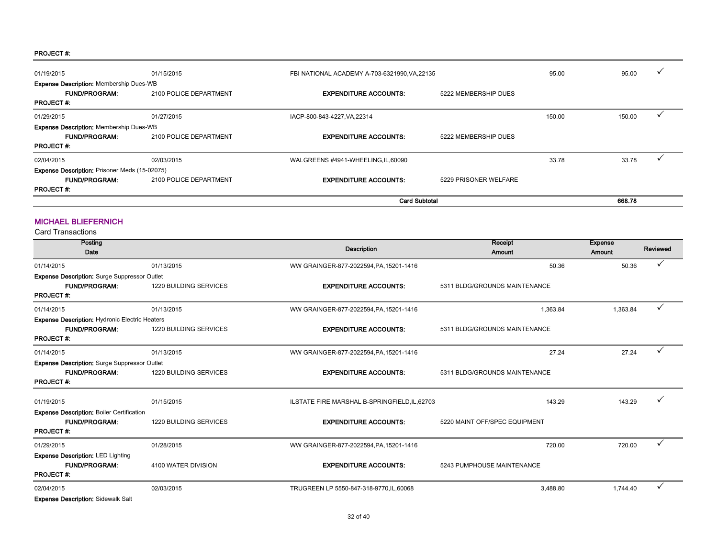| 01/19/2015                                           | 01/15/2015             | FBI NATIONAL ACADEMY A-703-6321990, VA, 22135 |                       | 95.00  | 95.00  | ✓ |
|------------------------------------------------------|------------------------|-----------------------------------------------|-----------------------|--------|--------|---|
| <b>Expense Description: Membership Dues-WB</b>       |                        |                                               |                       |        |        |   |
| <b>FUND/PROGRAM:</b>                                 | 2100 POLICE DEPARTMENT | <b>EXPENDITURE ACCOUNTS:</b>                  | 5222 MEMBERSHIP DUES  |        |        |   |
| <b>PROJECT #:</b>                                    |                        |                                               |                       |        |        |   |
| 01/29/2015                                           | 01/27/2015             | IACP-800-843-4227, VA, 22314                  |                       | 150.00 | 150.00 |   |
| <b>Expense Description: Membership Dues-WB</b>       |                        |                                               |                       |        |        |   |
| <b>FUND/PROGRAM:</b>                                 | 2100 POLICE DEPARTMENT | <b>EXPENDITURE ACCOUNTS:</b>                  | 5222 MEMBERSHIP DUES  |        |        |   |
| <b>PROJECT #:</b>                                    |                        |                                               |                       |        |        |   |
| 02/04/2015                                           | 02/03/2015             | WALGREENS #4941-WHEELING, IL, 60090           |                       | 33.78  | 33.78  |   |
| <b>Expense Description: Prisoner Meds (15-02075)</b> |                        |                                               |                       |        |        |   |
| <b>FUND/PROGRAM:</b>                                 | 2100 POLICE DEPARTMENT | <b>EXPENDITURE ACCOUNTS:</b>                  | 5229 PRISONER WELFARE |        |        |   |
| <b>PROJECT#:</b>                                     |                        |                                               |                       |        |        |   |
|                                                      |                        | <b>Card Subtotal</b>                          |                       |        | 668.78 |   |

#### MICHAEL BLIEFERNICH

| Posting                                               |                        |                                               | Receipt                       | <b>Expense</b> |              |
|-------------------------------------------------------|------------------------|-----------------------------------------------|-------------------------------|----------------|--------------|
| Date                                                  |                        | <b>Description</b>                            | Amount                        | Amount         | Reviewed     |
| 01/14/2015                                            | 01/13/2015             | WW GRAINGER-877-2022594, PA, 15201-1416       | 50.36                         | 50.36          |              |
| <b>Expense Description:</b> Surge Suppressor Outlet   |                        |                                               |                               |                |              |
| <b>FUND/PROGRAM:</b>                                  | 1220 BUILDING SERVICES | <b>EXPENDITURE ACCOUNTS:</b>                  | 5311 BLDG/GROUNDS MAINTENANCE |                |              |
| <b>PROJECT#:</b>                                      |                        |                                               |                               |                |              |
| 01/14/2015                                            | 01/13/2015             | WW GRAINGER-877-2022594, PA, 15201-1416       | 1.363.84                      | 1,363.84       | ✓            |
| <b>Expense Description: Hydronic Electric Heaters</b> |                        |                                               |                               |                |              |
| <b>FUND/PROGRAM:</b>                                  | 1220 BUILDING SERVICES | <b>EXPENDITURE ACCOUNTS:</b>                  | 5311 BLDG/GROUNDS MAINTENANCE |                |              |
| <b>PROJECT#:</b>                                      |                        |                                               |                               |                |              |
| 01/14/2015                                            | 01/13/2015             | WW GRAINGER-877-2022594, PA, 15201-1416       | 27.24                         | 27.24          | $\checkmark$ |
| Expense Description: Surge Suppressor Outlet          |                        |                                               |                               |                |              |
| <b>FUND/PROGRAM:</b>                                  | 1220 BUILDING SERVICES | <b>EXPENDITURE ACCOUNTS:</b>                  | 5311 BLDG/GROUNDS MAINTENANCE |                |              |
| <b>PROJECT#:</b>                                      |                        |                                               |                               |                |              |
| 01/19/2015                                            | 01/15/2015             | ILSTATE FIRE MARSHAL B-SPRINGFIELD, IL, 62703 | 143.29                        | 143.29         |              |
| <b>Expense Description: Boiler Certification</b>      |                        |                                               |                               |                |              |
| <b>FUND/PROGRAM:</b>                                  | 1220 BUILDING SERVICES | <b>EXPENDITURE ACCOUNTS:</b>                  | 5220 MAINT OFF/SPEC EQUIPMENT |                |              |
| <b>PROJECT#:</b>                                      |                        |                                               |                               |                |              |
| 01/29/2015                                            | 01/28/2015             | WW GRAINGER-877-2022594, PA, 15201-1416       | 720.00                        | 720.00         | $\checkmark$ |
| <b>Expense Description: LED Lighting</b>              |                        |                                               |                               |                |              |
| <b>FUND/PROGRAM:</b>                                  | 4100 WATER DIVISION    | <b>EXPENDITURE ACCOUNTS:</b>                  | 5243 PUMPHOUSE MAINTENANCE    |                |              |
| <b>PROJECT#:</b>                                      |                        |                                               |                               |                |              |
| 02/04/2015                                            | 02/03/2015             | TRUGREEN LP 5550-847-318-9770.IL.60068        | 3.488.80                      | 1.744.40       | ✓            |
| <b>Expense Description: Sidewalk Salt</b>             |                        |                                               |                               |                |              |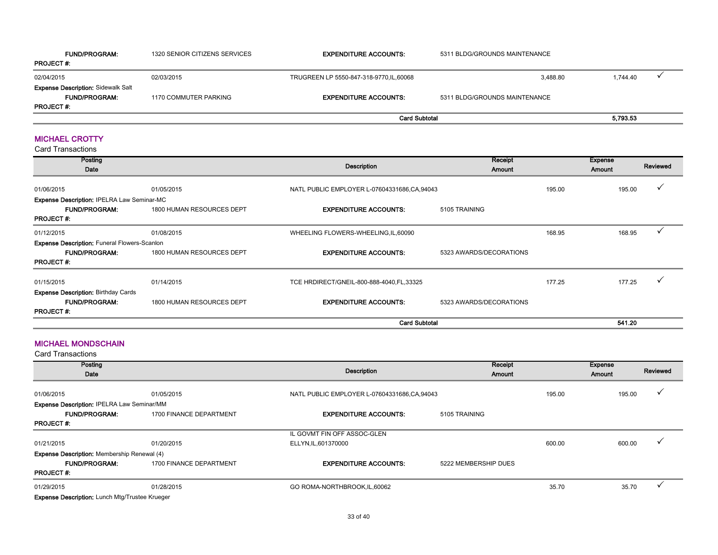| <b>FUND/PROGRAM:</b>                      | 1320 SENIOR CITIZENS SERVICES | <b>EXPENDITURE ACCOUNTS:</b>             | 5311 BLDG/GROUNDS MAINTENANCE |          |
|-------------------------------------------|-------------------------------|------------------------------------------|-------------------------------|----------|
| <b>PROJECT #:</b>                         |                               |                                          |                               |          |
| 02/04/2015                                | 02/03/2015                    | TRUGREEN LP 5550-847-318-9770, IL, 60068 | 3.488.80                      | 1.744.40 |
| <b>Expense Description: Sidewalk Salt</b> |                               |                                          |                               |          |
| <b>FUND/PROGRAM:</b>                      | 1170 COMMUTER PARKING         | <b>EXPENDITURE ACCOUNTS:</b>             | 5311 BLDG/GROUNDS MAINTENANCE |          |
| <b>PROJECT#:</b>                          |                               |                                          |                               |          |
|                                           |                               | <b>Card Subtotal</b>                     |                               | 5,793.53 |

#### MICHAEL CROTTY

Card Transactions

| Posting<br>Date                                     |                           | Description                                 | Receipt<br>Amount       |        | <b>Expense</b><br>Amount | Reviewed |
|-----------------------------------------------------|---------------------------|---------------------------------------------|-------------------------|--------|--------------------------|----------|
| 01/06/2015                                          | 01/05/2015                | NATL PUBLIC EMPLOYER L-07604331686,CA,94043 |                         | 195.00 | 195.00                   |          |
| Expense Description: IPELRA Law Seminar-MC          |                           |                                             |                         |        |                          |          |
| <b>FUND/PROGRAM:</b><br><b>PROJECT#:</b>            | 1800 HUMAN RESOURCES DEPT | <b>EXPENDITURE ACCOUNTS:</b>                | 5105 TRAINING           |        |                          |          |
| 01/12/2015                                          | 01/08/2015                | WHEELING FLOWERS-WHEELING, IL, 60090        |                         | 168.95 | 168.95                   |          |
| <b>Expense Description: Funeral Flowers-Scanlon</b> |                           |                                             |                         |        |                          |          |
| <b>FUND/PROGRAM:</b><br><b>PROJECT#:</b>            | 1800 HUMAN RESOURCES DEPT | <b>EXPENDITURE ACCOUNTS:</b>                | 5323 AWARDS/DECORATIONS |        |                          |          |
| 01/15/2015                                          | 01/14/2015                | TCE HRDIRECT/GNEIL-800-888-4040, FL, 33325  |                         | 177.25 | 177.25                   |          |
| <b>Expense Description: Birthday Cards</b>          |                           |                                             |                         |        |                          |          |
| <b>FUND/PROGRAM:</b><br><b>PROJECT#:</b>            | 1800 HUMAN RESOURCES DEPT | <b>EXPENDITURE ACCOUNTS:</b>                | 5323 AWARDS/DECORATIONS |        |                          |          |
|                                                     |                           | <b>Card Subtotal</b>                        |                         |        | 541.20                   |          |

#### MICHAEL MONDSCHAIN

| Posting<br>Date                                       |                         | Description                                 | Receipt<br>Amount    |        | <b>Expense</b><br>Amount | Reviewed |
|-------------------------------------------------------|-------------------------|---------------------------------------------|----------------------|--------|--------------------------|----------|
| 01/06/2015                                            | 01/05/2015              | NATL PUBLIC EMPLOYER L-07604331686,CA,94043 |                      | 195.00 | 195.00                   |          |
| Expense Description: IPELRA Law Seminar/MM            |                         |                                             |                      |        |                          |          |
| <b>FUND/PROGRAM:</b>                                  | 1700 FINANCE DEPARTMENT | <b>EXPENDITURE ACCOUNTS:</b>                | 5105 TRAINING        |        |                          |          |
| <b>PROJECT#:</b>                                      |                         |                                             |                      |        |                          |          |
|                                                       |                         | IL GOVMT FIN OFF ASSOC-GLEN                 |                      |        |                          |          |
| 01/21/2015                                            | 01/20/2015              | ELLYN, IL, 601370000                        |                      | 600.00 | 600.00                   |          |
| <b>Expense Description:</b> Membership Renewal (4)    |                         |                                             |                      |        |                          |          |
| <b>FUND/PROGRAM:</b>                                  | 1700 FINANCE DEPARTMENT | <b>EXPENDITURE ACCOUNTS:</b>                | 5222 MEMBERSHIP DUES |        |                          |          |
| <b>PROJECT#:</b>                                      |                         |                                             |                      |        |                          |          |
| 01/29/2015                                            | 01/28/2015              | GO ROMA-NORTHBROOK, IL, 60062               |                      | 35.70  | 35.70                    |          |
| <b>Expense Description: Lunch Mtg/Trustee Krueger</b> |                         |                                             |                      |        |                          |          |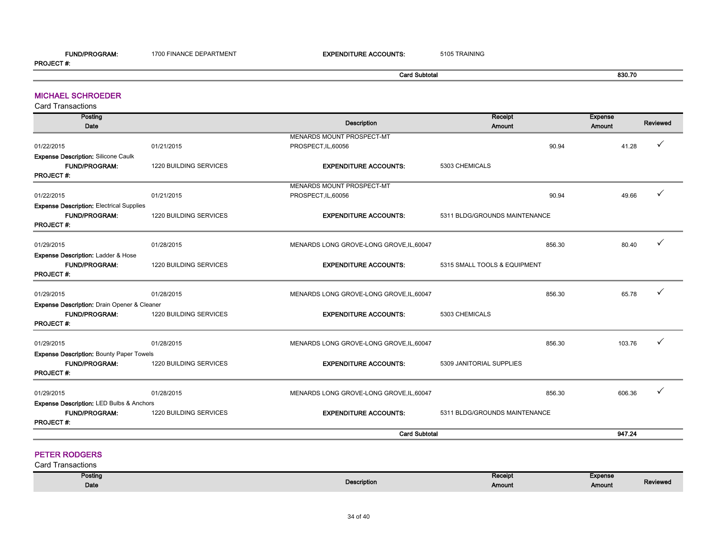#### FUND/PROGRAM: 1700 FINANCE DEPARTMENT **EXPENDITURE ACCOUNTS:** 5105 TRAINING PROJECT #:

Card Subtotal 830.70

#### MICHAEL SCHROEDER

Card Transactions

| Posting                                             |                        |                                          | Receipt                       |        | <b>Expense</b> |          |
|-----------------------------------------------------|------------------------|------------------------------------------|-------------------------------|--------|----------------|----------|
| Date                                                |                        | <b>Description</b>                       | Amount                        |        | Amount         | Reviewed |
|                                                     |                        | MENARDS MOUNT PROSPECT-MT                |                               |        |                |          |
| 01/22/2015                                          | 01/21/2015             | PROSPECT, IL, 60056                      |                               | 90.94  | 41.28          |          |
| <b>Expense Description: Silicone Caulk</b>          |                        |                                          |                               |        |                |          |
| <b>FUND/PROGRAM:</b>                                | 1220 BUILDING SERVICES | <b>EXPENDITURE ACCOUNTS:</b>             | 5303 CHEMICALS                |        |                |          |
| <b>PROJECT#:</b>                                    |                        |                                          |                               |        |                |          |
|                                                     |                        | MENARDS MOUNT PROSPECT-MT                |                               |        |                |          |
| 01/22/2015                                          | 01/21/2015             | PROSPECT, IL, 60056                      |                               | 90.94  | 49.66          |          |
| <b>Expense Description: Electrical Supplies</b>     |                        |                                          |                               |        |                |          |
| <b>FUND/PROGRAM:</b>                                | 1220 BUILDING SERVICES | <b>EXPENDITURE ACCOUNTS:</b>             | 5311 BLDG/GROUNDS MAINTENANCE |        |                |          |
| <b>PROJECT#:</b>                                    |                        |                                          |                               |        |                |          |
|                                                     |                        |                                          |                               |        |                |          |
| 01/29/2015                                          | 01/28/2015             | MENARDS LONG GROVE-LONG GROVE, IL, 60047 |                               | 856.30 | 80.40          |          |
| Expense Description: Ladder & Hose                  |                        |                                          |                               |        |                |          |
| <b>FUND/PROGRAM:</b>                                | 1220 BUILDING SERVICES | <b>EXPENDITURE ACCOUNTS:</b>             | 5315 SMALL TOOLS & EQUIPMENT  |        |                |          |
| <b>PROJECT#:</b>                                    |                        |                                          |                               |        |                |          |
| 01/29/2015                                          | 01/28/2015             | MENARDS LONG GROVE-LONG GROVE, IL, 60047 |                               | 856.30 | 65.78          |          |
| Expense Description: Drain Opener & Cleaner         |                        |                                          |                               |        |                |          |
| <b>FUND/PROGRAM:</b>                                | 1220 BUILDING SERVICES | <b>EXPENDITURE ACCOUNTS:</b>             | 5303 CHEMICALS                |        |                |          |
| <b>PROJECT#:</b>                                    |                        |                                          |                               |        |                |          |
|                                                     |                        |                                          |                               |        |                |          |
| 01/29/2015                                          | 01/28/2015             | MENARDS LONG GROVE-LONG GROVE, IL, 60047 |                               | 856.30 | 103.76         |          |
| <b>Expense Description: Bounty Paper Towels</b>     |                        |                                          |                               |        |                |          |
| <b>FUND/PROGRAM:</b>                                | 1220 BUILDING SERVICES | <b>EXPENDITURE ACCOUNTS:</b>             | 5309 JANITORIAL SUPPLIES      |        |                |          |
| <b>PROJECT#:</b>                                    |                        |                                          |                               |        |                |          |
|                                                     |                        |                                          |                               |        |                |          |
| 01/29/2015                                          | 01/28/2015             | MENARDS LONG GROVE-LONG GROVE, IL, 60047 |                               | 856.30 | 606.36         |          |
| <b>Expense Description: LED Bulbs &amp; Anchors</b> |                        |                                          |                               |        |                |          |
| <b>FUND/PROGRAM:</b>                                | 1220 BUILDING SERVICES | <b>EXPENDITURE ACCOUNTS:</b>             | 5311 BLDG/GROUNDS MAINTENANCE |        |                |          |
| <b>PROJECT#:</b>                                    |                        |                                          |                               |        |                |          |
|                                                     |                        | <b>Card Subtotal</b>                     |                               |        | 947.24         |          |

#### PETER RODGERS

| Posting |             | Receipt | Expense |          |
|---------|-------------|---------|---------|----------|
| Date    | Description | Amount  | Amount  | Reviewed |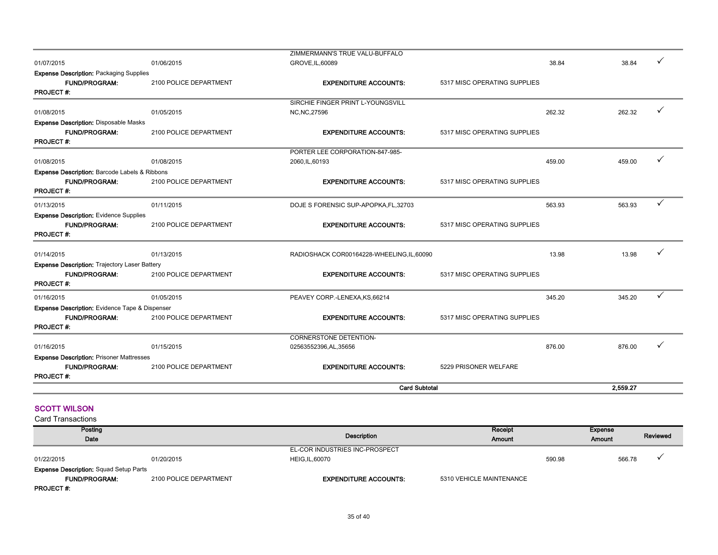|                                                      |                        | SIRCHIE FINGER PRINT L-YOUNGSVILL          |                              |        |          |   |
|------------------------------------------------------|------------------------|--------------------------------------------|------------------------------|--------|----------|---|
| 01/08/2015                                           | 01/05/2015             | <b>NC, NC, 27596</b>                       |                              | 262.32 | 262.32   |   |
| <b>Expense Description: Disposable Masks</b>         |                        |                                            |                              |        |          |   |
| <b>FUND/PROGRAM:</b>                                 | 2100 POLICE DEPARTMENT | <b>EXPENDITURE ACCOUNTS:</b>               | 5317 MISC OPERATING SUPPLIES |        |          |   |
| <b>PROJECT#:</b>                                     |                        |                                            |                              |        |          |   |
|                                                      |                        | PORTER LEE CORPORATION-847-985-            |                              |        |          |   |
| 01/08/2015                                           | 01/08/2015             | 2060, IL, 60193                            |                              | 459.00 | 459.00   |   |
| Expense Description: Barcode Labels & Ribbons        |                        |                                            |                              |        |          |   |
| <b>FUND/PROGRAM:</b>                                 | 2100 POLICE DEPARTMENT | <b>EXPENDITURE ACCOUNTS:</b>               | 5317 MISC OPERATING SUPPLIES |        |          |   |
| <b>PROJECT#:</b>                                     |                        |                                            |                              |        |          |   |
| 01/13/2015                                           | 01/11/2015             | DOJE S FORENSIC SUP-APOPKA, FL, 32703      |                              | 563.93 | 563.93   | ✓ |
| <b>Expense Description: Evidence Supplies</b>        |                        |                                            |                              |        |          |   |
| <b>FUND/PROGRAM:</b>                                 | 2100 POLICE DEPARTMENT | <b>EXPENDITURE ACCOUNTS:</b>               | 5317 MISC OPERATING SUPPLIES |        |          |   |
| <b>PROJECT#:</b>                                     |                        |                                            |                              |        |          |   |
| 01/14/2015                                           | 01/13/2015             | RADIOSHACK COR00164228-WHEELING, IL, 60090 |                              | 13.98  | 13.98    | ✓ |
| <b>Expense Description: Trajectory Laser Battery</b> |                        |                                            |                              |        |          |   |
| <b>FUND/PROGRAM:</b>                                 | 2100 POLICE DEPARTMENT | <b>EXPENDITURE ACCOUNTS:</b>               | 5317 MISC OPERATING SUPPLIES |        |          |   |
| <b>PROJECT#:</b>                                     |                        |                                            |                              |        |          |   |
| 01/16/2015                                           | 01/05/2015             | PEAVEY CORP.-LENEXA, KS, 66214             |                              | 345.20 | 345.20   | ✓ |
| Expense Description: Evidence Tape & Dispenser       |                        |                                            |                              |        |          |   |
| <b>FUND/PROGRAM:</b>                                 | 2100 POLICE DEPARTMENT | <b>EXPENDITURE ACCOUNTS:</b>               | 5317 MISC OPERATING SUPPLIES |        |          |   |
| <b>PROJECT#:</b>                                     |                        |                                            |                              |        |          |   |
|                                                      |                        | CORNERSTONE DETENTION-                     |                              |        |          |   |
| 01/16/2015                                           | 01/15/2015             | 02563552396,AL,35656                       |                              | 876.00 | 876.00   |   |
| <b>Expense Description: Prisoner Mattresses</b>      |                        |                                            |                              |        |          |   |
| <b>FUND/PROGRAM:</b>                                 | 2100 POLICE DEPARTMENT | <b>EXPENDITURE ACCOUNTS:</b>               | 5229 PRISONER WELFARE        |        |          |   |
| <b>PROJECT#:</b>                                     |                        |                                            |                              |        |          |   |
|                                                      |                        | <b>Card Subtotal</b>                       |                              |        | 2.559.27 |   |

#### **SCOTT WILSON**

| Posting                                       |                        |                                | Receipt                  |        | Expense |          |
|-----------------------------------------------|------------------------|--------------------------------|--------------------------|--------|---------|----------|
| Date                                          |                        | Description                    | Amount                   |        | Amount  | Reviewed |
|                                               |                        | EL-COR INDUSTRIES INC-PROSPECT |                          |        |         |          |
| 01/22/2015                                    | 01/20/2015             | <b>HEIG, IL, 60070</b>         |                          | 590.98 | 566.78  |          |
| <b>Expense Description: Squad Setup Parts</b> |                        |                                |                          |        |         |          |
| <b>FUND/PROGRAM:</b>                          | 2100 POLICE DEPARTMENT | <b>EXPENDITURE ACCOUNTS:</b>   | 5310 VEHICLE MAINTENANCE |        |         |          |
| <b>PROJECT#:</b>                              |                        |                                |                          |        |         |          |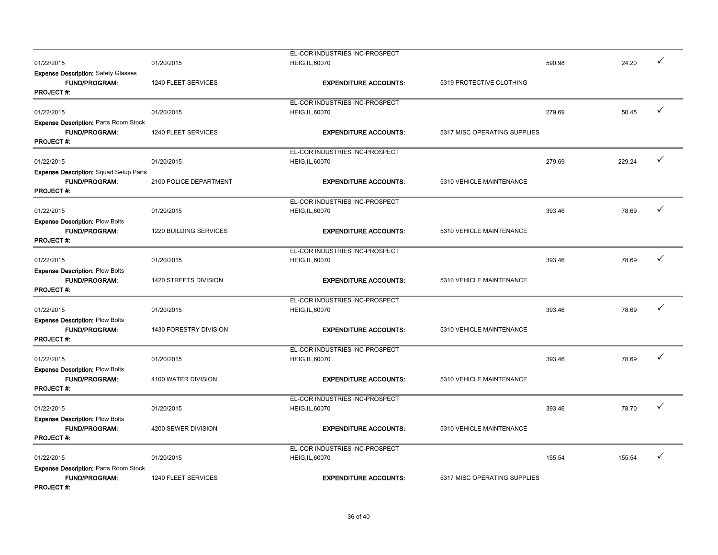|                                              |                        | EL-COR INDUSTRIES INC-PROSPECT |                              |        |        | ✓            |
|----------------------------------------------|------------------------|--------------------------------|------------------------------|--------|--------|--------------|
| 01/22/2015                                   | 01/20/2015             | <b>HEIG, IL, 60070</b>         |                              | 590.98 | 24.20  |              |
| <b>Expense Description: Safety Glasses</b>   |                        |                                |                              |        |        |              |
| <b>FUND/PROGRAM:</b>                         | 1240 FLEET SERVICES    | <b>EXPENDITURE ACCOUNTS:</b>   | 5319 PROTECTIVE CLOTHING     |        |        |              |
| <b>PROJECT#:</b>                             |                        |                                |                              |        |        |              |
|                                              |                        | EL-COR INDUSTRIES INC-PROSPECT |                              |        |        |              |
| 01/22/2015                                   | 01/20/2015             | <b>HEIG, IL, 60070</b>         |                              | 279.69 | 50.45  | ✓            |
| <b>Expense Description: Parts Room Stock</b> |                        |                                |                              |        |        |              |
| <b>FUND/PROGRAM:</b>                         | 1240 FLEET SERVICES    | <b>EXPENDITURE ACCOUNTS:</b>   | 5317 MISC OPERATING SUPPLIES |        |        |              |
| PROJECT#:                                    |                        |                                |                              |        |        |              |
|                                              |                        |                                |                              |        |        |              |
|                                              |                        | EL-COR INDUSTRIES INC-PROSPECT |                              |        |        | $\checkmark$ |
| 01/22/2015                                   | 01/20/2015             | <b>HEIG, IL, 60070</b>         |                              | 279.69 | 229.24 |              |
| Expense Description: Squad Setup Parts       |                        |                                |                              |        |        |              |
| <b>FUND/PROGRAM:</b>                         | 2100 POLICE DEPARTMENT | <b>EXPENDITURE ACCOUNTS:</b>   | 5310 VEHICLE MAINTENANCE     |        |        |              |
| <b>PROJECT#:</b>                             |                        |                                |                              |        |        |              |
|                                              |                        | EL-COR INDUSTRIES INC-PROSPECT |                              |        |        |              |
| 01/22/2015                                   | 01/20/2015             | <b>HEIG, IL, 60070</b>         |                              | 393.46 | 78.69  | ✓            |
| <b>Expense Description: Plow Bolts</b>       |                        |                                |                              |        |        |              |
|                                              |                        |                                |                              |        |        |              |
| <b>FUND/PROGRAM:</b>                         | 1220 BUILDING SERVICES | <b>EXPENDITURE ACCOUNTS:</b>   | 5310 VEHICLE MAINTENANCE     |        |        |              |
| <b>PROJECT#:</b>                             |                        |                                |                              |        |        |              |
|                                              |                        | EL-COR INDUSTRIES INC-PROSPECT |                              |        |        |              |
| 01/22/2015                                   | 01/20/2015             | <b>HEIG, IL, 60070</b>         |                              | 393.46 | 78.69  | $\checkmark$ |
| <b>Expense Description: Plow Bolts</b>       |                        |                                |                              |        |        |              |
| <b>FUND/PROGRAM:</b>                         | 1420 STREETS DIVISION  | <b>EXPENDITURE ACCOUNTS:</b>   | 5310 VEHICLE MAINTENANCE     |        |        |              |
| <b>PROJECT#:</b>                             |                        |                                |                              |        |        |              |
|                                              |                        | EL-COR INDUSTRIES INC-PROSPECT |                              |        |        |              |
| 01/22/2015                                   | 01/20/2015             | <b>HEIG, IL, 60070</b>         |                              | 393.46 | 78.69  | ✓            |
| <b>Expense Description: Plow Bolts</b>       |                        |                                |                              |        |        |              |
| <b>FUND/PROGRAM:</b>                         | 1430 FORESTRY DIVISION | <b>EXPENDITURE ACCOUNTS:</b>   | 5310 VEHICLE MAINTENANCE     |        |        |              |
|                                              |                        |                                |                              |        |        |              |
| <b>PROJECT#:</b>                             |                        |                                |                              |        |        |              |
|                                              |                        | EL-COR INDUSTRIES INC-PROSPECT |                              |        |        |              |
| 01/22/2015                                   | 01/20/2015             | <b>HEIG, IL, 60070</b>         |                              | 393.46 | 78.69  | ✓            |
| <b>Expense Description: Plow Bolts</b>       |                        |                                |                              |        |        |              |
| <b>FUND/PROGRAM:</b>                         | 4100 WATER DIVISION    | <b>EXPENDITURE ACCOUNTS:</b>   | 5310 VEHICLE MAINTENANCE     |        |        |              |
| <b>PROJECT#:</b>                             |                        |                                |                              |        |        |              |
|                                              |                        | EL-COR INDUSTRIES INC-PROSPECT |                              |        |        |              |
| 01/22/2015                                   | 01/20/2015             | <b>HEIG, IL, 60070</b>         |                              | 393.46 | 78.70  | ✓            |
| <b>Expense Description: Plow Bolts</b>       |                        |                                |                              |        |        |              |
|                                              |                        |                                |                              |        |        |              |
| FUND/PROGRAM:                                | 4200 SEWER DIVISION    | <b>EXPENDITURE ACCOUNTS:</b>   | 5310 VEHICLE MAINTENANCE     |        |        |              |
| <b>PROJECT#:</b>                             |                        |                                |                              |        |        |              |
|                                              |                        | EL-COR INDUSTRIES INC-PROSPECT |                              |        |        |              |
| 01/22/2015                                   | 01/20/2015             | <b>HEIG, IL, 60070</b>         |                              | 155.54 | 155.54 |              |
| Expense Description: Parts Room Stock        |                        |                                |                              |        |        |              |
| <b>FUND/PROGRAM:</b>                         | 1240 FLEET SERVICES    | <b>EXPENDITURE ACCOUNTS:</b>   | 5317 MISC OPERATING SUPPLIES |        |        |              |
| <b>PROJECT#:</b>                             |                        |                                |                              |        |        |              |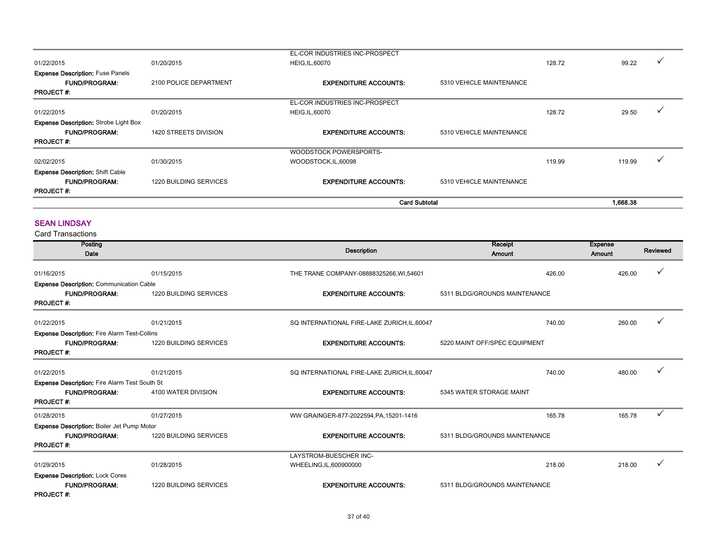|                                                                 |                               | <b>Card Subtotal</b>                           |                          |        | 1.668.38 |  |
|-----------------------------------------------------------------|-------------------------------|------------------------------------------------|--------------------------|--------|----------|--|
| <b>PROJECT#:</b>                                                |                               |                                                |                          |        |          |  |
| <b>FUND/PROGRAM:</b>                                            | <b>1220 BUILDING SERVICES</b> | <b>EXPENDITURE ACCOUNTS:</b>                   | 5310 VEHICLE MAINTENANCE |        |          |  |
| <b>Expense Description: Shift Cable</b>                         |                               |                                                |                          |        |          |  |
| 02/02/2015                                                      | 01/30/2015                    | WOODSTOCK POWERSPORTS-<br>WOODSTOCK, IL, 60098 |                          | 119.99 | 119.99   |  |
| <b>PROJECT#:</b>                                                |                               |                                                |                          |        |          |  |
| <b>FUND/PROGRAM:</b>                                            | 1420 STREETS DIVISION         | <b>EXPENDITURE ACCOUNTS:</b>                   | 5310 VEHICLE MAINTENANCE |        |          |  |
| <b>Expense Description:</b> Strobe Light Box                    |                               |                                                |                          |        |          |  |
| 01/22/2015                                                      | 01/20/2015                    | <b>HEIG, IL, 60070</b>                         |                          | 128.72 | 29.50    |  |
|                                                                 |                               | EL-COR INDUSTRIES INC-PROSPECT                 |                          |        |          |  |
| <b>PROJECT#:</b>                                                |                               |                                                |                          |        |          |  |
| <b>Expense Description: Fuse Panels</b><br><b>FUND/PROGRAM:</b> | 2100 POLICE DEPARTMENT        | <b>EXPENDITURE ACCOUNTS:</b>                   | 5310 VEHICLE MAINTENANCE |        |          |  |
| 01/22/2015                                                      | 01/20/2015                    | <b>HEIG, IL, 60070</b>                         |                          | 128.72 | 99.22    |  |
|                                                                 |                               | EL-COR INDUSTRIES INC-PROSPECT                 |                          |        |          |  |

#### SEAN LINDSAY

| Posting<br>Date                                     |                               | <b>Description</b>                           | Receipt<br>Amount             | <b>Expense</b><br>Amount | Reviewed |
|-----------------------------------------------------|-------------------------------|----------------------------------------------|-------------------------------|--------------------------|----------|
| 01/16/2015                                          | 01/15/2015                    | THE TRANE COMPANY-08888325266, WI, 54601     |                               | 426.00<br>426.00         |          |
| <b>Expense Description: Communication Cable</b>     |                               |                                              |                               |                          |          |
| <b>FUND/PROGRAM:</b>                                | <b>1220 BUILDING SERVICES</b> | <b>EXPENDITURE ACCOUNTS:</b>                 | 5311 BLDG/GROUNDS MAINTENANCE |                          |          |
| <b>PROJECT#:</b>                                    |                               |                                              |                               |                          |          |
| 01/22/2015                                          | 01/21/2015                    | SQ INTERNATIONAL FIRE-LAKE ZURICH, IL, 60047 |                               | 740.00<br>260.00         |          |
| <b>Expense Description: Fire Alarm Test-Collins</b> |                               |                                              |                               |                          |          |
| <b>FUND/PROGRAM:</b>                                | 1220 BUILDING SERVICES        | <b>EXPENDITURE ACCOUNTS:</b>                 | 5220 MAINT OFF/SPEC EQUIPMENT |                          |          |
| <b>PROJECT#:</b>                                    |                               |                                              |                               |                          |          |
| 01/22/2015                                          | 01/21/2015                    | SQ INTERNATIONAL FIRE-LAKE ZURICH, IL, 60047 |                               | 740.00<br>480.00         |          |
| Expense Description: Fire Alarm Test South St       |                               |                                              |                               |                          |          |
| <b>FUND/PROGRAM:</b>                                | 4100 WATER DIVISION           | <b>EXPENDITURE ACCOUNTS:</b>                 | 5345 WATER STORAGE MAINT      |                          |          |
| <b>PROJECT#:</b>                                    |                               |                                              |                               |                          |          |
| 01/28/2015                                          | 01/27/2015                    | WW GRAINGER-877-2022594, PA, 15201-1416      |                               | 165.78<br>165.78         | ✓        |
| <b>Expense Description: Boiler Jet Pump Motor</b>   |                               |                                              |                               |                          |          |
| <b>FUND/PROGRAM:</b>                                | 1220 BUILDING SERVICES        | <b>EXPENDITURE ACCOUNTS:</b>                 | 5311 BLDG/GROUNDS MAINTENANCE |                          |          |
| <b>PROJECT#:</b>                                    |                               |                                              |                               |                          |          |
|                                                     |                               | LAYSTROM-BUESCHER INC-                       |                               |                          |          |
| 01/29/2015                                          | 01/28/2015                    | WHEELING, IL, 600900000                      |                               | 218.00<br>218.00         |          |
| <b>Expense Description: Lock Cores</b>              |                               |                                              |                               |                          |          |
| <b>FUND/PROGRAM:</b>                                | <b>1220 BUILDING SERVICES</b> | <b>EXPENDITURE ACCOUNTS:</b>                 | 5311 BLDG/GROUNDS MAINTENANCE |                          |          |
| <b>PROJECT#:</b>                                    |                               |                                              |                               |                          |          |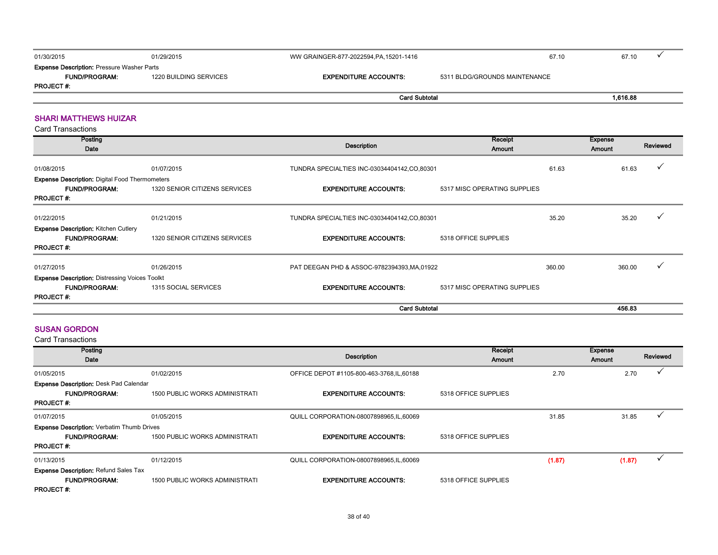| 01/30/2015                                        | 01/29/2015             | WW GRAINGER-877-2022594, PA, 15201-1416 | 67.10                         |          |  |
|---------------------------------------------------|------------------------|-----------------------------------------|-------------------------------|----------|--|
| <b>Expense Description: Pressure Washer Parts</b> |                        |                                         |                               |          |  |
| <b>FUND/PROGRAM:</b>                              | 1220 BUILDING SERVICES | <b>EXPENDITURE ACCOUNTS:</b>            | 5311 BLDG/GROUNDS MAINTENANCE |          |  |
| <b>PROJECT #.</b>                                 |                        |                                         |                               |          |  |
|                                                   |                        | <b>Card Subtotal</b>                    |                               | 1,616.88 |  |
|                                                   |                        |                                         |                               |          |  |

#### SHARI MATTHEWS HUIZAR

Card Transactions

| Posting<br>Date                                       |                               | Receipt<br>Description<br>Amount             |                              |        | <b>Expense</b><br>Amount | Reviewed |
|-------------------------------------------------------|-------------------------------|----------------------------------------------|------------------------------|--------|--------------------------|----------|
| 01/08/2015                                            | 01/07/2015                    | TUNDRA SPECIALTIES INC-03034404142,CO,80301  |                              | 61.63  | 61.63                    | ν        |
| <b>Expense Description: Digital Food Thermometers</b> |                               |                                              |                              |        |                          |          |
| <b>FUND/PROGRAM:</b>                                  | 1320 SENIOR CITIZENS SERVICES | <b>EXPENDITURE ACCOUNTS:</b>                 | 5317 MISC OPERATING SUPPLIES |        |                          |          |
| <b>PROJECT#:</b>                                      |                               |                                              |                              |        |                          |          |
| 01/22/2015                                            | 01/21/2015                    | TUNDRA SPECIALTIES INC-03034404142,CO,80301  |                              | 35.20  | 35.20                    |          |
| <b>Expense Description: Kitchen Cutlery</b>           |                               |                                              |                              |        |                          |          |
| <b>FUND/PROGRAM:</b>                                  | 1320 SENIOR CITIZENS SERVICES | <b>EXPENDITURE ACCOUNTS:</b>                 | 5318 OFFICE SUPPLIES         |        |                          |          |
| <b>PROJECT#:</b>                                      |                               |                                              |                              |        |                          |          |
| 01/27/2015                                            | 01/26/2015                    | PAT DEEGAN PHD & ASSOC-9782394393, MA, 01922 |                              | 360.00 | 360.00                   |          |
| <b>Expense Description: Distressing Voices Toolkt</b> |                               |                                              |                              |        |                          |          |
| <b>FUND/PROGRAM:</b>                                  | 1315 SOCIAL SERVICES          | <b>EXPENDITURE ACCOUNTS:</b>                 | 5317 MISC OPERATING SUPPLIES |        |                          |          |
| <b>PROJECT#:</b>                                      |                               |                                              |                              |        |                          |          |
|                                                       |                               | <b>Card Subtotal</b>                         |                              |        | 456.83                   |          |

#### SUSAN GORDON

| Posting                                           |                                       |                                            | Receipt              |        | <b>Expense</b> |          |
|---------------------------------------------------|---------------------------------------|--------------------------------------------|----------------------|--------|----------------|----------|
| Date                                              |                                       | <b>Description</b>                         | Amount               |        | Amount         | Reviewed |
| 01/05/2015                                        | 01/02/2015                            | OFFICE DEPOT #1105-800-463-3768, IL, 60188 |                      | 2.70   | 2.70           |          |
| <b>Expense Description: Desk Pad Calendar</b>     |                                       |                                            |                      |        |                |          |
| <b>FUND/PROGRAM:</b>                              | <b>1500 PUBLIC WORKS ADMINISTRATI</b> | <b>EXPENDITURE ACCOUNTS:</b>               | 5318 OFFICE SUPPLIES |        |                |          |
| <b>PROJECT#:</b>                                  |                                       |                                            |                      |        |                |          |
| 01/07/2015                                        | 01/05/2015                            | QUILL CORPORATION-08007898965, IL, 60069   |                      | 31.85  | 31.85          |          |
| <b>Expense Description: Verbatim Thumb Drives</b> |                                       |                                            |                      |        |                |          |
| <b>FUND/PROGRAM:</b>                              | <b>1500 PUBLIC WORKS ADMINISTRATI</b> | <b>EXPENDITURE ACCOUNTS:</b>               | 5318 OFFICE SUPPLIES |        |                |          |
| <b>PROJECT#:</b>                                  |                                       |                                            |                      |        |                |          |
| 01/13/2015                                        | 01/12/2015                            | QUILL CORPORATION-08007898965, IL, 60069   |                      | (1.87) | (1.87)         |          |
| <b>Expense Description: Refund Sales Tax</b>      |                                       |                                            |                      |        |                |          |
| <b>FUND/PROGRAM:</b>                              | <b>1500 PUBLIC WORKS ADMINISTRATI</b> | <b>EXPENDITURE ACCOUNTS:</b>               | 5318 OFFICE SUPPLIES |        |                |          |
| <b>PROJECT#:</b>                                  |                                       |                                            |                      |        |                |          |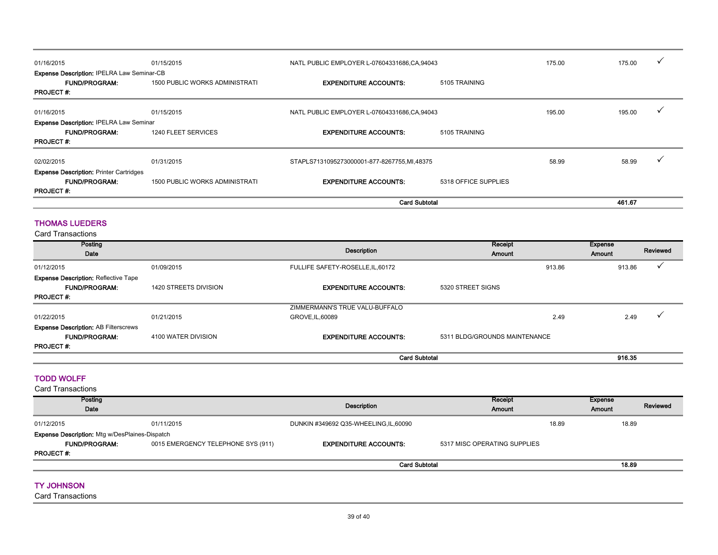| 01/16/2015                                        | 01/15/2015                            | NATL PUBLIC EMPLOYER L-07604331686,CA,94043 |                      | 175.00 | 175.00 |  |
|---------------------------------------------------|---------------------------------------|---------------------------------------------|----------------------|--------|--------|--|
| <b>Expense Description: IPELRA Law Seminar-CB</b> |                                       |                                             |                      |        |        |  |
| <b>FUND/PROGRAM:</b>                              | <b>1500 PUBLIC WORKS ADMINISTRATI</b> | <b>EXPENDITURE ACCOUNTS:</b>                | 5105 TRAINING        |        |        |  |
| <b>PROJECT#:</b>                                  |                                       |                                             |                      |        |        |  |
| 01/16/2015                                        | 01/15/2015                            | NATL PUBLIC EMPLOYER L-07604331686,CA,94043 |                      | 195.00 | 195.00 |  |
| <b>Expense Description: IPELRA Law Seminar</b>    |                                       |                                             |                      |        |        |  |
| <b>FUND/PROGRAM:</b>                              | 1240 FLEET SERVICES                   | <b>EXPENDITURE ACCOUNTS:</b>                | 5105 TRAINING        |        |        |  |
| <b>PROJECT#:</b>                                  |                                       |                                             |                      |        |        |  |
| 02/02/2015                                        | 01/31/2015                            | STAPLS7131095273000001-877-8267755,MI,48375 |                      | 58.99  | 58.99  |  |
| <b>Expense Description: Printer Cartridges</b>    |                                       |                                             |                      |        |        |  |
| <b>FUND/PROGRAM:</b>                              | <b>1500 PUBLIC WORKS ADMINISTRATI</b> | <b>EXPENDITURE ACCOUNTS:</b>                | 5318 OFFICE SUPPLIES |        |        |  |
| <b>PROJECT#:</b>                                  |                                       |                                             |                      |        |        |  |
|                                                   |                                       | <b>Card Subtotal</b>                        |                      |        | 461.67 |  |

#### THOMAS LUEDERS

Card Transactions

| Posting<br>Date                             |                       | Description                       | Receipt<br>Amount             | <b>Expense</b><br>Amount |        | Reviewed |
|---------------------------------------------|-----------------------|-----------------------------------|-------------------------------|--------------------------|--------|----------|
| 01/12/2015                                  | 01/09/2015            | FULLIFE SAFETY-ROSELLE, IL, 60172 | 913.86                        |                          | 913.86 |          |
| <b>Expense Description: Reflective Tape</b> |                       |                                   |                               |                          |        |          |
| <b>FUND/PROGRAM:</b>                        | 1420 STREETS DIVISION | <b>EXPENDITURE ACCOUNTS:</b>      | 5320 STREET SIGNS             |                          |        |          |
| <b>PROJECT#:</b>                            |                       |                                   |                               |                          |        |          |
|                                             |                       | ZIMMERMANN'S TRUE VALU-BUFFALO    |                               |                          |        |          |
| 01/22/2015                                  | 01/21/2015            | GROVE, IL, 60089                  |                               | 2.49                     | 2.49   |          |
| <b>Expense Description: AB Filterscrews</b> |                       |                                   |                               |                          |        |          |
| <b>FUND/PROGRAM:</b>                        | 4100 WATER DIVISION   | <b>EXPENDITURE ACCOUNTS:</b>      | 5311 BLDG/GROUNDS MAINTENANCE |                          |        |          |
| <b>PROJECT#:</b>                            |                       |                                   |                               |                          |        |          |
|                                             |                       | <b>Card Subtotal</b>              |                               |                          | 916.35 |          |

#### TODD WOLFF

Card Transactions

| Posting<br>Date                                       |                                    | Receipt<br>Description<br><b>Amount</b> |                              |       | <b>Expense</b><br><b>Amount</b> | Reviewed |
|-------------------------------------------------------|------------------------------------|-----------------------------------------|------------------------------|-------|---------------------------------|----------|
| 01/12/2015                                            | 01/11/2015                         | DUNKIN #349692 Q35-WHEELING, IL, 60090  |                              | 18.89 | 18.89                           |          |
| <b>Expense Description:</b> Mtg w/DesPlaines-Dispatch |                                    |                                         |                              |       |                                 |          |
| <b>FUND/PROGRAM:</b>                                  | 0015 EMERGENCY TELEPHONE SYS (911) | <b>EXPENDITURE ACCOUNTS:</b>            | 5317 MISC OPERATING SUPPLIES |       |                                 |          |
| <b>PROJECT#:</b>                                      |                                    |                                         |                              |       |                                 |          |
|                                                       |                                    | <b>Card Subtotal</b>                    |                              |       | 18.89                           |          |

#### TY JOHNSON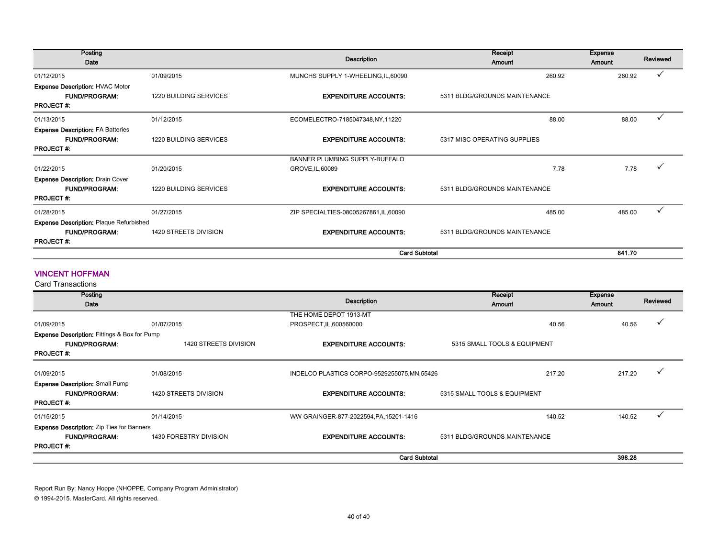| Posting                                        |                               | Description                          | Receipt                       | <b>Expense</b> | Reviewed |
|------------------------------------------------|-------------------------------|--------------------------------------|-------------------------------|----------------|----------|
| Date                                           |                               |                                      | Amount                        | <b>Amount</b>  |          |
| 01/12/2015                                     | 01/09/2015                    | MUNCHS SUPPLY 1-WHEELING, IL, 60090  | 260.92                        | 260.92         |          |
| <b>Expense Description: HVAC Motor</b>         |                               |                                      |                               |                |          |
| <b>FUND/PROGRAM:</b>                           | <b>1220 BUILDING SERVICES</b> | <b>EXPENDITURE ACCOUNTS:</b>         | 5311 BLDG/GROUNDS MAINTENANCE |                |          |
| <b>PROJECT#:</b>                               |                               |                                      |                               |                |          |
| 01/13/2015                                     | 01/12/2015                    | ECOMELECTRO-7185047348,NY,11220      | 88.00                         | 88.00          | ✓        |
| <b>Expense Description: FA Batteries</b>       |                               |                                      |                               |                |          |
| <b>FUND/PROGRAM:</b>                           | <b>1220 BUILDING SERVICES</b> | <b>EXPENDITURE ACCOUNTS:</b>         | 5317 MISC OPERATING SUPPLIES  |                |          |
| <b>PROJECT#:</b>                               |                               |                                      |                               |                |          |
|                                                |                               | BANNER PLUMBING SUPPLY-BUFFALO       |                               |                |          |
| 01/22/2015                                     | 01/20/2015                    | GROVE, IL, 60089                     | 7.78                          | 7.78           |          |
| <b>Expense Description: Drain Cover</b>        |                               |                                      |                               |                |          |
| <b>FUND/PROGRAM:</b>                           | 1220 BUILDING SERVICES        | <b>EXPENDITURE ACCOUNTS:</b>         | 5311 BLDG/GROUNDS MAINTENANCE |                |          |
| <b>PROJECT#:</b>                               |                               |                                      |                               |                |          |
| 01/28/2015                                     | 01/27/2015                    | ZIP SPECIALTIES-08005267861,IL,60090 | 485.00                        | 485.00         |          |
| <b>Expense Description: Plaque Refurbished</b> |                               |                                      |                               |                |          |
| <b>FUND/PROGRAM:</b>                           | 1420 STREETS DIVISION         | <b>EXPENDITURE ACCOUNTS:</b>         | 5311 BLDG/GROUNDS MAINTENANCE |                |          |
| <b>PROJECT#:</b>                               |                               |                                      |                               |                |          |
|                                                |                               | <b>Card Subtotal</b>                 |                               | 841.70         |          |

#### VINCENT HOFFMAN

Card Transactions

| Posting<br>Date                                         |                        | Description                                  | Receipt<br>Amount             | <b>Expense</b><br>Amount | Reviewed |
|---------------------------------------------------------|------------------------|----------------------------------------------|-------------------------------|--------------------------|----------|
|                                                         |                        | THE HOME DEPOT 1913-MT                       |                               |                          |          |
| 01/09/2015                                              | 01/07/2015             | PROSPECT, IL, 600560000                      | 40.56                         | 40.56                    |          |
| <b>Expense Description: Fittings &amp; Box for Pump</b> |                        |                                              |                               |                          |          |
| <b>FUND/PROGRAM:</b>                                    | 1420 STREETS DIVISION  | <b>EXPENDITURE ACCOUNTS:</b>                 | 5315 SMALL TOOLS & EQUIPMENT  |                          |          |
| <b>PROJECT#:</b>                                        |                        |                                              |                               |                          |          |
| 01/09/2015                                              | 01/08/2015             | INDELCO PLASTICS CORPO-9529255075, MN, 55426 | 217.20                        | 217.20                   |          |
| <b>Expense Description: Small Pump</b>                  |                        |                                              |                               |                          |          |
| <b>FUND/PROGRAM:</b>                                    | 1420 STREETS DIVISION  | <b>EXPENDITURE ACCOUNTS:</b>                 | 5315 SMALL TOOLS & EQUIPMENT  |                          |          |
| <b>PROJECT#:</b>                                        |                        |                                              |                               |                          |          |
| 01/15/2015                                              | 01/14/2015             | WW GRAINGER-877-2022594, PA, 15201-1416      | 140.52                        | 140.52                   |          |
| <b>Expense Description:</b> Zip Ties for Banners        |                        |                                              |                               |                          |          |
| <b>FUND/PROGRAM:</b>                                    | 1430 FORESTRY DIVISION | <b>EXPENDITURE ACCOUNTS:</b>                 | 5311 BLDG/GROUNDS MAINTENANCE |                          |          |
| <b>PROJECT#:</b>                                        |                        |                                              |                               |                          |          |
|                                                         |                        | <b>Card Subtotal</b>                         |                               | 398.28                   |          |

Report Run By: Nancy Hoppe (NHOPPE, Company Program Administrator) © 1994-2015. MasterCard. All rights reserved.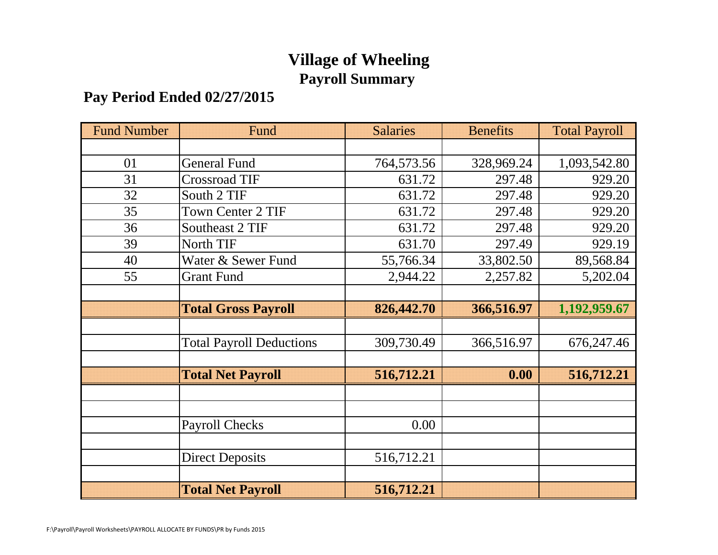# **Village of Wheeling Payroll Summary**

# **Pay Period Ended 02/27/2015**

| <b>Fund Number</b> | Fund                            | <b>Salaries</b> | <b>Benefits</b> | <b>Total Payroll</b> |
|--------------------|---------------------------------|-----------------|-----------------|----------------------|
|                    |                                 |                 |                 |                      |
| 01                 | <b>General Fund</b>             | 764,573.56      | 328,969.24      | 1,093,542.80         |
| 31                 | <b>Crossroad TIF</b>            | 631.72          | 297.48          | 929.20               |
| 32                 | South 2 TIF                     | 631.72          | 297.48          | 929.20               |
| 35                 | <b>Town Center 2 TIF</b>        | 631.72          | 297.48          | 929.20               |
| 36                 | Southeast 2 TIF                 | 631.72          | 297.48          | 929.20               |
| 39                 | North TIF                       | 631.70          | 297.49          | 929.19               |
| 40                 | Water & Sewer Fund              | 55,766.34       | 33,802.50       | 89,568.84            |
| 55                 | <b>Grant Fund</b>               | 2,944.22        | 2,257.82        | 5,202.04             |
|                    |                                 |                 |                 |                      |
|                    | <b>Total Gross Payroll</b>      | 826,442.70      | 366,516.97      | 1,192,959.67         |
|                    |                                 |                 |                 |                      |
|                    | <b>Total Payroll Deductions</b> | 309,730.49      | 366,516.97      | 676,247.46           |
|                    |                                 |                 |                 |                      |
|                    | <b>Total Net Payroll</b>        | 516,712.21      | 0.00            | 516,712.21           |
|                    |                                 |                 |                 |                      |
|                    |                                 |                 |                 |                      |
|                    | <b>Payroll Checks</b>           | 0.00            |                 |                      |
|                    |                                 |                 |                 |                      |
|                    | <b>Direct Deposits</b>          | 516,712.21      |                 |                      |
|                    |                                 |                 |                 |                      |
|                    | <b>Total Net Payroll</b>        | 516,712.21      |                 |                      |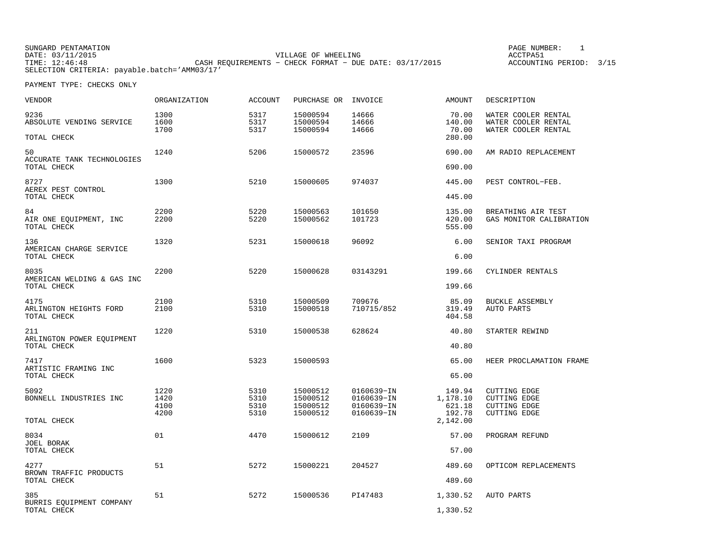SUNGARD PENTAMATION PAGE NUMBER: 1DATE: 03/11/2015 VILLAGE OF WHEELING ACCTPA51TIME: 12:46:48 CASH REQUIREMENTS − CHECK FORMAT − DUE DATE: 03/17/2015 SELECTION CRITERIA: payable.batch='AMM03/17'

ACCOUNTING PERIOD: 3/15

| VENDOR                                            | <b>ORGANIZATION</b>          | <b>ACCOUNT</b>               | PURCHASE OR INVOICE                          |                                                      | <b>AMOUNT</b>                                      | DESCRIPTION                                                                              |
|---------------------------------------------------|------------------------------|------------------------------|----------------------------------------------|------------------------------------------------------|----------------------------------------------------|------------------------------------------------------------------------------------------|
| 9236<br>ABSOLUTE VENDING SERVICE                  | 1300<br>1600<br>1700         | 5317<br>5317<br>5317         | 15000594<br>15000594<br>15000594             | 14666<br>14666<br>14666                              | 70.00<br>140.00<br>70.00                           | WATER COOLER RENTAL<br>WATER COOLER RENTAL<br>WATER COOLER RENTAL                        |
| TOTAL CHECK                                       |                              |                              |                                              |                                                      | 280.00                                             |                                                                                          |
| 50<br>ACCURATE TANK TECHNOLOGIES<br>TOTAL CHECK   | 1240                         | 5206                         | 15000572                                     | 23596                                                | 690.00<br>690.00                                   | AM RADIO REPLACEMENT                                                                     |
| 8727<br>AEREX PEST CONTROL                        | 1300                         | 5210                         | 15000605                                     | 974037                                               | 445.00                                             | PEST CONTROL-FEB.                                                                        |
| TOTAL CHECK                                       |                              |                              |                                              |                                                      | 445.00                                             |                                                                                          |
| 84<br>AIR ONE EQUIPMENT, INC<br>TOTAL CHECK       | 2200<br>2200                 | 5220<br>5220                 | 15000563<br>15000562                         | 101650<br>101723                                     | 135.00<br>420.00<br>555.00                         | BREATHING AIR TEST<br>GAS MONITOR CALIBRATION                                            |
| 136<br>AMERICAN CHARGE SERVICE                    | 1320                         | 5231                         | 15000618                                     | 96092                                                | 6.00                                               | SENIOR TAXI PROGRAM                                                                      |
| TOTAL CHECK                                       |                              |                              |                                              |                                                      | 6.00                                               |                                                                                          |
| 8035<br>AMERICAN WELDING & GAS INC<br>TOTAL CHECK | 2200                         | 5220                         | 15000628                                     | 03143291                                             | 199.66<br>199.66                                   | CYLINDER RENTALS                                                                         |
|                                                   |                              |                              |                                              |                                                      |                                                    |                                                                                          |
| 4175<br>ARLINGTON HEIGHTS FORD<br>TOTAL CHECK     | 2100<br>2100                 | 5310<br>5310                 | 15000509<br>15000518                         | 709676<br>710715/852                                 | 85.09<br>319.49<br>404.58                          | <b>BUCKLE ASSEMBLY</b><br>AUTO PARTS                                                     |
| 211<br>ARLINGTON POWER EOUIPMENT<br>TOTAL CHECK   | 1220                         | 5310                         | 15000538                                     | 628624                                               | 40.80<br>40.80                                     | STARTER REWIND                                                                           |
|                                                   |                              |                              |                                              |                                                      |                                                    |                                                                                          |
| 7417<br>ARTISTIC FRAMING INC<br>TOTAL CHECK       | 1600                         | 5323                         | 15000593                                     |                                                      | 65.00<br>65.00                                     | HEER PROCLAMATION FRAME                                                                  |
| 5092<br>BONNELL INDUSTRIES INC<br>TOTAL CHECK     | 1220<br>1420<br>4100<br>4200 | 5310<br>5310<br>5310<br>5310 | 15000512<br>15000512<br>15000512<br>15000512 | 0160639-IN<br>0160639-IN<br>0160639-IN<br>0160639-IN | 149.94<br>1,178.10<br>621.18<br>192.78<br>2,142.00 | <b>CUTTING EDGE</b><br><b>CUTTING EDGE</b><br><b>CUTTING EDGE</b><br><b>CUTTING EDGE</b> |
|                                                   |                              |                              |                                              |                                                      |                                                    |                                                                                          |
| 8034<br>JOEL BORAK<br>TOTAL CHECK                 | 01                           | 4470                         | 15000612                                     | 2109                                                 | 57.00<br>57.00                                     | PROGRAM REFUND                                                                           |
| 4277<br>BROWN TRAFFIC PRODUCTS                    | 51                           | 5272                         | 15000221                                     | 204527                                               | 489.60                                             | OPTICOM REPLACEMENTS                                                                     |
| TOTAL CHECK                                       |                              |                              |                                              |                                                      | 489.60                                             |                                                                                          |
| 385<br>BURRIS EQUIPMENT COMPANY                   | 51                           | 5272                         | 15000536                                     | PI47483                                              | 1,330.52                                           | AUTO PARTS                                                                               |
| TOTAL CHECK                                       |                              |                              |                                              |                                                      | 1,330.52                                           |                                                                                          |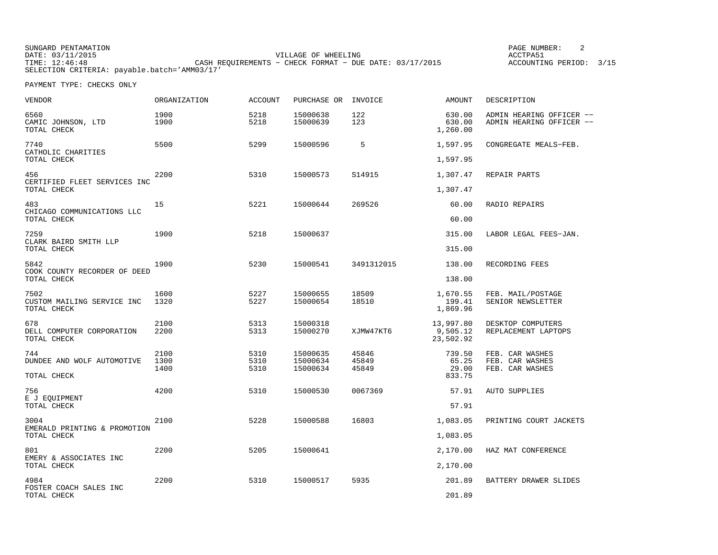SUNGARD PENTAMATION PAGE NUMBER: 2DATE: 03/11/2015 VILLAGE OF WHEELING ACCTPA51TIME: 12:46:48 CASH REQUIREMENTS − CHECK FORMAT − DUE DATE: 03/17/2015 SELECTION CRITERIA: payable.batch='AMM03/17'

ACCOUNTING PERIOD: 3/15

| VENDOR                                            | ORGANIZATION | <b>ACCOUNT</b> | PURCHASE OR          | INVOICE        | AMOUNT                             | DESCRIPTION                                          |
|---------------------------------------------------|--------------|----------------|----------------------|----------------|------------------------------------|------------------------------------------------------|
| 6560<br>CAMIC JOHNSON, LTD<br>TOTAL CHECK         | 1900<br>1900 | 5218<br>5218   | 15000638<br>15000639 | 122<br>123     | 630.00<br>630.00<br>1,260.00       | ADMIN HEARING OFFICER --<br>ADMIN HEARING OFFICER -- |
| 7740<br>CATHOLIC CHARITIES                        | 5500         | 5299           | 15000596             | 5              | 1,597.95                           | CONGREGATE MEALS-FEB.                                |
| TOTAL CHECK                                       |              |                |                      |                | 1,597.95                           |                                                      |
| 456<br>CERTIFIED FLEET SERVICES INC               | 2200         | 5310           | 15000573             | S14915         | 1,307.47                           | REPAIR PARTS                                         |
| TOTAL CHECK                                       |              |                |                      |                | 1,307.47                           |                                                      |
| 483<br>CHICAGO COMMUNICATIONS LLC<br>TOTAL CHECK  | 15           | 5221           | 15000644             | 269526         | 60.00<br>60.00                     | RADIO REPAIRS                                        |
|                                                   |              |                |                      |                |                                    |                                                      |
| 7259<br>CLARK BAIRD SMITH LLP<br>TOTAL CHECK      | 1900         | 5218           | 15000637             |                | 315.00                             | LABOR LEGAL FEES-JAN.                                |
|                                                   |              |                |                      |                | 315.00                             |                                                      |
| 5842<br>COOK COUNTY RECORDER OF DEED              | 1900         | 5230           | 15000541             | 3491312015     | 138.00                             | RECORDING FEES                                       |
| TOTAL CHECK                                       |              |                |                      |                | 138.00                             |                                                      |
| 7502<br>CUSTOM MAILING SERVICE INC<br>TOTAL CHECK | 1600<br>1320 | 5227<br>5227   | 15000655<br>15000654 | 18509<br>18510 | 1,670.55<br>199.41<br>1,869.96     | FEB. MAIL/POSTAGE<br>SENIOR NEWSLETTER               |
| 678<br>DELL COMPUTER CORPORATION<br>TOTAL CHECK   | 2100<br>2200 | 5313<br>5313   | 15000318<br>15000270 | XJMW47KT6      | 13,997.80<br>9,505.12<br>23,502.92 | DESKTOP COMPUTERS<br>REPLACEMENT LAPTOPS             |
| 744                                               | 2100         | 5310           | 15000635             | 45846          | 739.50                             | FEB. CAR WASHES                                      |
| DUNDEE AND WOLF AUTOMOTIVE                        | 1300<br>1400 | 5310<br>5310   | 15000634<br>15000634 | 45849<br>45849 | 65.25<br>29.00                     | FEB. CAR WASHES<br>FEB. CAR WASHES                   |
| TOTAL CHECK                                       |              |                |                      |                | 833.75                             |                                                      |
| 756<br>E J EOUIPMENT                              | 4200         | 5310           | 15000530             | 0067369        | 57.91                              | <b>AUTO SUPPLIES</b>                                 |
| TOTAL CHECK                                       |              |                |                      |                | 57.91                              |                                                      |
| 3004<br>EMERALD PRINTING & PROMOTION              | 2100         | 5228           | 15000588             | 16803          | 1,083.05                           | PRINTING COURT JACKETS                               |
| TOTAL CHECK                                       |              |                |                      |                | 1,083.05                           |                                                      |
| 801<br>EMERY & ASSOCIATES INC                     | 2200         | 5205           | 15000641             |                | 2,170.00                           | HAZ MAT CONFERENCE                                   |
| TOTAL CHECK                                       |              |                |                      |                | 2,170.00                           |                                                      |
| 4984<br>FOSTER COACH SALES INC                    | 2200         | 5310           | 15000517             | 5935           | 201.89                             | BATTERY DRAWER SLIDES                                |
| TOTAL CHECK                                       |              |                |                      |                | 201.89                             |                                                      |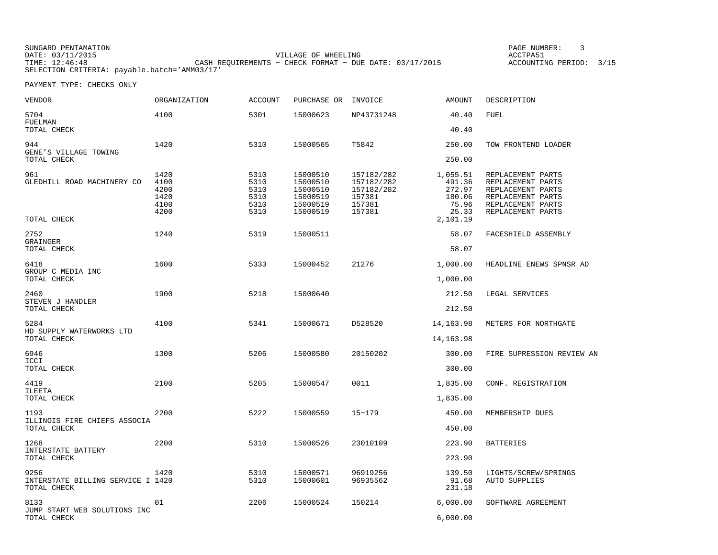SUNGARD PENTAMATION PAGE NUMBER: 3DATE: 03/11/2015 VILLAGE OF WHEELING ACCTPA51TIME: 12:46:48 CASH REQUIREMENTS − CHECK FORMAT − DUE DATE: 03/17/2015 SELECTION CRITERIA: payable.batch='AMM03/17'

ACCOUNTING PERIOD: 3/15

| <b>VENDOR</b>                                            | ORGANIZATION                                 | <b>ACCOUNT</b>                               | PURCHASE OR                                                          | INVOICE                                                              | <b>AMOUNT</b>                                                        | DESCRIPTION                                                                                                                |
|----------------------------------------------------------|----------------------------------------------|----------------------------------------------|----------------------------------------------------------------------|----------------------------------------------------------------------|----------------------------------------------------------------------|----------------------------------------------------------------------------------------------------------------------------|
| 5704<br>FUELMAN                                          | 4100                                         | 5301                                         | 15000623                                                             | NP43731248                                                           | 40.40                                                                | <b>FUEL</b>                                                                                                                |
| TOTAL CHECK                                              |                                              |                                              |                                                                      |                                                                      | 40.40                                                                |                                                                                                                            |
| 944<br>GENE'S VILLAGE TOWING<br>TOTAL CHECK              | 1420                                         | 5310                                         | 15000565                                                             | T5842                                                                | 250.00<br>250.00                                                     | TOW FRONTEND LOADER                                                                                                        |
| 961<br>GLEDHILL ROAD MACHINERY CO<br>TOTAL CHECK         | 1420<br>4100<br>4200<br>1420<br>4100<br>4200 | 5310<br>5310<br>5310<br>5310<br>5310<br>5310 | 15000510<br>15000510<br>15000510<br>15000519<br>15000519<br>15000519 | 157182/282<br>157182/282<br>157182/282<br>157381<br>157381<br>157381 | 1,055.51<br>491.36<br>272.97<br>180.06<br>75.96<br>25.33<br>2,101.19 | REPLACEMENT PARTS<br>REPLACEMENT PARTS<br>REPLACEMENT PARTS<br>REPLACEMENT PARTS<br>REPLACEMENT PARTS<br>REPLACEMENT PARTS |
| 2752<br>GRAINGER                                         | 1240                                         | 5319                                         | 15000511                                                             |                                                                      | 58.07                                                                | FACESHIELD ASSEMBLY                                                                                                        |
| TOTAL CHECK                                              |                                              |                                              |                                                                      |                                                                      | 58.07                                                                |                                                                                                                            |
| 6418<br>GROUP C MEDIA INC                                | 1600                                         | 5333                                         | 15000452                                                             | 21276                                                                | 1,000.00                                                             | HEADLINE ENEWS SPNSR AD                                                                                                    |
| TOTAL CHECK                                              |                                              |                                              |                                                                      |                                                                      | 1,000.00                                                             |                                                                                                                            |
| 2460<br>STEVEN J HANDLER                                 | 1900                                         | 5218                                         | 15000640                                                             |                                                                      | 212.50                                                               | LEGAL SERVICES                                                                                                             |
| TOTAL CHECK                                              |                                              |                                              |                                                                      |                                                                      | 212.50                                                               |                                                                                                                            |
| 5284<br>HD SUPPLY WATERWORKS LTD                         | 4100                                         | 5341                                         | 15000671                                                             | D528520                                                              | 14, 163.98                                                           | METERS FOR NORTHGATE                                                                                                       |
| TOTAL CHECK                                              |                                              |                                              |                                                                      |                                                                      | 14, 163. 98                                                          |                                                                                                                            |
| 6946<br>ICCI                                             | 1300                                         | 5206                                         | 15000580                                                             | 20150202                                                             | 300.00                                                               | FIRE SUPRESSION REVIEW AN                                                                                                  |
| TOTAL CHECK                                              |                                              |                                              |                                                                      |                                                                      | 300.00                                                               |                                                                                                                            |
| 4419<br>ILEETA                                           | 2100                                         | 5205                                         | 15000547                                                             | 0011                                                                 | 1,835.00                                                             | CONF. REGISTRATION                                                                                                         |
| TOTAL CHECK                                              |                                              |                                              |                                                                      |                                                                      | 1,835.00                                                             |                                                                                                                            |
| 1193                                                     | 2200                                         | 5222                                         | 15000559                                                             | $15 - 179$                                                           | 450.00                                                               | MEMBERSHIP DUES                                                                                                            |
| ILLINOIS FIRE CHIEFS ASSOCIA<br>TOTAL CHECK              |                                              |                                              |                                                                      |                                                                      | 450.00                                                               |                                                                                                                            |
| 1268                                                     | 2200                                         | 5310                                         | 15000526                                                             | 23010109                                                             | 223.90                                                               | <b>BATTERIES</b>                                                                                                           |
| INTERSTATE BATTERY<br>TOTAL CHECK                        |                                              |                                              |                                                                      |                                                                      | 223.90                                                               |                                                                                                                            |
| 9256<br>INTERSTATE BILLING SERVICE I 1420<br>TOTAL CHECK | 1420                                         | 5310<br>5310                                 | 15000571<br>15000601                                                 | 96919256<br>96935562                                                 | 139.50<br>91.68<br>231.18                                            | LIGHTS/SCREW/SPRINGS<br>AUTO SUPPLIES                                                                                      |
| 8133<br>JUMP START WEB SOLUTIONS INC                     | 01                                           | 2206                                         | 15000524                                                             | 150214                                                               | 6,000.00                                                             | SOFTWARE AGREEMENT                                                                                                         |
| TOTAL CHECK                                              |                                              |                                              |                                                                      |                                                                      | 6.000.00                                                             |                                                                                                                            |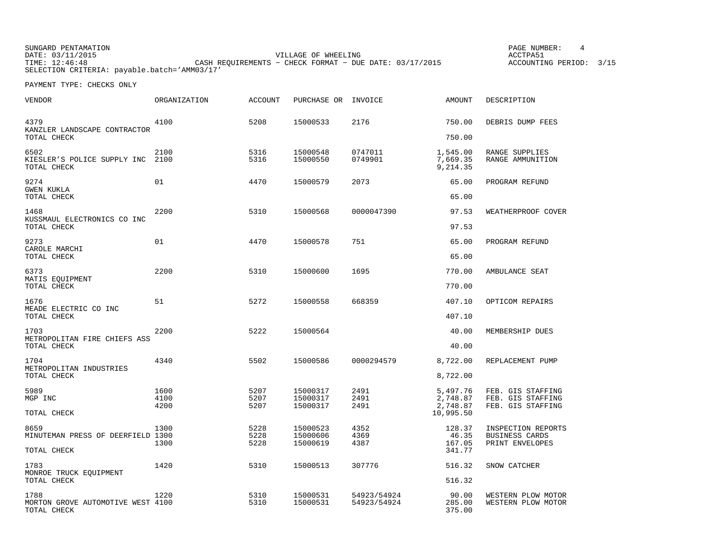SUNGARD PENTAMATION PAGE NUMBER: 4DATE: 03/11/2015 VILLAGE OF WHEELING ACCTPA51TIME: 12:46:48 CASH REQUIREMENTS − CHECK FORMAT − DUE DATE: 03/17/2015 SELECTION CRITERIA: payable.batch='AMM03/17'

ACCOUNTING PERIOD: 3/15

| <b>VENDOR</b>                                            | ORGANIZATION         | <b>ACCOUNT</b>       | PURCHASE OR                      | INVOICE                    | <b>AMOUNT</b>                    | DESCRIPTION                                                 |
|----------------------------------------------------------|----------------------|----------------------|----------------------------------|----------------------------|----------------------------------|-------------------------------------------------------------|
| 4379<br>KANZLER LANDSCAPE CONTRACTOR                     | 4100                 | 5208                 | 15000533                         | 2176                       | 750.00                           | DEBRIS DUMP FEES                                            |
| TOTAL CHECK                                              |                      |                      |                                  |                            | 750.00                           |                                                             |
| 6502<br>KIESLER'S POLICE SUPPLY INC<br>TOTAL CHECK       | 2100<br>2100         | 5316<br>5316         | 15000548<br>15000550             | 0747011<br>0749901         | 1,545.00<br>7,669.35<br>9,214.35 | RANGE SUPPLIES<br>RANGE AMMUNITION                          |
| 9274<br><b>GWEN KUKLA</b>                                | 01                   | 4470                 | 15000579                         | 2073                       | 65.00                            | PROGRAM REFUND                                              |
| TOTAL CHECK                                              |                      |                      |                                  |                            | 65.00                            |                                                             |
| 1468<br>KUSSMAUL ELECTRONICS CO INC<br>TOTAL CHECK       | 2200                 | 5310                 | 15000568                         | 0000047390                 | 97.53<br>97.53                   | WEATHERPROOF COVER                                          |
| 9273<br>CAROLE MARCHI                                    | 01                   | 4470                 | 15000578                         | 751                        | 65.00                            | PROGRAM REFUND                                              |
| TOTAL CHECK                                              |                      |                      |                                  |                            | 65.00                            |                                                             |
| 6373<br>MATIS EQUIPMENT<br>TOTAL CHECK                   | 2200                 | 5310                 | 15000600                         | 1695                       | 770.00<br>770.00                 | AMBULANCE SEAT                                              |
|                                                          |                      |                      |                                  |                            |                                  |                                                             |
| 1676<br>MEADE ELECTRIC CO INC<br>TOTAL CHECK             | 51                   | 5272                 | 15000558                         | 668359                     | 407.10<br>407.10                 | OPTICOM REPAIRS                                             |
| 1703<br>METROPOLITAN FIRE CHIEFS ASS                     | 2200                 | 5222                 | 15000564                         |                            | 40.00                            | MEMBERSHIP DUES                                             |
| TOTAL CHECK                                              |                      |                      |                                  |                            | 40.00                            |                                                             |
| 1704<br>METROPOLITAN INDUSTRIES                          | 4340                 | 5502                 | 15000586                         | 0000294579                 | 8,722.00                         | REPLACEMENT PUMP                                            |
| TOTAL CHECK                                              |                      |                      |                                  |                            | 8,722.00                         |                                                             |
| 5989<br>MGP INC                                          | 1600<br>4100<br>4200 | 5207<br>5207<br>5207 | 15000317<br>15000317<br>15000317 | 2491<br>2491<br>2491       | 5,497.76<br>2,748.87<br>2,748.87 | FEB. GIS STAFFING<br>FEB. GIS STAFFING<br>FEB. GIS STAFFING |
| TOTAL CHECK                                              |                      |                      |                                  |                            | 10,995.50                        |                                                             |
| 8659<br>MINUTEMAN PRESS OF DEERFIELD 1300                | 1300<br>1300         | 5228<br>5228<br>5228 | 15000523<br>15000606<br>15000619 | 4352<br>4369<br>4387       | 128.37<br>46.35<br>167.05        | INSPECTION REPORTS<br>BUSINESS CARDS<br>PRINT ENVELOPES     |
| TOTAL CHECK                                              |                      |                      |                                  |                            | 341.77                           |                                                             |
| 1783<br>MONROE TRUCK EOUIPMENT<br>TOTAL CHECK            | 1420                 | 5310                 | 15000513                         | 307776                     | 516.32<br>516.32                 | SNOW CATCHER                                                |
|                                                          |                      |                      |                                  |                            |                                  |                                                             |
| 1788<br>MORTON GROVE AUTOMOTIVE WEST 4100<br>TOTAL CHECK | 1220                 | 5310<br>5310         | 15000531<br>15000531             | 54923/54924<br>54923/54924 | 90.00<br>285.00<br>375.00        | WESTERN PLOW MOTOR<br>WESTERN PLOW MOTOR                    |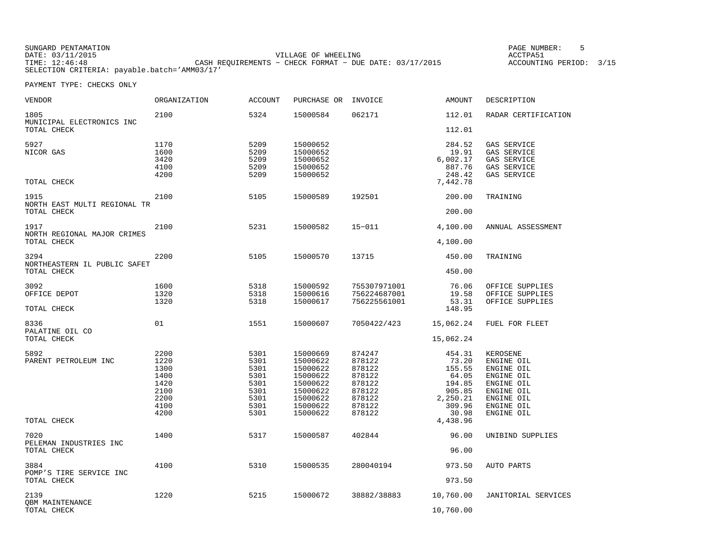| SUNGARD PENTAMATION                          |                                                         | PAGE NUMBER:            |
|----------------------------------------------|---------------------------------------------------------|-------------------------|
| DATE: 03/11/2015                             | VILLAGE OF WHEELING                                     | ACCTPA51                |
| TIME: 12:46:48                               | CASH REOUIREMENTS - CHECK FORMAT - DUE DATE: 03/17/2015 | ACCOUNTING PERIOD: 3/15 |
| SELECTION CRITERIA: payable.batch='AMM03/17' |                                                         |                         |

| <b>VENDOR</b>                                 | <b>ORGANIZATION</b>                                                  | <b>ACCOUNT</b>                                                       | PURCHASE OR                                                                                              | INVOICE                                                                                | AMOUNT                                                                                | DESCRIPTION                                                                                                              |
|-----------------------------------------------|----------------------------------------------------------------------|----------------------------------------------------------------------|----------------------------------------------------------------------------------------------------------|----------------------------------------------------------------------------------------|---------------------------------------------------------------------------------------|--------------------------------------------------------------------------------------------------------------------------|
| 1805<br>MUNICIPAL ELECTRONICS INC             | 2100                                                                 | 5324                                                                 | 15000584                                                                                                 | 062171                                                                                 | 112.01                                                                                | RADAR CERTIFICATION                                                                                                      |
| TOTAL CHECK                                   |                                                                      |                                                                      |                                                                                                          |                                                                                        | 112.01                                                                                |                                                                                                                          |
| 5927<br>NICOR GAS<br>TOTAL CHECK              | 1170<br>1600<br>3420<br>4100<br>4200                                 | 5209<br>5209<br>5209<br>5209<br>5209                                 | 15000652<br>15000652<br>15000652<br>15000652<br>15000652                                                 |                                                                                        | 284.52<br>19.91<br>6,002.17<br>887.76<br>248.42<br>7,442.78                           | GAS SERVICE<br>GAS SERVICE<br>GAS SERVICE<br>GAS SERVICE<br>GAS SERVICE                                                  |
| 1915<br>NORTH EAST MULTI REGIONAL TR          | 2100                                                                 | 5105                                                                 | 15000589                                                                                                 | 192501                                                                                 | 200.00                                                                                | TRAINING                                                                                                                 |
| TOTAL CHECK                                   |                                                                      |                                                                      |                                                                                                          |                                                                                        | 200.00                                                                                |                                                                                                                          |
| 1917<br>NORTH REGIONAL MAJOR CRIMES           | 2100                                                                 | 5231                                                                 | 15000582                                                                                                 | $15 - 011$                                                                             | 4,100.00                                                                              | ANNUAL ASSESSMENT                                                                                                        |
| TOTAL CHECK                                   |                                                                      |                                                                      |                                                                                                          |                                                                                        | 4,100.00                                                                              |                                                                                                                          |
| 3294<br>NORTHEASTERN IL PUBLIC SAFET          | 2200                                                                 | 5105                                                                 | 15000570                                                                                                 | 13715                                                                                  | 450.00                                                                                | TRAINING                                                                                                                 |
| TOTAL CHECK                                   |                                                                      |                                                                      |                                                                                                          |                                                                                        | 450.00                                                                                |                                                                                                                          |
| 3092<br>OFFICE DEPOT                          | 1600<br>1320<br>1320                                                 | 5318<br>5318<br>5318                                                 | 15000592<br>15000616<br>15000617                                                                         | 755307971001<br>756224687001<br>756225561001                                           | 76.06<br>19.58<br>53.31                                                               | OFFICE SUPPLIES<br>OFFICE SUPPLIES<br>OFFICE SUPPLIES                                                                    |
| TOTAL CHECK                                   |                                                                      |                                                                      |                                                                                                          |                                                                                        | 148.95                                                                                |                                                                                                                          |
| 8336<br>PALATINE OIL CO                       | 01                                                                   | 1551                                                                 | 15000607                                                                                                 | 7050422/423                                                                            | 15,062.24                                                                             | FUEL FOR FLEET                                                                                                           |
| TOTAL CHECK                                   |                                                                      |                                                                      |                                                                                                          |                                                                                        | 15,062.24                                                                             |                                                                                                                          |
| 5892<br>PARENT PETROLEUM INC                  | 2200<br>1220<br>1300<br>1400<br>1420<br>2100<br>2200<br>4100<br>4200 | 5301<br>5301<br>5301<br>5301<br>5301<br>5301<br>5301<br>5301<br>5301 | 15000669<br>15000622<br>15000622<br>15000622<br>15000622<br>15000622<br>15000622<br>15000622<br>15000622 | 874247<br>878122<br>878122<br>878122<br>878122<br>878122<br>878122<br>878122<br>878122 | 454.31<br>73.20<br>155.55<br>64.05<br>194.85<br>905.85<br>2,250.21<br>309.96<br>30.98 | KEROSENE<br>ENGINE OIL<br>ENGINE OIL<br>ENGINE OIL<br>ENGINE OIL<br>ENGINE OIL<br>ENGINE OIL<br>ENGINE OIL<br>ENGINE OIL |
| TOTAL CHECK                                   |                                                                      |                                                                      |                                                                                                          |                                                                                        | 4,438.96                                                                              |                                                                                                                          |
| 7020<br>PELEMAN INDUSTRIES INC<br>TOTAL CHECK | 1400                                                                 | 5317                                                                 | 15000587                                                                                                 | 402844                                                                                 | 96.00<br>96.00                                                                        | UNIBIND SUPPLIES                                                                                                         |
| 3884<br>POMP'S TIRE SERVICE INC               | 4100                                                                 | 5310                                                                 | 15000535                                                                                                 | 280040194                                                                              | 973.50                                                                                | AUTO PARTS                                                                                                               |
| TOTAL CHECK                                   |                                                                      |                                                                      |                                                                                                          |                                                                                        | 973.50                                                                                |                                                                                                                          |
| 2139<br><b>QBM MAINTENANCE</b>                | 1220                                                                 | 5215                                                                 | 15000672                                                                                                 | 38882/38883                                                                            | 10,760.00                                                                             | JANITORIAL SERVICES                                                                                                      |
| TOTAL CHECK                                   |                                                                      |                                                                      |                                                                                                          |                                                                                        | 10,760.00                                                                             |                                                                                                                          |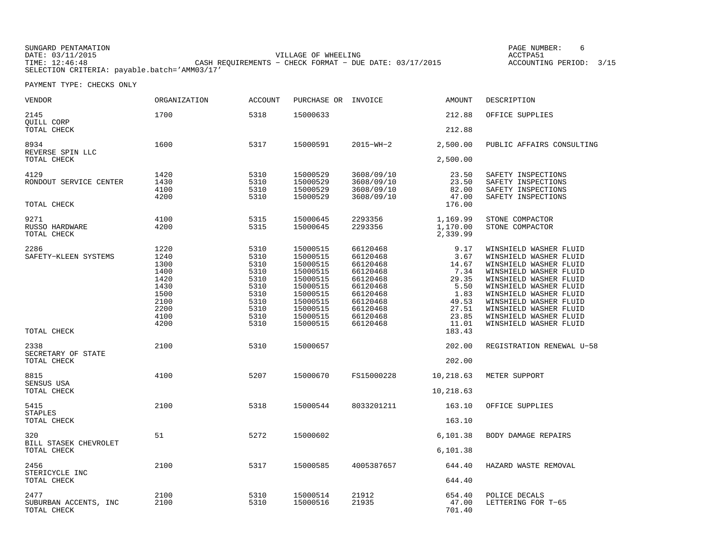SUNGARD PENTAMATION PAGE NUMBER: 6DATE: 03/11/2015 VILLAGE OF WHEELING ACCTPA51ACCOUNTING PERIOD: 3/15 TIME: 12:46:48 CASH REQUIREMENTS − CHECK FORMAT − DUE DATE: 03/17/2015 SELECTION CRITERIA: payable.batch='AMM03/17'

| VENDOR                                       | ORGANIZATION                                                                         | <b>ACCOUNT</b>                                                                       | PURCHASE OR INVOICE                                                                                                              |                                                                                                                                  | AMOUNT                                                                                     | DESCRIPTION                                                                                                                                                                                                                                                                                |
|----------------------------------------------|--------------------------------------------------------------------------------------|--------------------------------------------------------------------------------------|----------------------------------------------------------------------------------------------------------------------------------|----------------------------------------------------------------------------------------------------------------------------------|--------------------------------------------------------------------------------------------|--------------------------------------------------------------------------------------------------------------------------------------------------------------------------------------------------------------------------------------------------------------------------------------------|
| 2145<br>QUILL CORP                           | 1700                                                                                 | 5318                                                                                 | 15000633                                                                                                                         |                                                                                                                                  | 212.88                                                                                     | OFFICE SUPPLIES                                                                                                                                                                                                                                                                            |
| TOTAL CHECK                                  |                                                                                      |                                                                                      |                                                                                                                                  |                                                                                                                                  | 212.88                                                                                     |                                                                                                                                                                                                                                                                                            |
| 8934<br>REVERSE SPIN LLC                     | 1600                                                                                 | 5317                                                                                 | 15000591                                                                                                                         | $2015 - WH - 2$                                                                                                                  | 2,500.00                                                                                   | PUBLIC AFFAIRS CONSULTING                                                                                                                                                                                                                                                                  |
| TOTAL CHECK                                  |                                                                                      |                                                                                      |                                                                                                                                  |                                                                                                                                  | 2,500.00                                                                                   |                                                                                                                                                                                                                                                                                            |
| 4129<br>RONDOUT SERVICE CENTER               | 1420<br>1430<br>4100<br>4200                                                         | 5310<br>5310<br>5310<br>5310                                                         | 15000529<br>15000529<br>15000529<br>15000529                                                                                     | 3608/09/10<br>3608/09/10<br>3608/09/10<br>3608/09/10                                                                             | 23.50<br>23.50<br>82.00<br>47.00                                                           | SAFETY INSPECTIONS<br>SAFETY INSPECTIONS<br>SAFETY INSPECTIONS<br>SAFETY INSPECTIONS                                                                                                                                                                                                       |
| TOTAL CHECK                                  |                                                                                      |                                                                                      |                                                                                                                                  |                                                                                                                                  | 176.00                                                                                     |                                                                                                                                                                                                                                                                                            |
| 9271<br>RUSSO HARDWARE<br>TOTAL CHECK        | 4100<br>4200                                                                         | 5315<br>5315                                                                         | 15000645<br>15000645                                                                                                             | 2293356<br>2293356                                                                                                               | 1,169.99<br>1,170.00<br>2,339.99                                                           | STONE COMPACTOR<br>STONE COMPACTOR                                                                                                                                                                                                                                                         |
| 2286<br>SAFETY-KLEEN SYSTEMS                 | 1220<br>1240<br>1300<br>1400<br>1420<br>1430<br>1500<br>2100<br>2200<br>4100<br>4200 | 5310<br>5310<br>5310<br>5310<br>5310<br>5310<br>5310<br>5310<br>5310<br>5310<br>5310 | 15000515<br>15000515<br>15000515<br>15000515<br>15000515<br>15000515<br>15000515<br>15000515<br>15000515<br>15000515<br>15000515 | 66120468<br>66120468<br>66120468<br>66120468<br>66120468<br>66120468<br>66120468<br>66120468<br>66120468<br>66120468<br>66120468 | 9.17<br>3.67<br>14.67<br>7.34<br>29.35<br>5.50<br>1.83<br>49.53<br>27.51<br>23.85<br>11.01 | WINSHIELD WASHER FLUID<br>WINSHIELD WASHER FLUID<br>WINSHIELD WASHER FLUID<br>WINSHIELD WASHER FLUID<br>WINSHIELD WASHER FLUID<br>WINSHIELD WASHER FLUID<br>WINSHIELD WASHER FLUID<br>WINSHIELD WASHER FLUID<br>WINSHIELD WASHER FLUID<br>WINSHIELD WASHER FLUID<br>WINSHIELD WASHER FLUID |
| TOTAL CHECK                                  |                                                                                      |                                                                                      |                                                                                                                                  |                                                                                                                                  | 183.43                                                                                     |                                                                                                                                                                                                                                                                                            |
| 2338<br>SECRETARY OF STATE                   | 2100                                                                                 | 5310                                                                                 | 15000657                                                                                                                         |                                                                                                                                  | 202.00                                                                                     | REGISTRATION RENEWAL U-58                                                                                                                                                                                                                                                                  |
| TOTAL CHECK                                  |                                                                                      |                                                                                      |                                                                                                                                  |                                                                                                                                  | 202.00                                                                                     |                                                                                                                                                                                                                                                                                            |
| 8815<br>SENSUS USA                           | 4100                                                                                 | 5207                                                                                 | 15000670                                                                                                                         | FS15000228                                                                                                                       | 10,218.63                                                                                  | METER SUPPORT                                                                                                                                                                                                                                                                              |
| TOTAL CHECK                                  |                                                                                      |                                                                                      |                                                                                                                                  |                                                                                                                                  | 10,218.63                                                                                  |                                                                                                                                                                                                                                                                                            |
| 5415<br><b>STAPLES</b>                       | 2100                                                                                 | 5318                                                                                 | 15000544                                                                                                                         | 8033201211                                                                                                                       | 163.10                                                                                     | OFFICE SUPPLIES                                                                                                                                                                                                                                                                            |
| TOTAL CHECK                                  |                                                                                      |                                                                                      |                                                                                                                                  |                                                                                                                                  | 163.10                                                                                     |                                                                                                                                                                                                                                                                                            |
| 320<br>BILL STASEK CHEVROLET                 | 51                                                                                   | 5272                                                                                 | 15000602                                                                                                                         |                                                                                                                                  | 6,101.38                                                                                   | BODY DAMAGE REPAIRS                                                                                                                                                                                                                                                                        |
| TOTAL CHECK                                  |                                                                                      |                                                                                      |                                                                                                                                  |                                                                                                                                  | 6,101.38                                                                                   |                                                                                                                                                                                                                                                                                            |
| 2456<br>STERICYCLE INC                       | 2100                                                                                 | 5317                                                                                 | 15000585                                                                                                                         | 4005387657                                                                                                                       | 644.40                                                                                     | HAZARD WASTE REMOVAL                                                                                                                                                                                                                                                                       |
| TOTAL CHECK                                  |                                                                                      |                                                                                      |                                                                                                                                  |                                                                                                                                  | 644.40                                                                                     |                                                                                                                                                                                                                                                                                            |
| 2477<br>SUBURBAN ACCENTS, INC<br>TOTAL CHECK | 2100<br>2100                                                                         | 5310<br>5310                                                                         | 15000514<br>15000516                                                                                                             | 21912<br>21935                                                                                                                   | 654.40<br>47.00<br>701.40                                                                  | POLICE DECALS<br>LETTERING FOR T-65                                                                                                                                                                                                                                                        |